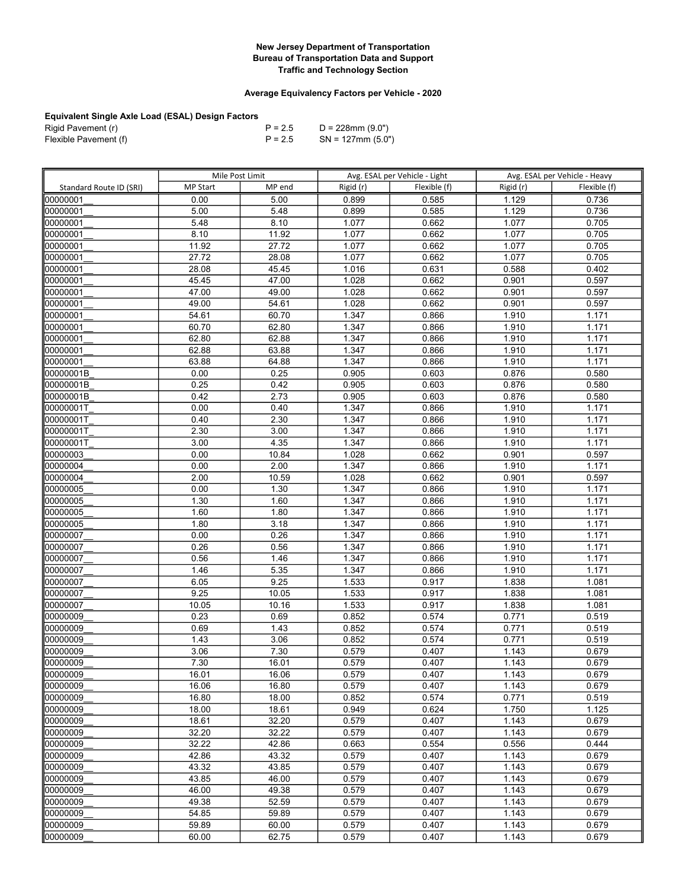## Average Equivalency Factors per Vehicle - 2020

| Rigid Pavement (r)    | $P = 2.5$ | D = 228mm (9.0")     |
|-----------------------|-----------|----------------------|
| Flexible Pavement (f) | $P = 2.5$ | $SN = 127$ mm (5.0") |

|                         | Mile Post Limit |        | Avg. ESAL per Vehicle - Light |              | Avg. ESAL per Vehicle - Heavy |              |
|-------------------------|-----------------|--------|-------------------------------|--------------|-------------------------------|--------------|
| Standard Route ID (SRI) | <b>MP Start</b> | MP end | Rigid (r)                     | Flexible (f) | Rigid (r)                     | Flexible (f) |
| 00000001                | 0.00            | 5.00   | 0.899                         | 0.585        | 1.129                         | 0.736        |
| 00000001                | 5.00            | 5.48   | 0.899                         | 0.585        | 1.129                         | 0.736        |
| 00000001                | 5.48            | 8.10   | 1.077                         | 0.662        | 1.077                         | 0.705        |
| 00000001                | 8.10            | 11.92  | 1.077                         | 0.662        | 1.077                         | 0.705        |
| 00000001                | 11.92           | 27.72  | 1.077                         | 0.662        | 1.077                         | 0.705        |
| 00000001                | 27.72           | 28.08  | 1.077                         | 0.662        | 1.077                         | 0.705        |
| 00000001                | 28.08           | 45.45  | 1.016                         | 0.631        | 0.588                         | 0.402        |
| 00000001                | 45.45           | 47.00  | 1.028                         | 0.662        | 0.901                         | 0.597        |
| 00000001                | 47.00           | 49.00  | 1.028                         | 0.662        | 0.901                         | 0.597        |
| 00000001                | 49.00           | 54.61  | 1.028                         | 0.662        | 0.901                         | 0.597        |
| 00000001                | 54.61           | 60.70  | 1.347                         | 0.866        | 1.910                         | 1.171        |
| 00000001                | 60.70           | 62.80  | 1.347                         | 0.866        | 1.910                         | 1.171        |
| 00000001                | 62.80           | 62.88  | 1.347                         | 0.866        | 1.910                         | 1.171        |
| 00000001                | 62.88           | 63.88  | 1.347                         | 0.866        | 1.910                         | 1.171        |
| 00000001                | 63.88           | 64.88  | 1.347                         | 0.866        | 1.910                         | 1.171        |
| 00000001B               | 0.00            | 0.25   | 0.905                         | 0.603        | 0.876                         | 0.580        |
| 00000001B               | 0.25            | 0.42   | 0.905                         | 0.603        | 0.876                         | 0.580        |
| 00000001B               | 0.42            | 2.73   | 0.905                         | 0.603        | 0.876                         | 0.580        |
| 00000001T               | 0.00            | 0.40   | 1.347                         | 0.866        | 1.910                         | 1.171        |
| 00000001T               | 0.40            | 2.30   | 1.347                         | 0.866        | 1.910                         | 1.171        |
| 00000001T               | 2.30            | 3.00   | 1.347                         | 0.866        | 1.910                         | 1.171        |
| 00000001T               | 3.00            | 4.35   | 1.347                         | 0.866        | 1.910                         | 1.171        |
| 00000003                | 0.00            | 10.84  | 1.028                         | 0.662        | 0.901                         | 0.597        |
| 00000004                | 0.00            | 2.00   | 1.347                         | 0.866        | 1.910                         | 1.171        |
| 00000004                | 2.00            | 10.59  | 1.028                         | 0.662        | 0.901                         | 0.597        |
| 00000005                | 0.00            | 1.30   | 1.347                         | 0.866        | 1.910                         | 1.171        |
| 00000005                | 1.30            | 1.60   | 1.347                         | 0.866        | 1.910                         | 1.171        |
| 00000005                | 1.60            | 1.80   | 1.347                         | 0.866        | 1.910                         | 1.171        |
| 00000005                | 1.80            | 3.18   | 1.347                         | 0.866        | 1.910                         | 1.171        |
| 00000007                | 0.00            | 0.26   | 1.347                         | 0.866        | 1.910                         | 1.171        |
| 00000007                | 0.26            | 0.56   | 1.347                         | 0.866        | 1.910                         | 1.171        |
| 00000007                | 0.56            | 1.46   | 1.347                         | 0.866        | 1.910                         | 1.171        |
| 00000007                | 1.46            | 5.35   | 1.347                         | 0.866        | 1.910                         | 1.171        |
| 00000007                | 6.05            | 9.25   | 1.533                         | 0.917        | 1.838                         | 1.081        |
| 00000007                | 9.25            | 10.05  | 1.533                         | 0.917        | 1.838                         | 1.081        |
| 00000007                | 10.05           | 10.16  | 1.533                         | 0.917        | 1.838                         | 1.081        |
| 00000009                | 0.23            | 0.69   | 0.852                         | 0.574        | 0.771                         | 0.519        |
| 00000009                | 0.69            | 1.43   | 0.852                         | 0.574        | 0.771                         | 0.519        |
| 00000009                | 1.43            | 3.06   | 0.852                         | 0.574        | 0.771                         | 0.519        |
| 00000009                | 3.06            | 7.30   | 0.579                         | 0.407        | 1.143                         | 0.679        |
| 00000009                | 7.30            | 16.01  | 0.579                         | 0.407        | 1.143                         | 0.679        |
| 100000009               | 16.01           | 16.06  | 0.579                         | 0.407        | 1.143                         | 0.679        |
| 100000009               | 16.06           | 16.80  | 0.579                         | 0.407        | 1.143                         | 0.679        |
| 00000009                | 16.80           | 18.00  | 0.852                         | 0.574        | 0.771                         | 0.519        |
| 00000009                | 18.00           | 18.61  | 0.949                         | 0.624        | 1.750                         | 1.125        |
| 00000009                | 18.61           | 32.20  | 0.579                         | 0.407        | 1.143                         | 0.679        |
| 00000009                | 32.20           | 32.22  | 0.579                         | 0.407        | 1.143                         | 0.679        |
| 00000009                | 32.22           | 42.86  | 0.663                         | 0.554        | 0.556                         | 0.444        |
| 00000009                | 42.86           | 43.32  | 0.579                         | 0.407        | 1.143                         | 0.679        |
| 00000009                | 43.32           | 43.85  | 0.579                         | 0.407        | 1.143                         | 0.679        |
| 00000009                | 43.85           | 46.00  | 0.579                         | 0.407        | 1.143                         | 0.679        |
| 00000009                | 46.00           | 49.38  | 0.579                         | 0.407        | 1.143                         | 0.679        |
| 00000009                | 49.38           | 52.59  | 0.579                         | 0.407        | 1.143                         | 0.679        |
| 00000009                | 54.85           | 59.89  | 0.579                         | 0.407        | 1.143                         | 0.679        |
| 00000009                | 59.89           | 60.00  | 0.579                         | 0.407        | 1.143                         | 0.679        |
| 00000009                | 60.00           | 62.75  | 0.579                         | 0.407        | 1.143                         | 0.679        |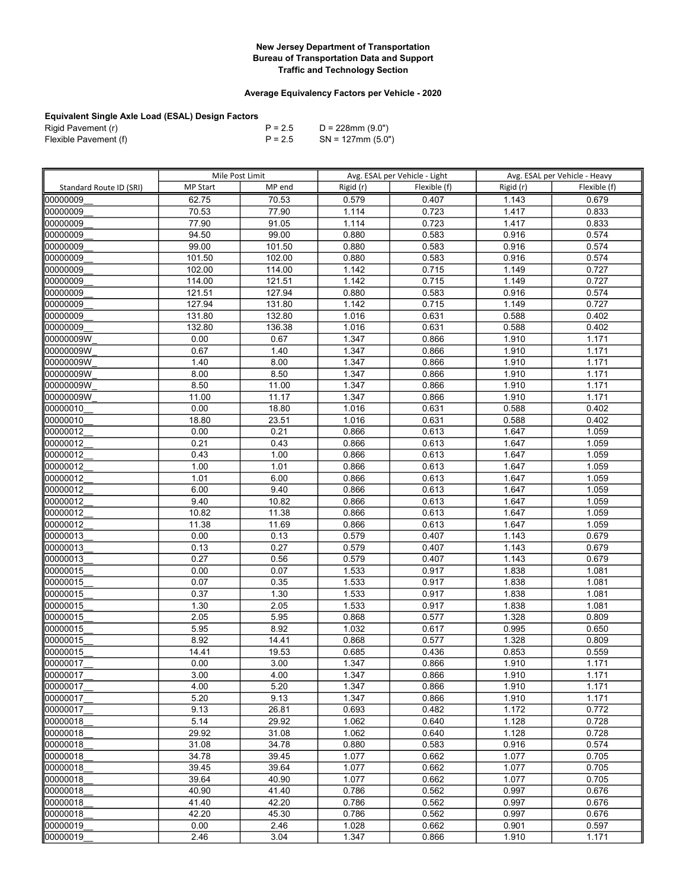## Average Equivalency Factors per Vehicle - 2020

| Rigid Pavement (r)    | $P = 2.5$ | D = 228mm (9.0")     |
|-----------------------|-----------|----------------------|
| Flexible Pavement (f) | $P = 2.5$ | $SN = 127$ mm (5.0") |

|                         | Mile Post Limit |                | Avg. ESAL per Vehicle - Light |                | Avg. ESAL per Vehicle - Heavy |                |
|-------------------------|-----------------|----------------|-------------------------------|----------------|-------------------------------|----------------|
| Standard Route ID (SRI) | <b>MP Start</b> | MP end         | Rigid (r)                     | Flexible (f)   | Rigid (r)                     | Flexible (f)   |
| 00000009                | 62.75           | 70.53          | 0.579                         | 0.407          | 1.143                         | 0.679          |
| 00000009                | 70.53           | 77.90          | 1.114                         | 0.723          | 1.417                         | 0.833          |
| 00000009                | 77.90           | 91.05          | 1.114                         | 0.723          | 1.417                         | 0.833          |
| 00000009                | 94.50           | 99.00          | 0.880                         | 0.583          | 0.916                         | 0.574          |
| 00000009                | 99.00           | 101.50         | 0.880                         | 0.583          | 0.916                         | 0.574          |
| 00000009                | 101.50          | 102.00         | 0.880                         | 0.583          | 0.916                         | 0.574          |
| 00000009                | 102.00          | 114.00         | 1.142                         | 0.715          | 1.149                         | 0.727          |
| 00000009                | 114.00          | 121.51         | 1.142                         | 0.715          | 1.149                         | 0.727          |
| 00000009                | 121.51          | 127.94         | 0.880                         | 0.583          | 0.916                         | 0.574          |
| 00000009                | 127.94          | 131.80         | 1.142                         | 0.715          | 1.149                         | 0.727          |
| 00000009                | 131.80          | 132.80         | 1.016                         | 0.631          | 0.588                         | 0.402          |
| 100000009               | 132.80          | 136.38         | 1.016                         | 0.631          | 0.588                         | 0.402          |
| 00000009W               | 0.00            | 0.67           | 1.347                         | 0.866          | 1.910                         | 1.171          |
| 00000009W               | 0.67            | 1.40           | 1.347                         | 0.866          | 1.910                         | 1.171          |
| 00000009W               | 1.40            | 8.00           | 1.347                         | 0.866          | 1.910                         | 1.171          |
| 00000009W               | 8.00            | 8.50           | 1.347                         | 0.866          | 1.910                         | 1.171          |
| 00000009W               | 8.50            | 11.00          | 1.347                         | 0.866          | 1.910                         | 1.171          |
| 00000009W               | 11.00           | 11.17          | 1.347                         | 0.866          | 1.910                         | 1.171          |
| 00000010                | 0.00            | 18.80          | 1.016                         | 0.631          | 0.588                         | 0.402          |
| 00000010                | 18.80           | 23.51          | 1.016                         | 0.631          | 0.588                         | 0.402          |
| 00000012                | 0.00            | 0.21           | 0.866                         | 0.613          | 1.647                         | 1.059          |
| 00000012                | 0.21            | 0.43           | 0.866                         | 0.613          | 1.647                         | 1.059          |
| 00000012                | 0.43            | 1.00           | 0.866                         | 0.613          | 1.647                         | 1.059          |
| 00000012                | 1.00            | 1.01           | 0.866                         | 0.613          | 1.647                         | 1.059          |
| 00000012                | 1.01            | 6.00           | 0.866                         | 0.613          | 1.647                         | 1.059          |
| 00000012                | 6.00            | 9.40           | 0.866                         | 0.613          | 1.647                         | 1.059          |
| 00000012                | 9.40            | 10.82          | 0.866                         | 0.613          | 1.647                         | 1.059          |
| 00000012                | 10.82           | 11.38          | 0.866                         | 0.613          | 1.647                         | 1.059          |
| 00000012                | 11.38           | 11.69          | 0.866                         | 0.613          | 1.647                         | 1.059          |
| 00000013                | 0.00            | 0.13           | 0.579                         | 0.407          | 1.143                         | 0.679          |
| 00000013                | 0.13            | 0.27           | 0.579                         | 0.407          | 1.143                         | 0.679          |
| 00000013                | 0.27            | 0.56           | 0.579                         | 0.407          | 1.143                         | 0.679          |
| 00000015                | 0.00            | 0.07           | 1.533                         | 0.917          | 1.838                         | 1.081          |
| 00000015                | 0.07            | 0.35           | 1.533                         | 0.917          | 1.838                         | 1.081          |
| 00000015                | 0.37            | 1.30           | 1.533                         | 0.917          | 1.838                         | 1.081          |
| 00000015                | 1.30            | 2.05           | 1.533                         | 0.917          | 1.838                         | 1.081          |
| 00000015                | 2.05            | 5.95           | 0.868                         | 0.577          | 1.328                         | 0.809          |
| 00000015                | 5.95            | 8.92           | 1.032                         | 0.617          | 0.995                         | 0.650          |
| 00000015                | 8.92            | 14.41          | 0.868                         | 0.577          | 1.328                         | 0.809          |
| 00000015                | 14.41           | 19.53          | 0.685                         | 0.436          | 0.853                         | 0.559          |
| 00000017                | 0.00            | 3.00           | 1.347                         | 0.866          | 1.910                         | 1.171          |
| 00000017                | 3.00            | 4.00           | 1.347                         | 0.866          | 1.910                         | 1.171          |
| 00000017                | 4.00            | 5.20           | 1.347                         | 0.866          | 1.910                         | 1.171          |
| 00000017                | 5.20            | 9.13           | 1.347                         | 0.866          | 1.910                         | 1.171          |
| 00000017                | 9.13            | 26.81          | 0.693                         | 0.482          | 1.172                         | 0.772          |
| 00000018                | 5.14<br>29.92   | 29.92<br>31.08 | 1.062                         | 0.640          | 1.128                         | 0.728          |
| 00000018<br>00000018    | 31.08           | 34.78          | 1.062<br>0.880                | 0.640<br>0.583 | 1.128<br>0.916                | 0.728<br>0.574 |
| 00000018                | 34.78           | 39.45          | 1.077                         | 0.662          | 1.077                         | 0.705          |
| 00000018                | 39.45           | 39.64          | 1.077                         | 0.662          | 1.077                         | 0.705          |
| 00000018                | 39.64           | 40.90          | 1.077                         | 0.662          | 1.077                         | 0.705          |
| 00000018                | 40.90           | 41.40          | 0.786                         | 0.562          | 0.997                         | 0.676          |
| 00000018                | 41.40           | 42.20          | 0.786                         | 0.562          | 0.997                         | 0.676          |
| 00000018                | 42.20           | 45.30          | 0.786                         | 0.562          | 0.997                         | 0.676          |
| 00000019                | 0.00            | 2.46           | 1.028                         | 0.662          | 0.901                         | 0.597          |
| 00000019                | 2.46            | 3.04           | 1.347                         | 0.866          | 1.910                         | 1.171          |
|                         |                 |                |                               |                |                               |                |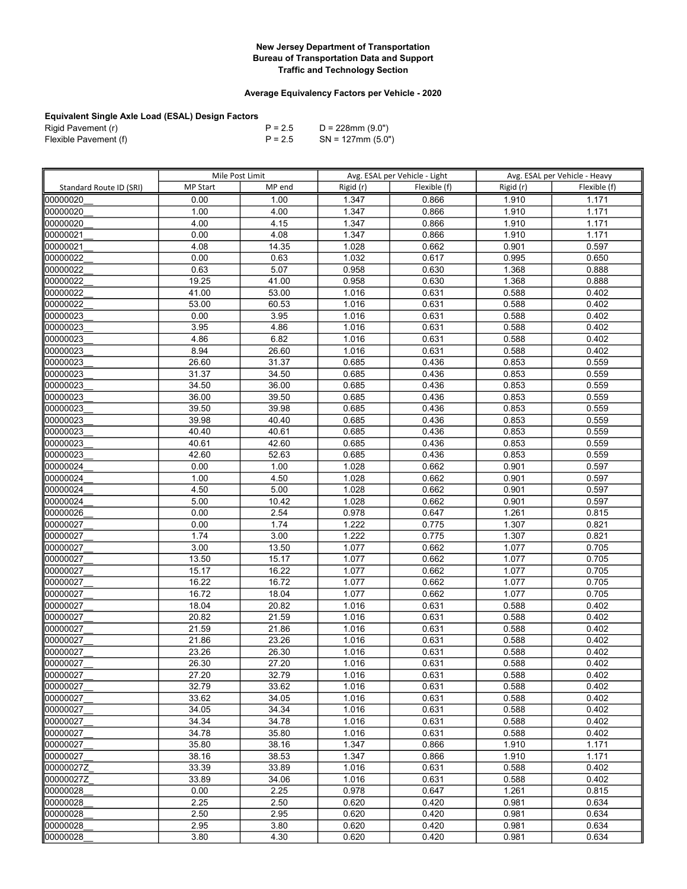## Average Equivalency Factors per Vehicle - 2020

| Rigid Pavement (r)    | $P = 2.5$ | D = 228mm (9.0")     |
|-----------------------|-----------|----------------------|
| Flexible Pavement (f) | $P = 2.5$ | $SN = 127$ mm (5.0") |

|                         | Mile Post Limit |                | Avg. ESAL per Vehicle - Light |              | Avg. ESAL per Vehicle - Heavy |                |
|-------------------------|-----------------|----------------|-------------------------------|--------------|-------------------------------|----------------|
| Standard Route ID (SRI) | <b>MP Start</b> | MP end         | Rigid (r)                     | Flexible (f) | Rigid (r)                     | Flexible (f)   |
| 00000020                | 0.00            | 1.00           | 1.347                         | 0.866        | 1.910                         | 1.171          |
| 00000020                | 1.00            | 4.00           | 1.347                         | 0.866        | 1.910                         | 1.171          |
| 00000020                | 4.00            | 4.15           | 1.347                         | 0.866        | 1.910                         | 1.171          |
| 00000021                | 0.00            | 4.08           | 1.347                         | 0.866        | 1.910                         | 1.171          |
| 00000021                | 4.08            | 14.35          | 1.028                         | 0.662        | 0.901                         | 0.597          |
| 00000022                | 0.00            | 0.63           | 1.032                         | 0.617        | 0.995                         | 0.650          |
| 00000022                | 0.63            | 5.07           | 0.958                         | 0.630        | 1.368                         | 0.888          |
| 00000022                | 19.25           | 41.00          | 0.958                         | 0.630        | 1.368                         | 0.888          |
| 00000022                | 41.00           | 53.00          | 1.016                         | 0.631        | 0.588                         | 0.402          |
| 00000022                | 53.00           | 60.53          | 1.016                         | 0.631        | 0.588                         | 0.402          |
| 00000023                | 0.00            | 3.95           | 1.016                         | 0.631        | 0.588                         | 0.402          |
| 00000023                | 3.95            | 4.86           | 1.016                         | 0.631        | 0.588                         | 0.402          |
| 00000023                | 4.86            | 6.82           | 1.016                         | 0.631        | 0.588                         | 0.402          |
| 00000023                | 8.94            | 26.60          | 1.016                         | 0.631        | 0.588                         | 0.402          |
| 00000023                | 26.60           | 31.37          | 0.685                         | 0.436        | 0.853                         | 0.559          |
| 00000023                | 31.37           | 34.50          | 0.685                         | 0.436        | 0.853                         | 0.559          |
| 00000023                | 34.50           | 36.00          | 0.685                         | 0.436        | 0.853                         | 0.559          |
| 00000023                | 36.00           | 39.50          | 0.685                         | 0.436        | 0.853                         | 0.559          |
| 00000023                | 39.50           | 39.98          | 0.685                         | 0.436        | 0.853                         | 0.559          |
| 00000023                | 39.98           | 40.40          | 0.685                         | 0.436        | 0.853                         | 0.559          |
| 00000023                | 40.40           | 40.61          | 0.685                         | 0.436        | 0.853                         | 0.559          |
| 00000023                | 40.61           | 42.60          | 0.685                         | 0.436        | 0.853                         | 0.559          |
| 00000023                | 42.60           | 52.63          | 0.685                         | 0.436        | 0.853                         | 0.559          |
| 00000024                | 0.00            | 1.00           | 1.028                         | 0.662        | 0.901                         | 0.597          |
| 00000024                | 1.00            | 4.50           | 1.028                         | 0.662        | 0.901                         | 0.597          |
| 00000024                | 4.50            | 5.00           | 1.028                         | 0.662        | 0.901                         | 0.597          |
| 00000024                | 5.00            | 10.42          | 1.028                         | 0.662        | 0.901                         | 0.597          |
| 00000026                | 0.00            | 2.54           | 0.978                         | 0.647        | 1.261                         | 0.815          |
| 00000027                | 0.00            | 1.74           | 1.222                         | 0.775        | 1.307                         | 0.821          |
| 00000027                | 1.74            | 3.00           | 1.222                         | 0.775        | 1.307                         | 0.821          |
| 00000027                | 3.00            | 13.50          | 1.077                         | 0.662        | 1.077                         | 0.705          |
| 00000027                | 13.50           | 15.17          | 1.077                         | 0.662        | 1.077                         | 0.705          |
| 00000027                | 15.17           | 16.22          | 1.077                         | 0.662        | 1.077                         | 0.705          |
| 00000027                | 16.22           | 16.72          | 1.077                         | 0.662        | 1.077                         | 0.705          |
| 00000027                | 16.72           | 18.04          | 1.077                         | 0.662        | 1.077                         | 0.705          |
| 00000027                | 18.04           | 20.82          | 1.016                         | 0.631        | 0.588                         | 0.402          |
| 00000027                | 20.82           | 21.59          | 1.016                         | 0.631        | 0.588                         | 0.402          |
| 00000027                | 21.59           | 21.86          | 1.016                         | 0.631        | 0.588                         | 0.402          |
| 00000027                | 21.86           | 23.26          | 1.016                         | 0.631        | 0.588                         | 0.402          |
| 00000027                | 23.26           | 26.30          | 1.016                         | 0.631        | 0.588                         | 0.402          |
| 00000027                | 26.30           | 27.20          | 1.016                         | 0.631        | 0.588                         | 0.402          |
| 00000027                | 27.20           | 32.79          | 1.016                         | 0.631        | 0.588                         | 0.402          |
|                         | 32.79           | 33.62          |                               | 0.631        |                               |                |
| 100000027<br>00000027   |                 |                | 1.016<br>1.016                |              | 0.588                         | 0.402          |
|                         | 33.62           | 34.05          |                               | 0.631        | 0.588<br>0.588                | 0.402          |
| 00000027                | 34.05<br>34.34  | 34.34<br>34.78 | 1.016                         | 0.631        |                               | 0.402<br>0.402 |
| 00000027                |                 |                | 1.016                         | 0.631        | 0.588                         |                |
| 00000027                | 34.78           | 35.80          | 1.016                         | 0.631        | 0.588                         | 0.402          |
| 00000027                | 35.80           | 38.16          | 1.347                         | 0.866        | 1.910                         | 1.171          |
| 00000027                | 38.16           | 38.53          | 1.347                         | 0.866        | 1.910                         | 1.171          |
| 00000027Z               | 33.39           | 33.89          | 1.016                         | 0.631        | 0.588                         | 0.402          |
| 00000027Z               | 33.89           | 34.06          | 1.016                         | 0.631        | 0.588                         | 0.402          |
| 00000028                | 0.00            | 2.25           | 0.978                         | 0.647        | 1.261                         | 0.815          |
| 100000028               | 2.25            | 2.50           | 0.620                         | 0.420        | 0.981                         | 0.634          |
| 00000028                | 2.50            | 2.95           | 0.620                         | 0.420        | 0.981                         | 0.634          |
| 00000028                | 2.95            | 3.80           | 0.620                         | 0.420        | 0.981                         | 0.634          |
| 00000028                | 3.80            | 4.30           | 0.620                         | 0.420        | 0.981                         | 0.634          |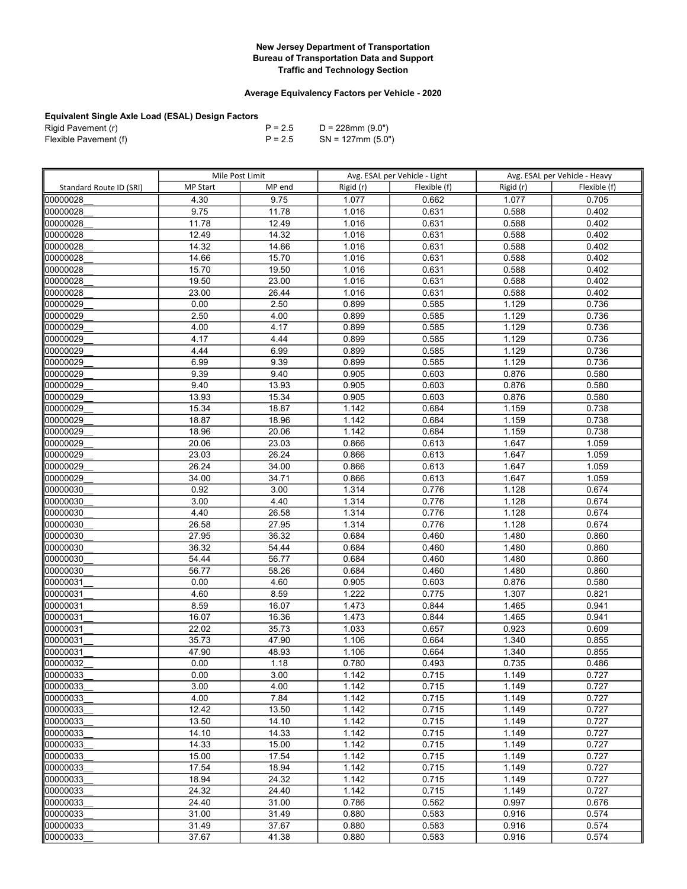## Average Equivalency Factors per Vehicle - 2020

| Rigid Pavement (r)    | $P = 2.5$ | D = 228mm (9.0")     |
|-----------------------|-----------|----------------------|
| Flexible Pavement (f) | $P = 2.5$ | $SN = 127$ mm (5.0") |

|                         | Mile Post Limit    |                |                | Avg. ESAL per Vehicle - Light |                | Avg. ESAL per Vehicle - Heavy |
|-------------------------|--------------------|----------------|----------------|-------------------------------|----------------|-------------------------------|
| Standard Route ID (SRI) | <b>MP Start</b>    | MP end         | Rigid (r)      | Flexible (f)                  | Rigid (r)      | Flexible (f)                  |
| 00000028                | 4.30               | 9.75           | 1.077          | 0.662                         | 1.077          | 0.705                         |
| 00000028                | 9.75               | 11.78          | 1.016          | 0.631                         | 0.588          | 0.402                         |
| 00000028                | 11.78              | 12.49          | 1.016          | 0.631                         | 0.588          | 0.402                         |
| 00000028                | 12.49              | 14.32          | 1.016          | 0.631                         | 0.588          | 0.402                         |
| 00000028                | $\overline{14.32}$ | 14.66          | 1.016          | 0.631                         | 0.588          | 0.402                         |
| 00000028                | 14.66              | 15.70          | 1.016          | 0.631                         | 0.588          | 0.402                         |
| 00000028                | 15.70              | 19.50          | 1.016          | 0.631                         | 0.588          | 0.402                         |
| 00000028                | 19.50              | 23.00          | 1.016          | 0.631                         | 0.588          | 0.402                         |
| 00000028                | 23.00              | 26.44          | 1.016          | 0.631                         | 0.588          | 0.402                         |
| 00000029                | 0.00               | 2.50           | 0.899          | 0.585                         | 1.129          | 0.736                         |
| 00000029                | 2.50               | 4.00           | 0.899          | 0.585                         | 1.129          | 0.736                         |
| 00000029                | 4.00               | 4.17           | 0.899          | 0.585                         | 1.129          | 0.736                         |
| 00000029                | 4.17               | 4.44           | 0.899          | 0.585                         | 1.129          | 0.736                         |
| 00000029                | 4.44               | 6.99           | 0.899          | 0.585                         | 1.129          | 0.736                         |
| 00000029                | 6.99               | 9.39           | 0.899          | 0.585                         | 1.129          | 0.736                         |
| 00000029                | 9.39               | 9.40           | 0.905          | 0.603                         | 0.876          | 0.580                         |
| 00000029                | 9.40               | 13.93          | 0.905          | 0.603                         | 0.876          | 0.580                         |
| 00000029                | 13.93              | 15.34          | 0.905          | 0.603                         | 0.876          | 0.580                         |
| 00000029                | 15.34              | 18.87          | 1.142          | 0.684                         | 1.159          | 0.738                         |
| 00000029                | 18.87              | 18.96          | 1.142          | 0.684                         | 1.159          | 0.738                         |
| 00000029                | 18.96              | 20.06          | 1.142          | 0.684                         | 1.159          | 0.738                         |
| 00000029                | 20.06              | 23.03          | 0.866          | 0.613                         | 1.647          | 1.059                         |
| 00000029                | 23.03              | 26.24          | 0.866          | 0.613                         | 1.647          | 1.059                         |
| 00000029                | 26.24              | 34.00          | 0.866          | 0.613                         | 1.647          | 1.059                         |
| 00000029                | 34.00              | 34.71          | 0.866          | 0.613                         | 1.647          | 1.059                         |
| 00000030                | 0.92               | 3.00           | 1.314          | 0.776                         | 1.128          | 0.674                         |
| 00000030                | 3.00               | 4.40           | 1.314          | 0.776                         | 1.128          | 0.674                         |
| 00000030                | 4.40               | 26.58          | 1.314          | 0.776                         | 1.128          | 0.674                         |
| 00000030                | 26.58              | 27.95          | 1.314          | 0.776                         | 1.128          | 0.674                         |
| 00000030                | 27.95              | 36.32          | 0.684          | 0.460                         | 1.480          | 0.860                         |
| 00000030                | 36.32              | 54.44          | 0.684          | 0.460                         | 1.480          | 0.860                         |
| 00000030                | 54.44              | 56.77          | 0.684          | 0.460                         | 1.480          | 0.860                         |
| 00000030                | 56.77              | 58.26          | 0.684          | 0.460                         | 1.480          | 0.860                         |
| 00000031                | 0.00               | 4.60           | 0.905          | 0.603                         | 0.876          | 0.580                         |
| 00000031                | 4.60               | 8.59           | 1.222          | 0.775                         | 1.307          | 0.821                         |
| 00000031                | 8.59               | 16.07          | 1.473          | 0.844                         | 1.465          | 0.941                         |
| 00000031                | 16.07              | 16.36          | 1.473          | 0.844                         | 1.465          | 0.941                         |
| 00000031                | 22.02              | 35.73          | 1.033          | 0.657                         | 0.923          | 0.609                         |
| 00000031                | 35.73              | 47.90          | 1.106          | 0.664                         | 1.340          | 0.855                         |
| 00000031                | 47.90              | 48.93          | 1.106          | 0.664                         | 1.340          | 0.855                         |
| 00000032                | 0.00               | 1.18           | 0.780          | 0.493                         | 0.735          | 0.486                         |
| 100000033               | 0.00               | 3.00           | 1.142          | 0.715                         | 1.149          | 0.727                         |
| 00000033                | 3.00               | 4.00           | 1.142          | 0.715                         | 1.149          | 0.727                         |
| 00000033                | 4.00               | 7.84           | 1.142          | 0.715                         | 1.149          | 0.727                         |
| 00000033                | 12.42              | 13.50          | 1.142          | 0.715                         | 1.149          | 0.727                         |
| 00000033                | 13.50              | 14.10          | 1.142          | 0.715                         | 1.149          | 0.727                         |
| 00000033                | 14.10              | 14.33          | 1.142          | 0.715                         | 1.149          | 0.727                         |
| 00000033                | 14.33              | 15.00          | 1.142          | 0.715                         | 1.149          | 0.727                         |
| 00000033                | 15.00              | 17.54          | 1.142<br>1.142 | 0.715                         | 1.149          | 0.727                         |
| 00000033<br>00000033    | 17.54<br>18.94     | 18.94<br>24.32 |                | 0.715                         | 1.149          | 0.727                         |
|                         |                    |                | 1.142          | 0.715                         | 1.149          | 0.727<br>0.727                |
| 00000033                | 24.32              | 24.40          | 1.142          | 0.715                         | 1.149          |                               |
| 00000033<br>00000033    | 24.40<br>31.00     | 31.00<br>31.49 | 0.786<br>0.880 | 0.562<br>0.583                | 0.997<br>0.916 | 0.676<br>0.574                |
| 00000033                |                    |                |                |                               |                |                               |
|                         | 31.49              | 37.67          | 0.880          | 0.583                         | 0.916          | 0.574                         |
| 00000033                | 37.67              | 41.38          | 0.880          | 0.583                         | 0.916          | 0.574                         |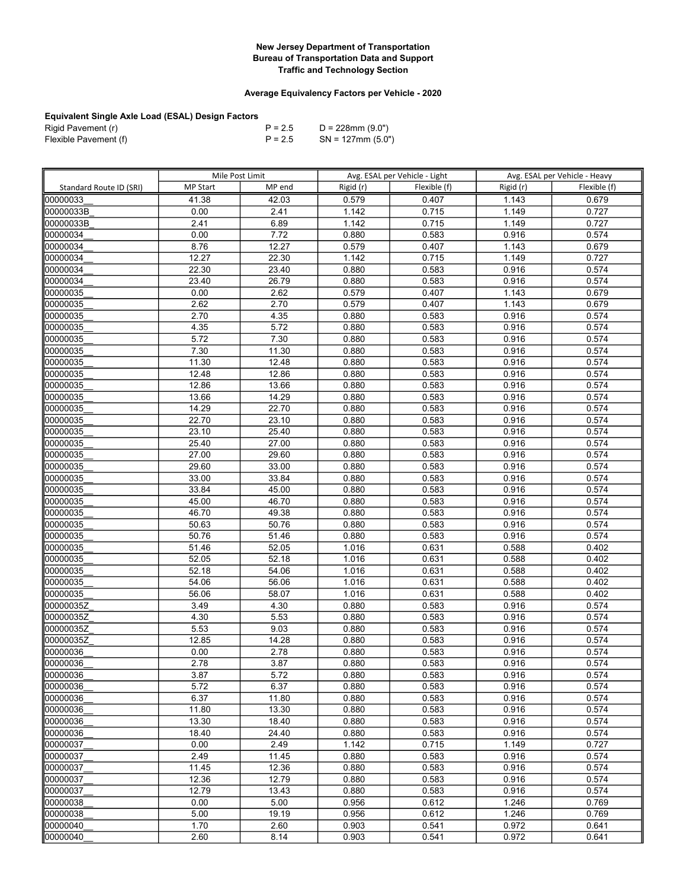## Average Equivalency Factors per Vehicle - 2020

| Rigid Pavement (r)    | $P = 2.5$ | D = 228mm (9.0")     |
|-----------------------|-----------|----------------------|
| Flexible Pavement (f) | $P = 2.5$ | $SN = 127$ mm (5.0") |

|                         | Mile Post Limit    |                |                | Avg. ESAL per Vehicle - Light |                | Avg. ESAL per Vehicle - Heavy |
|-------------------------|--------------------|----------------|----------------|-------------------------------|----------------|-------------------------------|
| Standard Route ID (SRI) | <b>MP Start</b>    | MP end         | Rigid (r)      | Flexible (f)                  | Rigid (r)      | Flexible (f)                  |
| 00000033                | 41.38              | 42.03          | 0.579          | 0.407                         | 1.143          | 0.679                         |
| 00000033B               | 0.00               | 2.41           | 1.142          | 0.715                         | 1.149          | 0.727                         |
| 00000033B               | 2.41               | 6.89           | 1.142          | 0.715                         | 1.149          | 0.727                         |
| 00000034                | 0.00               | 7.72           | 0.880          | 0.583                         | 0.916          | 0.574                         |
| 00000034                | 8.76               | 12.27          | 0.579          | 0.407                         | 1.143          | 0.679                         |
| 00000034                | 12.27              | 22.30          | 1.142          | 0.715                         | 1.149          | 0.727                         |
| 00000034                | $\overline{22.30}$ | 23.40          | 0.880          | 0.583                         | 0.916          | 0.574                         |
| 00000034                | 23.40              | 26.79          | 0.880          | 0.583                         | 0.916          | 0.574                         |
| 00000035                | 0.00               | 2.62           | 0.579          | 0.407                         | 1.143          | 0.679                         |
| 00000035                | 2.62               | 2.70           | 0.579          | 0.407                         | 1.143          | 0.679                         |
| 00000035                | 2.70               | 4.35           | 0.880          | 0.583                         | 0.916          | 0.574                         |
| 00000035                | 4.35               | 5.72           | 0.880          | 0.583                         | 0.916          | 0.574                         |
| 00000035                | 5.72               | 7.30           | 0.880          | 0.583                         | 0.916          | 0.574                         |
| 00000035                | 7.30               | 11.30          | 0.880          | 0.583                         | 0.916          | 0.574                         |
| 00000035                | 11.30              | 12.48          | 0.880          | 0.583                         | 0.916          | 0.574                         |
| 00000035                | 12.48              | 12.86          | 0.880          | 0.583                         | 0.916          | 0.574                         |
| 00000035                | 12.86              | 13.66          | 0.880          | 0.583                         | 0.916          | 0.574                         |
| 00000035                | 13.66              | 14.29          | 0.880          | 0.583                         | 0.916          | 0.574                         |
| 00000035                | 14.29              | 22.70          | 0.880          | 0.583                         | 0.916          | 0.574                         |
| 00000035                | 22.70              | 23.10          | 0.880          | 0.583                         | 0.916          | 0.574                         |
| 00000035                | 23.10              | 25.40          | 0.880          | 0.583                         | 0.916          | 0.574                         |
| 00000035                | 25.40              | 27.00          | 0.880          | 0.583                         | 0.916          | 0.574                         |
| 00000035                | 27.00              | 29.60          | 0.880          | 0.583                         | 0.916          | 0.574                         |
| 00000035                | 29.60              | 33.00          | 0.880          | 0.583                         | 0.916          | 0.574                         |
| 00000035                | 33.00              | 33.84          | 0.880          | 0.583                         | 0.916          | 0.574                         |
| 00000035                | 33.84              | 45.00          | 0.880          | 0.583                         | 0.916          | 0.574                         |
| 00000035                | 45.00              | 46.70          | 0.880          | 0.583                         | 0.916          | 0.574                         |
| 00000035                | 46.70              | 49.38          | 0.880          | 0.583                         | 0.916          | 0.574                         |
| 00000035                | 50.63              | 50.76          | 0.880          | 0.583                         | 0.916          | 0.574                         |
| 00000035                | 50.76              | 51.46          | 0.880          | 0.583                         | 0.916          | 0.574                         |
| 00000035                | 51.46              | 52.05          | 1.016          | 0.631                         | 0.588          | 0.402                         |
| 00000035                | $\frac{1}{52.05}$  | 52.18          | 1.016          | 0.631                         | 0.588          | 0.402                         |
| 00000035                | 52.18              | 54.06          | 1.016          | 0.631                         | 0.588          | 0.402                         |
| 00000035                | 54.06              | 56.06          | 1.016          | 0.631                         | 0.588          | 0.402                         |
| 00000035                | 56.06              | 58.07          | 1.016          | 0.631                         | 0.588          | 0.402                         |
| 00000035Z               | 3.49               | 4.30           | 0.880          | 0.583                         | 0.916          | 0.574                         |
| l00000035Z              | 4.30               | 5.53           | 0.880          | 0.583                         | 0.916          | 0.574                         |
| 00000035Z               | 5.53               | 9.03           | 0.880          | 0.583                         | 0.916          | 0.574                         |
| 00000035Z               | 12.85              | 14.28          | 0.880          | 0.583                         | 0.916          | 0.574                         |
| 00000036                | 0.00               | 2.78           | 0.880          | 0.583                         | 0.916          | 0.574                         |
| 00000036                | 2.78               | 3.87           | 0.880          | 0.583                         | 0.916          | 0.574                         |
| 100000036               | 3.87               | 5.72           | 0.880          | 0.583                         | 0.916          | 0.574                         |
| 100000036               | 5.72               | 6.37           | 0.880          | 0.583                         | 0.916          | 0.574                         |
| 00000036                | 6.37               | 11.80          | 0.880          | 0.583                         | 0.916          | 0.574                         |
| 00000036                | 11.80              | 13.30          | 0.880          | 0.583                         | 0.916          | 0.574                         |
| 00000036                | 13.30              | 18.40          | 0.880          | 0.583                         | 0.916          | 0.574                         |
| 00000036                | 18.40              | 24.40          | 0.880          | 0.583                         | 0.916<br>1.149 | 0.574                         |
| 00000037                | 0.00               | 2.49           | 1.142          | 0.715<br>0.583                |                | 0.727                         |
| 00000037<br>00000037    | 2.49<br>11.45      | 11.45<br>12.36 | 0.880<br>0.880 | 0.583                         | 0.916<br>0.916 | 0.574<br>0.574                |
| 00000037                | 12.36              | 12.79          |                |                               |                |                               |
| 00000037                | 12.79              | 13.43          | 0.880<br>0.880 | 0.583<br>0.583                | 0.916<br>0.916 | 0.574<br>0.574                |
| 00000038                | 0.00               | 5.00           | 0.956          | 0.612                         | 1.246          | 0.769                         |
| 00000038                | 5.00               | 19.19          | 0.956          | 0.612                         | 1.246          | 0.769                         |
| 00000040                | 1.70               | 2.60           | 0.903          | 0.541                         | 0.972          | 0.641                         |
| 00000040                | 2.60               | 8.14           | 0.903          | 0.541                         | 0.972          | 0.641                         |
|                         |                    |                |                |                               |                |                               |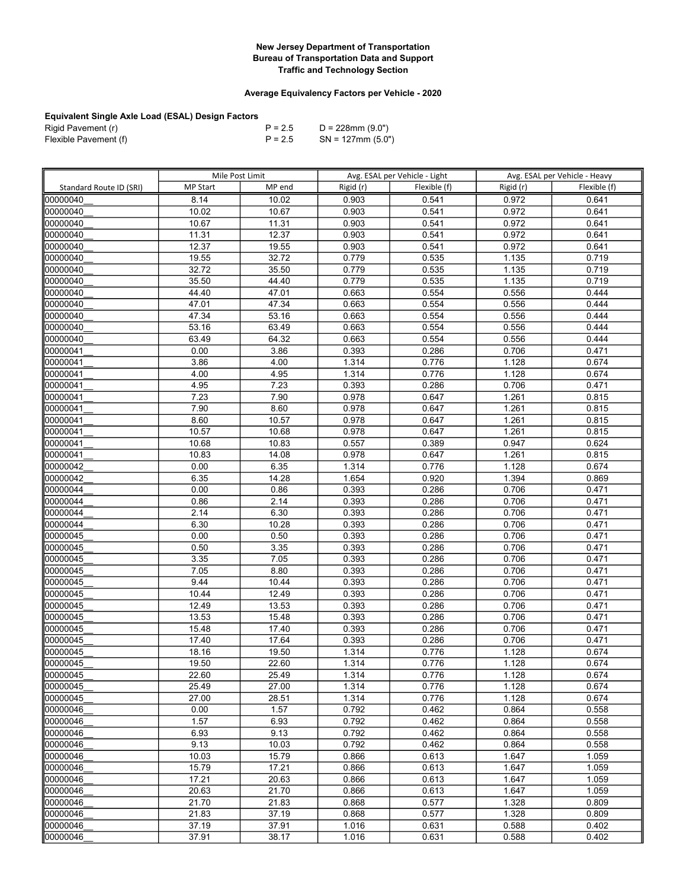## Average Equivalency Factors per Vehicle - 2020

| Rigid Pavement (r)    | $P = 2.5$ | D = 228mm (9.0")     |
|-----------------------|-----------|----------------------|
| Flexible Pavement (f) | $P = 2.5$ | $SN = 127$ mm (5.0") |

|                         | Mile Post Limit |                | Avg. ESAL per Vehicle - Light |                | Avg. ESAL per Vehicle - Heavy |                |
|-------------------------|-----------------|----------------|-------------------------------|----------------|-------------------------------|----------------|
| Standard Route ID (SRI) | <b>MP Start</b> | MP end         | Rigid (r)                     | Flexible (f)   | Rigid (r)                     | Flexible (f)   |
| 00000040                | 8.14            | 10.02          | 0.903                         | 0.541          | 0.972                         | 0.641          |
| 00000040                | 10.02           | 10.67          | 0.903                         | 0.541          | 0.972                         | 0.641          |
| 00000040                | 10.67           | 11.31          | 0.903                         | 0.541          | 0.972                         | 0.641          |
| 00000040                | 11.31           | 12.37          | 0.903                         | 0.541          | 0.972                         | 0.641          |
| 00000040                | 12.37           | 19.55          | 0.903                         | 0.541          | 0.972                         | 0.641          |
| 00000040                | 19.55           | 32.72          | 0.779                         | 0.535          | 1.135                         | 0.719          |
| 00000040                | 32.72           | 35.50          | 0.779                         | 0.535          | 1.135                         | 0.719          |
| 00000040                | 35.50           | 44.40          | 0.779                         | 0.535          | 1.135                         | 0.719          |
| 00000040                | 44.40           | 47.01          | 0.663                         | 0.554          | 0.556                         | 0.444          |
| 00000040                | 47.01           | 47.34          | 0.663                         | 0.554          | 0.556                         | 0.444          |
| 00000040                | 47.34           | 53.16          | 0.663                         | 0.554          | 0.556                         | 0.444          |
| 00000040                | 53.16           | 63.49          | 0.663                         | 0.554          | 0.556                         | 0.444          |
| 00000040                | 63.49           | 64.32          | 0.663                         | 0.554          | 0.556                         | 0.444          |
| 00000041                | 0.00            | 3.86           | 0.393                         | 0.286          | 0.706                         | 0.471          |
| 00000041                | 3.86            | 4.00           | 1.314                         | 0.776          | 1.128                         | 0.674          |
| 00000041                | 4.00            | 4.95           | 1.314                         | 0.776          | 1.128                         | 0.674          |
| 00000041                | 4.95            | 7.23           | 0.393                         | 0.286          | 0.706                         | 0.471          |
| 00000041                | 7.23            | 7.90           | 0.978                         | 0.647          | 1.261                         | 0.815          |
| 00000041                | 7.90            | 8.60           | 0.978                         | 0.647          | 1.261                         | 0.815          |
| 00000041                | 8.60            | 10.57          | 0.978                         | 0.647          | 1.261                         | 0.815          |
| 00000041                | 10.57           | 10.68          | 0.978                         | 0.647          | 1.261                         | 0.815          |
| 00000041                | 10.68           | 10.83          | 0.557                         | 0.389          | 0.947                         | 0.624          |
| 00000041                | 10.83           | 14.08          | 0.978                         | 0.647          | 1.261                         | 0.815          |
| 00000042                | 0.00            | 6.35           | 1.314                         | 0.776          | 1.128                         | 0.674          |
| 00000042                | 6.35            | 14.28          | 1.654                         | 0.920          | 1.394                         | 0.869          |
| 00000044                | 0.00            | 0.86           | 0.393                         | 0.286          | 0.706                         | 0.471          |
| 00000044                | 0.86            | 2.14           | 0.393                         | 0.286          | 0.706                         | 0.471          |
| 00000044                | 2.14            | 6.30           | 0.393                         | 0.286          | 0.706                         | 0.471          |
| 00000044                | 6.30            | 10.28          | 0.393                         | 0.286          | 0.706                         | 0.471          |
| 00000045                | 0.00            | 0.50           | 0.393                         | 0.286          | 0.706                         | 0.471          |
| 00000045                | 0.50            | 3.35           | 0.393                         | 0.286          | 0.706                         | 0.471          |
| 00000045                | 3.35            | 7.05           | 0.393                         | 0.286          | 0.706                         | 0.471          |
| 00000045                | 7.05            | 8.80           | 0.393                         | 0.286          | 0.706                         | 0.471          |
| 00000045                | 9.44            | 10.44          | 0.393                         | 0.286          | 0.706                         | 0.471          |
| 00000045                | 10.44           | 12.49          | 0.393                         | 0.286          | 0.706                         | 0.471          |
| 00000045                | 12.49           | 13.53          | 0.393                         | 0.286          | 0.706                         | 0.471          |
| 00000045                | 13.53           | 15.48          | 0.393                         | 0.286          | 0.706                         | 0.471          |
| 00000045                | 15.48           | 17.40          | 0.393                         | 0.286          | 0.706                         | 0.471          |
| 00000045                | 17.40           | 17.64          | 0.393                         | 0.286          | 0.706                         | 0.471          |
| 00000045                | 18.16           | 19.50          | 1.314                         | 0.776          | 1.128                         | 0.674          |
| 00000045                | 19.50           | 22.60          | 1.314                         | 0.776          | 1.128                         | 0.674          |
| 00000045                | 22.60           | 25.49          | 1.314                         | 0.776          | 1.128                         | 0.674          |
| 00000045<br>00000045    | 25.49<br>27.00  | 27.00<br>28.51 | 1.314<br>1.314                | 0.776<br>0.776 | 1.128<br>1.128                | 0.674<br>0.674 |
| 00000046                | 0.00            | 1.57           | 0.792                         | 0.462          | 0.864                         | 0.558          |
| 00000046                | 1.57            | 6.93           | 0.792                         | 0.462          | 0.864                         | 0.558          |
| 00000046                | 6.93            | 9.13           | 0.792                         | 0.462          | 0.864                         | 0.558          |
| 00000046                | 9.13            | 10.03          | 0.792                         | 0.462          | 0.864                         | 0.558          |
| 00000046                | 10.03           | 15.79          | 0.866                         | 0.613          | 1.647                         | 1.059          |
| 00000046                | 15.79           | 17.21          | 0.866                         | 0.613          | 1.647                         | 1.059          |
| 00000046                | 17.21           | 20.63          | 0.866                         | 0.613          | 1.647                         | 1.059          |
| 00000046                | 20.63           | 21.70          | 0.866                         | 0.613          | 1.647                         | 1.059          |
| 00000046                | 21.70           | 21.83          | 0.868                         | 0.577          | 1.328                         | 0.809          |
| 00000046                | 21.83           | 37.19          | 0.868                         | 0.577          | 1.328                         | 0.809          |
| 00000046                | 37.19           | 37.91          | 1.016                         | 0.631          | 0.588                         | 0.402          |
| 00000046                | 37.91           | 38.17          | 1.016                         | 0.631          | 0.588                         | 0.402          |
|                         |                 |                |                               |                |                               |                |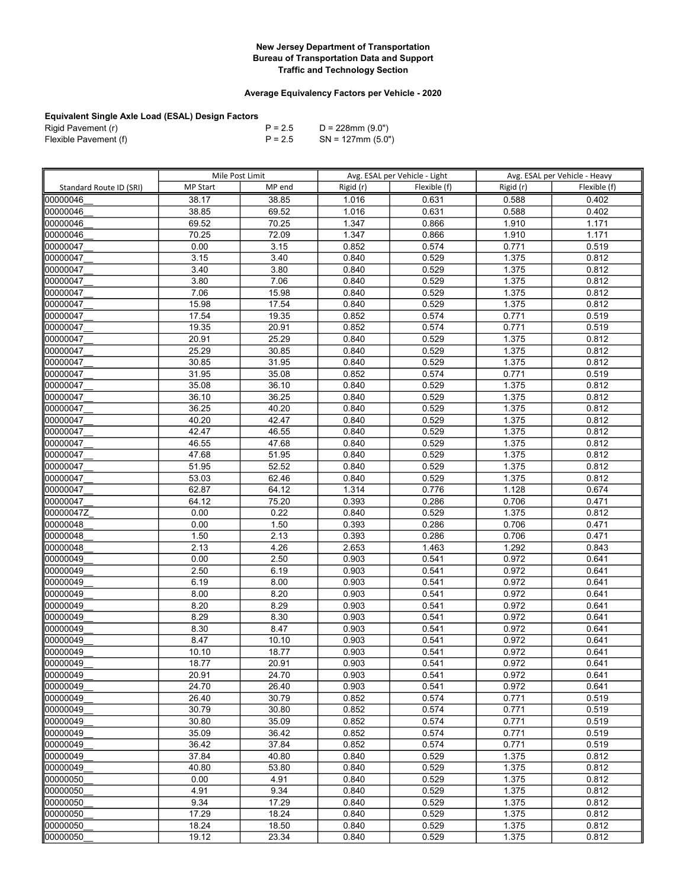## Average Equivalency Factors per Vehicle - 2020

| Rigid Pavement (r)    | $P = 2.5$ | D = 228mm (9.0")     |
|-----------------------|-----------|----------------------|
| Flexible Pavement (f) | $P = 2.5$ | $SN = 127$ mm (5.0") |

|                         | Mile Post Limit |                | Avg. ESAL per Vehicle - Light |                | Avg. ESAL per Vehicle - Heavy |                |
|-------------------------|-----------------|----------------|-------------------------------|----------------|-------------------------------|----------------|
| Standard Route ID (SRI) | <b>MP Start</b> | MP end         | Rigid (r)                     | Flexible (f)   | Rigid (r)                     | Flexible (f)   |
| 00000046                | 38.17           | 38.85          | 1.016                         | 0.631          | 0.588                         | 0.402          |
| 00000046                | 38.85           | 69.52          | 1.016                         | 0.631          | 0.588                         | 0.402          |
| 00000046                | 69.52           | 70.25          | 1.347                         | 0.866          | 1.910                         | 1.171          |
| 00000046                | 70.25           | 72.09          | 1.347                         | 0.866          | 1.910                         | 1.171          |
| 00000047                | 0.00            | 3.15           | 0.852                         | 0.574          | 0.771                         | 0.519          |
| 00000047                | 3.15            | 3.40           | 0.840                         | 0.529          | 1.375                         | 0.812          |
| 00000047                | 3.40            | 3.80           | 0.840                         | 0.529          | 1.375                         | 0.812          |
| 00000047                | 3.80            | 7.06           | 0.840                         | 0.529          | 1.375                         | 0.812          |
| 00000047                | 7.06            | 15.98          | 0.840                         | 0.529          | 1.375                         | 0.812          |
| 00000047                | 15.98           | 17.54          | 0.840                         | 0.529          | 1.375                         | 0.812          |
| 00000047                | 17.54           | 19.35          | 0.852                         | 0.574          | 0.771                         | 0.519          |
| 00000047                | 19.35           | 20.91          | 0.852                         | 0.574          | 0.771                         | 0.519          |
| 00000047                | 20.91           | 25.29          | 0.840                         | 0.529          | 1.375                         | 0.812          |
| 00000047                | 25.29           | 30.85          | 0.840                         | 0.529          | 1.375                         | 0.812          |
| 00000047                | 30.85           | 31.95          | 0.840                         | 0.529          | 1.375                         | 0.812          |
| 00000047                | 31.95           | 35.08          | 0.852                         | 0.574          | 0.771                         | 0.519          |
| 00000047                | 35.08           | 36.10          | 0.840                         | 0.529          | 1.375                         | 0.812          |
| 00000047                | 36.10           | 36.25          | 0.840                         | 0.529          | 1.375                         | 0.812          |
| 00000047                | 36.25           | 40.20          | 0.840                         | 0.529          | 1.375                         | 0.812          |
| 00000047                | 40.20           | 42.47          | 0.840                         | 0.529          | 1.375                         | 0.812          |
| 00000047                | 42.47           | 46.55          | 0.840                         | 0.529          | 1.375                         | 0.812          |
| 00000047                | 46.55           | 47.68          | 0.840                         | 0.529          | 1.375                         | 0.812          |
| 00000047                | 47.68           | 51.95          | 0.840                         | 0.529          | 1.375                         | 0.812          |
| 00000047                | 51.95           | 52.52          | 0.840                         | 0.529          | 1.375                         | 0.812          |
| 00000047                | 53.03           | 62.46          | 0.840                         | 0.529          | 1.375                         | 0.812          |
| 00000047                | 62.87           | 64.12          | 1.314                         | 0.776          | 1.128                         | 0.674          |
| 00000047                | 64.12           | 75.20          | 0.393                         | 0.286          | 0.706                         | 0.471          |
| 00000047Z               | 0.00            | 0.22           | 0.840                         | 0.529          | 1.375                         | 0.812          |
| 00000048                | 0.00            | 1.50           | 0.393                         | 0.286          | 0.706                         | 0.471          |
| 00000048                | 1.50            | 2.13           | 0.393                         | 0.286          | 0.706                         | 0.471          |
| 00000048                | 2.13            | 4.26           | 2.653                         | 1.463          | 1.292                         | 0.843          |
| 00000049                | 0.00            | 2.50           | 0.903                         | 0.541          | 0.972                         | 0.641          |
| 00000049                | 2.50            | 6.19           | 0.903                         | 0.541          | 0.972                         | 0.641          |
| 00000049                | 6.19            | 8.00           | 0.903                         | 0.541          | 0.972                         | 0.641          |
| 00000049                | 8.00            | 8.20           | 0.903                         | 0.541          | 0.972                         | 0.641          |
| 00000049                | 8.20            | 8.29           | 0.903                         | 0.541          | 0.972                         | 0.641          |
| 00000049                | 8.29            | 8.30           | 0.903                         | 0.541          | 0.972                         | 0.641          |
| 00000049                | 8.30            | 8.47           | 0.903                         | 0.541          | 0.972                         | 0.641          |
| 00000049                | 8.47            | 10.10          | 0.903                         | 0.541          | 0.972                         | 0.641          |
| 00000049                | 10.10           | 18.77          | 0.903                         | 0.541          | 0.972                         | 0.641          |
| 00000049                | 18.77           | 20.91          | 0.903                         | 0.541          | 0.972                         | 0.641          |
| 00000049                | 20.91           | 24.70          | 0.903                         | 0.541          | 0.972                         | 0.641          |
| 100000049<br>00000049   | 24.70<br>26.40  | 26.40<br>30.79 | 0.903                         | 0.541<br>0.574 | 0.972                         | 0.641          |
|                         |                 |                | 0.852                         |                | 0.771                         | 0.519          |
| 00000049                | 30.79           | 30.80          | 0.852                         | 0.574          | 0.771                         | 0.519          |
| 00000049                | 30.80<br>35.09  | 35.09<br>36.42 | 0.852                         | 0.574          | 0.771<br>0.771                | 0.519<br>0.519 |
| 00000049<br>00000049    | 36.42           | 37.84          | 0.852<br>0.852                | 0.574<br>0.574 | 0.771                         | 0.519          |
| 00000049                | 37.84           | 40.80          | 0.840                         | 0.529          | 1.375                         | 0.812          |
| 00000049                | 40.80           | 53.80          | 0.840                         | 0.529          | 1.375                         | 0.812          |
| 00000050                | 0.00            | 4.91           | 0.840                         | 0.529          | 1.375                         | 0.812          |
| 00000050                | 4.91            | 9.34           | 0.840                         | 0.529          | 1.375                         | 0.812          |
| 00000050                | 9.34            | 17.29          | 0.840                         | 0.529          | 1.375                         | 0.812          |
| 00000050                | 17.29           | 18.24          | 0.840                         | 0.529          | 1.375                         | 0.812          |
| 00000050                | 18.24           | 18.50          | 0.840                         | 0.529          | 1.375                         | 0.812          |
| 00000050                | 19.12           | 23.34          | 0.840                         | 0.529          | 1.375                         | 0.812          |
|                         |                 |                |                               |                |                               |                |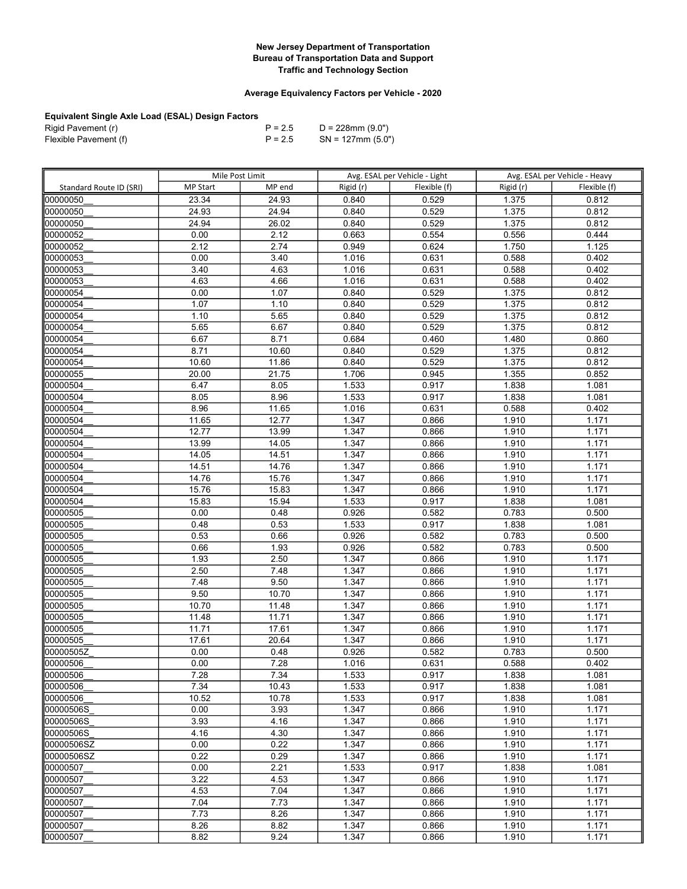## Average Equivalency Factors per Vehicle - 2020

| Rigid Pavement (r)    | $P = 2.5$ | D = 228mm (9.0")     |
|-----------------------|-----------|----------------------|
| Flexible Pavement (f) | $P = 2.5$ | $SN = 127$ mm (5.0") |

|                         | Mile Post Limit |        | Avg. ESAL per Vehicle - Light |              | Avg. ESAL per Vehicle - Heavy |                |
|-------------------------|-----------------|--------|-------------------------------|--------------|-------------------------------|----------------|
| Standard Route ID (SRI) | <b>MP Start</b> | MP end | Rigid (r)                     | Flexible (f) | Rigid (r)                     | Flexible (f)   |
| 00000050                | 23.34           | 24.93  | 0.840                         | 0.529        | 1.375                         | 0.812          |
| 00000050                | 24.93           | 24.94  | 0.840                         | 0.529        | 1.375                         | 0.812          |
| 00000050                | 24.94           | 26.02  | 0.840                         | 0.529        | 1.375                         | 0.812          |
| 00000052                | 0.00            | 2.12   | 0.663                         | 0.554        | 0.556                         | 0.444          |
| 00000052                | 2.12            | 2.74   | 0.949                         | 0.624        | 1.750                         | 1.125          |
| 00000053                | 0.00            | 3.40   | 1.016                         | 0.631        | 0.588                         | 0.402          |
| 00000053                | 3.40            | 4.63   | 1.016                         | 0.631        | 0.588                         | 0.402          |
| 00000053                | 4.63            | 4.66   | 1.016                         | 0.631        | 0.588                         | 0.402          |
| 00000054                | 0.00            | 1.07   | 0.840                         | 0.529        | 1.375                         | 0.812          |
| 00000054                | 1.07            | 1.10   | 0.840                         | 0.529        | 1.375                         | 0.812          |
| 00000054                | 1.10            | 5.65   | 0.840                         | 0.529        | 1.375                         | 0.812          |
| 00000054                | 5.65            | 6.67   | 0.840                         | 0.529        | 1.375                         | 0.812          |
| 00000054                | 6.67            | 8.71   | 0.684                         | 0.460        | 1.480                         | 0.860          |
| 00000054                | 8.71            | 10.60  | 0.840                         | 0.529        | 1.375                         | 0.812          |
| 00000054                | 10.60           | 11.86  | 0.840                         | 0.529        | 1.375                         | 0.812          |
| 00000055                | 20.00           | 21.75  | 1.706                         | 0.945        | 1.355                         | 0.852          |
| 00000504                | 6.47            | 8.05   | 1.533                         | 0.917        | 1.838                         | 1.081          |
| 00000504                | 8.05            | 8.96   | 1.533                         | 0.917        | 1.838                         | 1.081          |
| 00000504                | 8.96            | 11.65  | 1.016                         | 0.631        | 0.588                         | 0.402          |
| 00000504                | 11.65           | 12.77  | 1.347                         | 0.866        | 1.910                         | 1.171          |
| 00000504                | 12.77           | 13.99  | 1.347                         | 0.866        | 1.910                         | 1.171          |
| 00000504                | 13.99           | 14.05  | 1.347                         | 0.866        | 1.910                         | 1.171          |
| 00000504                | 14.05           | 14.51  | 1.347                         | 0.866        | 1.910                         | 1.171          |
| 00000504                | 14.51           | 14.76  | 1.347                         | 0.866        | 1.910                         | 1.171          |
| 00000504                | 14.76           | 15.76  | 1.347                         | 0.866        | 1.910                         | 1.171          |
| 00000504                | 15.76           | 15.83  | 1.347                         | 0.866        | 1.910                         | 1.171          |
| 00000504                | 15.83           | 15.94  | 1.533                         | 0.917        | 1.838                         | 1.081          |
| 00000505                | 0.00            | 0.48   | 0.926                         | 0.582        | 0.783                         | 0.500          |
| 00000505                | 0.48            | 0.53   | 1.533                         | 0.917        | 1.838                         | 1.081          |
| 00000505                | 0.53            | 0.66   | 0.926                         | 0.582        | 0.783                         | 0.500          |
| 00000505                | 0.66            | 1.93   | 0.926                         | 0.582        | 0.783                         | 0.500          |
| 00000505                | 1.93            | 2.50   | 1.347                         | 0.866        | 1.910                         | 1.171          |
| 00000505                | 2.50            | 7.48   | 1.347                         | 0.866        | 1.910                         | 1.171          |
| 00000505                | 7.48            | 9.50   | 1.347                         | 0.866        | 1.910                         | 1.171          |
| 00000505                | 9.50            | 10.70  | 1.347                         | 0.866        | 1.910                         | 1.171          |
| 00000505                | 10.70           | 11.48  | 1.347                         | 0.866        | 1.910                         | 1.171          |
| 00000505                | 11.48           | 11.71  | 1.347                         | 0.866        | 1.910                         | 1.171          |
| 00000505                | 11.71           | 17.61  | 1.347                         | 0.866        | 1.910                         | 1.171          |
| 00000505                | 17.61           | 20.64  | 1.347                         | 0.866        | 1.910                         | 1.171          |
| 00000505Z               | 0.00            | 0.48   | 0.926                         | 0.582        | 0.783                         | 0.500          |
| 00000506                | 0.00            | 7.28   | 1.016                         | 0.631        | 0.588                         | 0.402          |
| 00000506                | 7.28            | 7.34   | 1.533                         | 0.917        | 1.838                         | 1.081          |
| 00000506                | 7.34            | 10.43  | 1.533                         | 0.917        | 1.838                         | 1.081          |
| 00000506                | 10.52           | 10.78  | 1.533                         | 0.917        | 1.838                         | 1.081          |
| 00000506S               | 0.00            | 3.93   | 1.347                         | 0.866        | 1.910                         | 1.171          |
| 00000506S               | 3.93            | 4.16   | 1.347                         | 0.866        | 1.910                         | 1.171          |
| 00000506S               | 4.16            | 4.30   | 1.347                         | 0.866        | 1.910                         | 1.171          |
| 00000506SZ              | 0.00            | 0.22   | 1.347                         | 0.866        | 1.910                         | 1.171          |
| 00000506SZ              | 0.22            | 0.29   | 1.347                         | 0.866        | 1.910                         | 1.171          |
| 00000507                | 0.00            | 2.21   | 1.533                         | 0.917        | 1.838                         | 1.081          |
| 00000507                | 3.22            | 4.53   | 1.347                         | 0.866        | 1.910                         | 1.171          |
| 00000507                | 4.53            | 7.04   | 1.347                         | 0.866        | 1.910                         | 1.171          |
| 00000507                | 7.04<br>7.73    | 7.73   | 1.347                         | 0.866        | 1.910                         | 1.171<br>1.171 |
| 00000507<br>00000507    |                 | 8.26   | 1.347                         | 0.866        | 1.910                         |                |
|                         | 8.26            | 8.82   | 1.347                         | 0.866        | 1.910                         | 1.171          |
| 00000507                | 8.82            | 9.24   | 1.347                         | 0.866        | 1.910                         | 1.171          |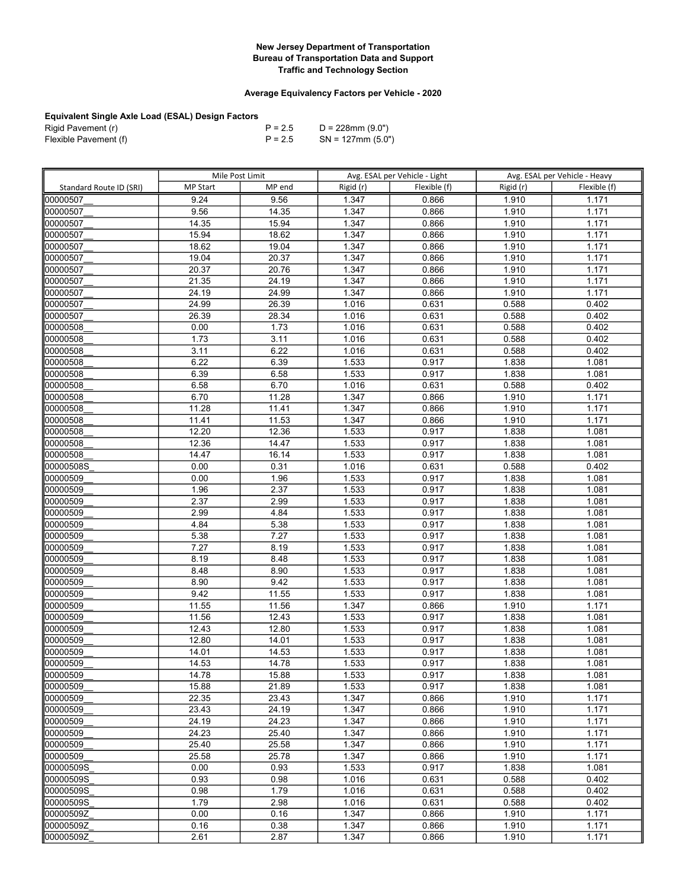## Average Equivalency Factors per Vehicle - 2020

| Rigid Pavement (r)    | $P = 2.5$ | D = 228mm (9.0")     |
|-----------------------|-----------|----------------------|
| Flexible Pavement (f) | $P = 2.5$ | $SN = 127$ mm (5.0") |

|                         | Mile Post Limit |                | Avg. ESAL per Vehicle - Light |                | Avg. ESAL per Vehicle - Heavy |                |
|-------------------------|-----------------|----------------|-------------------------------|----------------|-------------------------------|----------------|
| Standard Route ID (SRI) | <b>MP Start</b> | MP end         | Rigid (r)                     | Flexible (f)   | Rigid (r)                     | Flexible (f)   |
| 00000507                | 9.24            | 9.56           | 1.347                         | 0.866          | 1.910                         | 1.171          |
| 00000507                | 9.56            | 14.35          | 1.347                         | 0.866          | 1.910                         | 1.171          |
| 00000507                | 14.35           | 15.94          | 1.347                         | 0.866          | 1.910                         | 1.171          |
| 00000507                | 15.94           | 18.62          | 1.347                         | 0.866          | 1.910                         | 1.171          |
| 00000507                | 18.62           | 19.04          | 1.347                         | 0.866          | 1.910                         | 1.171          |
| 00000507                | 19.04           | 20.37          | 1.347                         | 0.866          | 1.910                         | 1.171          |
| 00000507                | 20.37           | 20.76          | 1.347                         | 0.866          | 1.910                         | 1.171          |
| 00000507                | 21.35           | 24.19          | 1.347                         | 0.866          | 1.910                         | 1.171          |
| 00000507                | 24.19           | 24.99          | 1.347                         | 0.866          | 1.910                         | 1.171          |
| 00000507                | 24.99           | 26.39          | 1.016                         | 0.631          | 0.588                         | 0.402          |
| 00000507                | 26.39           | 28.34          | 1.016                         | 0.631          | 0.588                         | 0.402          |
| 00000508                | 0.00            | 1.73           | 1.016                         | 0.631          | 0.588                         | 0.402          |
| 00000508                | 1.73            | 3.11           | 1.016                         | 0.631          | 0.588                         | 0.402          |
| 00000508                | 3.11            | 6.22           | 1.016                         | 0.631          | 0.588                         | 0.402          |
| 00000508                | 6.22            | 6.39           | 1.533                         | 0.917          | 1.838                         | 1.081          |
| 00000508                | 6.39            | 6.58           | 1.533                         | 0.917          | 1.838                         | 1.081          |
| 00000508                | 6.58            | 6.70           | 1.016                         | 0.631          | 0.588                         | 0.402          |
| 00000508                | 6.70            | 11.28          | 1.347                         | 0.866          | 1.910                         | 1.171          |
| 00000508                | 11.28           | 11.41          | 1.347                         | 0.866          | 1.910                         | 1.171          |
| 00000508                | 11.41           | 11.53          | 1.347                         | 0.866          | 1.910                         | 1.171          |
| 00000508                | 12.20           | 12.36          | 1.533                         | 0.917          | 1.838                         | 1.081          |
| 100000508               | 12.36           | 14.47          | 1.533                         | 0.917          | 1.838                         | 1.081          |
| 00000508                | 14.47           | 16.14          | 1.533                         | 0.917          | 1.838                         | 1.081          |
| 00000508S               | 0.00            | 0.31           | 1.016                         | 0.631          | 0.588                         | 0.402          |
| 00000509                | 0.00            | 1.96           | 1.533                         | 0.917          | 1.838                         | 1.081          |
| 00000509                | 1.96            | 2.37           | 1.533                         | 0.917          | 1.838                         | 1.081          |
| 00000509                | 2.37            | 2.99           | 1.533                         | 0.917          | 1.838                         | 1.081          |
| 00000509                | 2.99            | 4.84           | 1.533                         | 0.917          | 1.838                         | 1.081          |
| 00000509                | 4.84            | 5.38           | 1.533                         | 0.917          | 1.838                         | 1.081          |
| 00000509                | 5.38            | 7.27           | 1.533                         | 0.917          | 1.838                         | 1.081          |
| 00000509                | 7.27            | 8.19           | 1.533                         | 0.917          | 1.838                         | 1.081          |
| 00000509                | 8.19            | 8.48           | 1.533                         | 0.917          | 1.838                         | 1.081          |
| 00000509                | 8.48            | 8.90           | 1.533                         | 0.917          | 1.838                         | 1.081          |
| 00000509                | 8.90            | 9.42           | 1.533                         | 0.917          | 1.838                         | 1.081          |
| 00000509                | 9.42            | 11.55          | 1.533                         | 0.917          | 1.838                         | 1.081          |
| 00000509                | 11.55           | 11.56          | 1.347                         | 0.866          | 1.910                         | 1.171          |
| 00000509                | 11.56           | 12.43          | 1.533                         | 0.917          | 1.838                         | 1.081          |
| 00000509                | 12.43           | 12.80          | 1.533                         | 0.917          | 1.838                         | 1.081          |
| 00000509                | 12.80<br>14.01  | 14.01<br>14.53 | 1.533                         | 0.917          | 1.838                         | 1.081<br>1.081 |
| 00000509                |                 |                | 1.533                         | 0.917          | 1.838                         |                |
| 00000509                | 14.53           | 14.78          | 1.533                         | 0.917          | 1.838                         | 1.081          |
| 100000509<br>00000509   | 14.78<br>15.88  | 15.88<br>21.89 | 1.533<br>1.533                | 0.917<br>0.917 | 1.838<br>1.838                | 1.081<br>1.081 |
| 00000509                | 22.35           | 23.43          | 1.347                         | 0.866          | 1.910                         | 1.171          |
| 00000509                | 23.43           | 24.19          | 1.347                         | 0.866          | 1.910                         | 1.171          |
| 00000509                | 24.19           | 24.23          | 1.347                         | 0.866          | 1.910                         | 1.171          |
| 00000509                | 24.23           | 25.40          | 1.347                         | 0.866          | 1.910                         | 1.171          |
| 00000509                | 25.40           | 25.58          | 1.347                         | 0.866          | 1.910                         | 1.171          |
| 00000509                | 25.58           | 25.78          | 1.347                         | 0.866          | 1.910                         | 1.171          |
| 00000509S               | 0.00            | 0.93           | 1.533                         | 0.917          | 1.838                         | 1.081          |
| l00000509S              | 0.93            | 0.98           | 1.016                         | 0.631          | 0.588                         | 0.402          |
| l00000509S              | 0.98            | 1.79           | 1.016                         | 0.631          | 0.588                         | 0.402          |
| 00000509S               | 1.79            | 2.98           | 1.016                         | 0.631          | 0.588                         | 0.402          |
| 00000509Z               | 0.00            | 0.16           | 1.347                         | 0.866          | 1.910                         | 1.171          |
| 00000509Z               | 0.16            | 0.38           | 1.347                         | 0.866          | 1.910                         | 1.171          |
| 00000509Z               | 2.61            | 2.87           | 1.347                         | 0.866          | 1.910                         | 1.171          |
|                         |                 |                |                               |                |                               |                |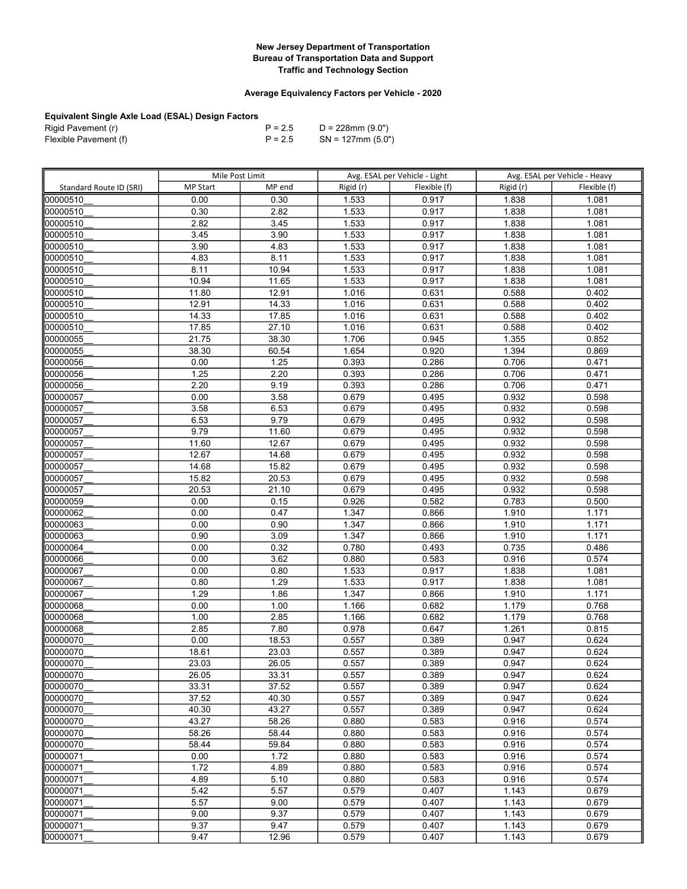## Average Equivalency Factors per Vehicle - 2020

| Rigid Pavement (r)    | $P = 2.5$ | D = 228mm (9.0")     |
|-----------------------|-----------|----------------------|
| Flexible Pavement (f) | $P = 2.5$ | $SN = 127$ mm (5.0") |

|                         | Mile Post Limit |                   | Avg. ESAL per Vehicle - Light |                | Avg. ESAL per Vehicle - Heavy |                |
|-------------------------|-----------------|-------------------|-------------------------------|----------------|-------------------------------|----------------|
| Standard Route ID (SRI) | <b>MP Start</b> | MP end            | Rigid (r)                     | Flexible (f)   | Rigid (r)                     | Flexible (f)   |
| 00000510                | 0.00            | 0.30              | 1.533                         | 0.917          | 1.838                         | 1.081          |
| 00000510                | 0.30            | 2.82              | 1.533                         | 0.917          | 1.838                         | 1.081          |
| 00000510                | 2.82            | 3.45              | 1.533                         | 0.917          | 1.838                         | 1.081          |
| 00000510                | 3.45            | 3.90              | 1.533                         | 0.917          | 1.838                         | 1.081          |
| 00000510                | 3.90            | 4.83              | 1.533                         | 0.917          | 1.838                         | 1.081          |
| 00000510                | 4.83            | 8.11              | 1.533                         | 0.917          | 1.838                         | 1.081          |
| 00000510                | 8.11            | 10.94             | 1.533                         | 0.917          | 1.838                         | 1.081          |
| 00000510                | 10.94           | 11.65             | 1.533                         | 0.917          | 1.838                         | 1.081          |
| 00000510                | 11.80           | 12.91             | 1.016                         | 0.631          | 0.588                         | 0.402          |
| 00000510                | 12.91           | 14.33             | 1.016                         | 0.631          | 0.588                         | 0.402          |
| 00000510                | 14.33           | 17.85             | 1.016                         | 0.631          | 0.588                         | 0.402          |
| 00000510                | 17.85           | 27.10             | 1.016                         | 0.631          | 0.588                         | 0.402          |
| 00000055                | 21.75           | 38.30             | 1.706                         | 0.945          | 1.355                         | 0.852          |
| 00000055                | 38.30           | 60.54             | 1.654                         | 0.920          | 1.394                         | 0.869          |
| 00000056                | 0.00            | $\overline{1.25}$ | 0.393                         | 0.286          | 0.706                         | 0.471          |
| 00000056                | 1.25            | 2.20              | 0.393                         | 0.286          | 0.706                         | 0.471          |
| 00000056                | 2.20            | 9.19              | 0.393                         | 0.286          | 0.706                         | 0.471          |
| 00000057                | 0.00            | 3.58              | 0.679                         | 0.495          | 0.932                         | 0.598          |
| 00000057                | 3.58            | 6.53              | 0.679                         | 0.495          | 0.932                         | 0.598          |
| 00000057                | 6.53            | 9.79              | 0.679                         | 0.495          | 0.932                         | 0.598          |
| 00000057                | 9.79            | 11.60             | 0.679                         | 0.495          | 0.932                         | 0.598          |
| 00000057                | 11.60           | 12.67             | 0.679                         | 0.495          | 0.932                         | 0.598          |
| 00000057                | 12.67           | 14.68             | 0.679                         | 0.495          | 0.932                         | 0.598          |
| 00000057                | 14.68           | 15.82             | 0.679                         | 0.495          | 0.932                         | 0.598          |
| 00000057                | 15.82           | 20.53             | 0.679                         | 0.495          | 0.932                         | 0.598          |
| 00000057                | 20.53           | 21.10             | 0.679                         | 0.495          | 0.932                         | 0.598          |
| 00000059                | 0.00            | 0.15              | 0.926                         | 0.582          | 0.783                         | 0.500          |
| 00000062                | 0.00            | 0.47              | 1.347                         | 0.866          | 1.910                         | 1.171          |
| 00000063                | 0.00            | 0.90              | 1.347                         | 0.866          | 1.910                         | 1.171          |
| 00000063                | 0.90            | 3.09              | 1.347                         | 0.866          | 1.910                         | 1.171          |
| 00000064                | 0.00            | 0.32              | 0.780                         | 0.493          | 0.735                         | 0.486          |
| 00000066                | 0.00            | 3.62              | 0.880                         | 0.583          | 0.916                         | 0.574          |
| 00000067                | 0.00            | 0.80              | 1.533                         | 0.917          | 1.838                         | 1.081          |
| 00000067                | 0.80            | 1.29              | 1.533                         | 0.917          | 1.838                         | 1.081          |
| 00000067                | 1.29            | 1.86              | 1.347                         | 0.866          | 1.910                         | 1.171          |
| 00000068                | 0.00            | 1.00              | 1.166                         | 0.682          | 1.179                         | 0.768          |
| 00000068                | 1.00            | 2.85              | 1.166                         | 0.682          | 1.179                         | 0.768          |
| 00000068                | 2.85            | 7.80              | 0.978                         | 0.647          | 1.261                         | 0.815          |
| 00000070                | 0.00            | 18.53             | 0.557                         | 0.389          | 0.947                         | 0.624          |
| 00000070                | 18.61           | 23.03             | 0.557                         | 0.389          | 0.947                         | 0.624          |
| 00000070                | 23.03           | 26.05<br>33.31    | 0.557                         | 0.389          | 0.947                         | 0.624          |
| 00000070<br>00000070    | 26.05<br>33.31  | 37.52             | 0.557<br>0.557                | 0.389<br>0.389 | 0.947<br>0.947                | 0.624<br>0.624 |
| 00000070                | 37.52           | 40.30             | 0.557                         | 0.389          | 0.947                         | 0.624          |
| 00000070                | 40.30           | 43.27             | 0.557                         | 0.389          | 0.947                         | 0.624          |
| 00000070                | 43.27           | 58.26             | 0.880                         | 0.583          | 0.916                         | 0.574          |
| 100000070               | 58.26           | 58.44             | 0.880                         | 0.583          | 0.916                         | 0.574          |
| 00000070                | 58.44           | 59.84             | 0.880                         | 0.583          | 0.916                         | 0.574          |
| 00000071                | 0.00            | 1.72              | 0.880                         | 0.583          | 0.916                         | 0.574          |
| 00000071                | 1.72            | 4.89              | 0.880                         | 0.583          | 0.916                         | 0.574          |
| 100000071               | 4.89            | 5.10              | 0.880                         | 0.583          | 0.916                         | 0.574          |
| 100000071               | 5.42            | 5.57              | 0.579                         | 0.407          | 1.143                         | 0.679          |
| 00000071                | 5.57            | 9.00              | 0.579                         | 0.407          | 1.143                         | 0.679          |
| 00000071                | 9.00            | 9.37              | 0.579                         | 0.407          | 1.143                         | 0.679          |
| 00000071                | 9.37            | 9.47              | 0.579                         | 0.407          | 1.143                         | 0.679          |
| 00000071                | 9.47            | 12.96             | 0.579                         | 0.407          | 1.143                         | 0.679          |
|                         |                 |                   |                               |                |                               |                |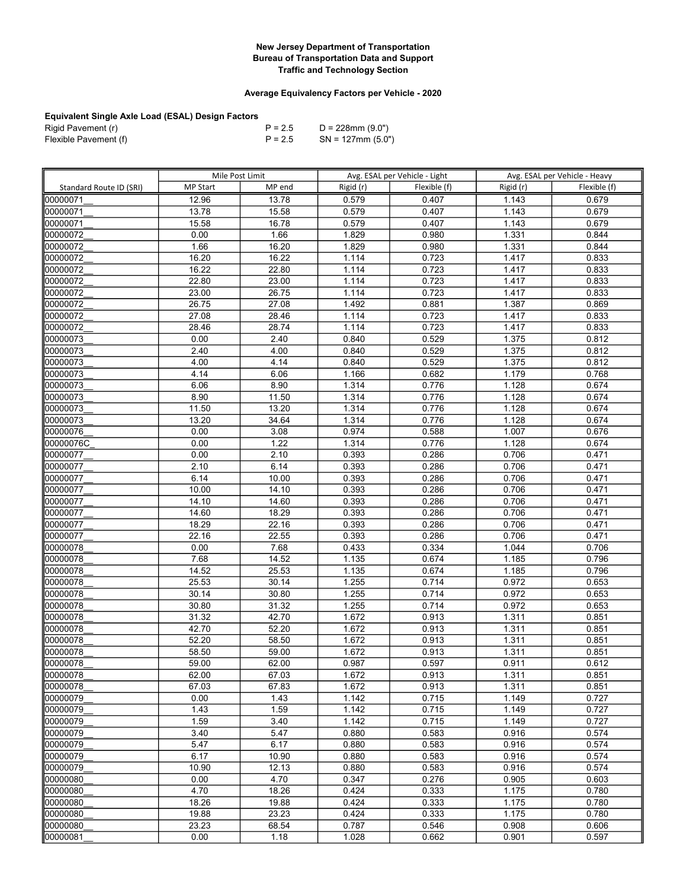## Average Equivalency Factors per Vehicle - 2020

| Rigid Pavement (r)    | $P = 2.5$ | D = 228mm (9.0")     |
|-----------------------|-----------|----------------------|
| Flexible Pavement (f) | $P = 2.5$ | $SN = 127$ mm (5.0") |

|                         | Mile Post Limit |               | Avg. ESAL per Vehicle - Light |                | Avg. ESAL per Vehicle - Heavy |                |
|-------------------------|-----------------|---------------|-------------------------------|----------------|-------------------------------|----------------|
| Standard Route ID (SRI) | <b>MP Start</b> | MP end        | Rigid (r)                     | Flexible (f)   | Rigid (r)                     | Flexible (f)   |
| 00000071                | 12.96           | 13.78         | 0.579                         | 0.407          | 1.143                         | 0.679          |
| 00000071                | 13.78           | 15.58         | 0.579                         | 0.407          | 1.143                         | 0.679          |
| 00000071                | 15.58           | 16.78         | 0.579                         | 0.407          | 1.143                         | 0.679          |
| 00000072                | 0.00            | 1.66          | 1.829                         | 0.980          | 1.331                         | 0.844          |
| 00000072                | 1.66            | 16.20         | 1.829                         | 0.980          | 1.331                         | 0.844          |
| 00000072                | 16.20           | 16.22         | 1.114                         | 0.723          | 1.417                         | 0.833          |
| 00000072                | 16.22           | 22.80         | 1.114                         | 0.723          | 1.417                         | 0.833          |
| 00000072                | 22.80           | 23.00         | 1.114                         | 0.723          | 1.417                         | 0.833          |
| 00000072                | 23.00           | 26.75         | 1.114                         | 0.723          | 1.417                         | 0.833          |
| 00000072                | 26.75           | 27.08         | 1.492                         | 0.881          | 1.387                         | 0.869          |
| 00000072                | 27.08           | 28.46         | 1.114                         | 0.723          | 1.417                         | 0.833          |
| 00000072                | 28.46           | 28.74         | 1.114                         | 0.723          | 1.417                         | 0.833          |
| 00000073                | 0.00            | 2.40          | 0.840                         | 0.529          | 1.375                         | 0.812          |
| 00000073                | 2.40            | 4.00          | 0.840                         | 0.529          | 1.375                         | 0.812          |
| 00000073                | 4.00            | 4.14          | 0.840                         | 0.529          | 1.375                         | 0.812          |
| 00000073                | 4.14            | 6.06          | 1.166                         | 0.682          | 1.179                         | 0.768          |
| 00000073                | 6.06            | 8.90          | 1.314                         | 0.776          | 1.128                         | 0.674          |
| 00000073                | 8.90            | 11.50         | 1.314                         | 0.776          | 1.128                         | 0.674          |
| 00000073                | 11.50           | 13.20         | 1.314                         | 0.776          | 1.128                         | 0.674          |
| 00000073                | 13.20           | 34.64         | 1.314                         | 0.776          | 1.128                         | 0.674          |
| 00000076                | 0.00            | 3.08          | 0.974                         | 0.588          | 1.007                         | 0.676          |
| 00000076C               | 0.00            | 1.22          | 1.314                         | 0.776          | 1.128                         | 0.674          |
| 00000077                | 0.00            | 2.10          | 0.393                         | 0.286          | 0.706                         | 0.471          |
| 00000077                | 2.10            | 6.14          | 0.393                         | 0.286          | 0.706                         | 0.471          |
| 00000077                | 6.14            | 10.00         | 0.393                         | 0.286          | 0.706                         | 0.471          |
| 00000077                | 10.00           | 14.10         | 0.393                         | 0.286          | 0.706                         | 0.471          |
| 00000077                | 14.10           | 14.60         | 0.393                         | 0.286          | 0.706                         | 0.471          |
| 00000077                | 14.60           | 18.29         | 0.393                         | 0.286          | 0.706                         | 0.471          |
| 00000077                | 18.29           | 22.16         | 0.393                         | 0.286          | 0.706                         | 0.471          |
| 00000077                | 22.16           | 22.55         | 0.393                         | 0.286          | 0.706                         | 0.471          |
| 00000078                | 0.00            | 7.68          | 0.433                         | 0.334          | 1.044                         | 0.706          |
| 00000078                | 7.68            | 14.52         | 1.135                         | 0.674          | 1.185                         | 0.796          |
| 00000078                | 14.52           | 25.53         | 1.135                         | 0.674          | 1.185                         | 0.796          |
| 00000078                | 25.53           | 30.14         | 1.255                         | 0.714          | 0.972                         | 0.653          |
| 00000078                | 30.14           | 30.80         | 1.255                         | 0.714          | 0.972                         | 0.653          |
| 00000078                | 30.80           | 31.32         | 1.255                         | 0.714          | 0.972                         | 0.653          |
| 00000078                | 31.32           | 42.70         | 1.672                         | 0.913          | 1.311                         | 0.851          |
| 00000078                | 42.70           | 52.20         | 1.672                         | 0.913          | 1.311                         | 0.851          |
| 00000078                | 52.20           | 58.50         | 1.672                         | 0.913          | 1.311                         | 0.851          |
| 00000078                | 58.50           | 59.00         | 1.672                         | 0.913          | 1.311                         | 0.851          |
| 00000078                | 59.00           | 62.00         | 0.987                         | 0.597          | 0.911                         | 0.612          |
| 100000078               | 62.00           | 67.03         | 1.672                         | 0.913          | 1.311                         | 0.851          |
| 00000078                | 67.03           | 67.83         | 1.672                         | 0.913          | 1.311                         | 0.851          |
| 00000079                | 0.00            | 1.43          | 1.142                         | 0.715          | 1.149                         | 0.727          |
| 100000079               | 1.43<br>1.59    | 1.59          | 1.142                         | 0.715          | 1.149                         | 0.727<br>0.727 |
| 00000079                | 3.40            | 3.40          | 1.142                         | 0.715          | 1.149                         | 0.574          |
| 00000079                |                 | 5.47          | 0.880                         | 0.583          | 0.916                         |                |
| 00000079<br>00000079    | 5.47<br>6.17    | 6.17<br>10.90 | 0.880                         | 0.583<br>0.583 | 0.916                         | 0.574<br>0.574 |
|                         | 10.90           |               | 0.880                         |                | 0.916                         | 0.574          |
| 00000079                |                 | 12.13<br>4.70 | 0.880                         | 0.583          | 0.916                         |                |
| 00000080<br>100000080   | 0.00<br>4.70    | 18.26         | 0.347<br>0.424                | 0.276          | 0.905<br>1.175                | 0.603<br>0.780 |
| 00000080                | 18.26           | 19.88         | 0.424                         | 0.333<br>0.333 |                               | 0.780          |
| 00000080                | 19.88           | 23.23         | 0.424                         | 0.333          | 1.175<br>1.175                | 0.780          |
| 00000080                | 23.23           | 68.54         | 0.787                         | 0.546          | 0.908                         | 0.606          |
| 00000081                | 0.00            |               |                               | 0.662          | 0.901                         | 0.597          |
|                         |                 | 1.18          | 1.028                         |                |                               |                |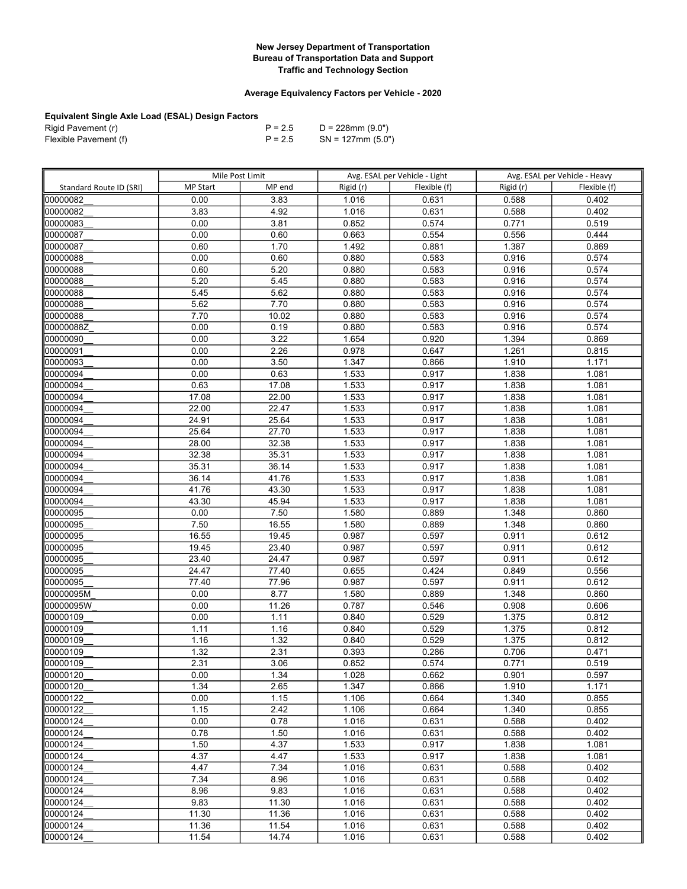## Average Equivalency Factors per Vehicle - 2020

| Rigid Pavement (r)    | $P = 2.5$ | D = 228mm (9.0")     |
|-----------------------|-----------|----------------------|
| Flexible Pavement (f) | $P = 2.5$ | $SN = 127$ mm (5.0") |

|                         | Mile Post Limit |                | Avg. ESAL per Vehicle - Light |                | Avg. ESAL per Vehicle - Heavy |                |
|-------------------------|-----------------|----------------|-------------------------------|----------------|-------------------------------|----------------|
| Standard Route ID (SRI) | <b>MP Start</b> | MP end         | Rigid (r)                     | Flexible (f)   | Rigid (r)                     | Flexible (f)   |
| 00000082                | 0.00            | 3.83           | 1.016                         | 0.631          | 0.588                         | 0.402          |
| 00000082                | 3.83            | 4.92           | 1.016                         | 0.631          | 0.588                         | 0.402          |
| 00000083                | 0.00            | 3.81           | 0.852                         | 0.574          | $\overline{0.771}$            | 0.519          |
| 00000087                | 0.00            | 0.60           | 0.663                         | 0.554          | 0.556                         | 0.444          |
| 00000087                | 0.60            | 1.70           | 1.492                         | 0.881          | 1.387                         | 0.869          |
| 00000088                | 0.00            | 0.60           | 0.880                         | 0.583          | 0.916                         | 0.574          |
| 00000088                | 0.60            | 5.20           | 0.880                         | 0.583          | 0.916                         | 0.574          |
| 00000088                | 5.20            | 5.45           | 0.880                         | 0.583          | 0.916                         | 0.574          |
| 00000088                | 5.45            | 5.62           | 0.880                         | 0.583          | 0.916                         | 0.574          |
| 00000088                | 5.62            | 7.70           | 0.880                         | 0.583          | 0.916                         | 0.574          |
| 00000088                | 7.70            | 10.02          | 0.880                         | 0.583          | 0.916                         | 0.574          |
| loooooo88Z              | 0.00            | 0.19           | 0.880                         | 0.583          | 0.916                         | 0.574          |
| 00000090                | 0.00            | 3.22           | 1.654                         | 0.920          | 1.394                         | 0.869          |
| 00000091                | 0.00            | 2.26           | 0.978                         | 0.647          | 1.261                         | 0.815          |
| 00000093                | 0.00            | 3.50           | 1.347                         | 0.866          | 1.910                         | 1.171          |
| 00000094                | 0.00            | 0.63           | 1.533                         | 0.917          | 1.838                         | 1.081          |
| 00000094                | 0.63            | 17.08          | 1.533                         | 0.917          | 1.838                         | 1.081          |
| 00000094                | 17.08           | 22.00          | 1.533                         | 0.917          | 1.838                         | 1.081          |
| 00000094                | 22.00           | 22.47          | 1.533                         | 0.917          | 1.838                         | 1.081          |
| 00000094                | 24.91           | 25.64          | 1.533                         | 0.917          | 1.838                         | 1.081          |
| 00000094                | 25.64           | 27.70          | 1.533                         | 0.917          | 1.838                         | 1.081          |
| 100000094               | 28.00           | 32.38          | 1.533                         | 0.917          | 1.838                         | 1.081          |
| 00000094                | 32.38           | 35.31          | 1.533                         | 0.917          | 1.838                         | 1.081          |
| 00000094                | 35.31           | 36.14          | 1.533                         | 0.917          | 1.838                         | 1.081          |
| 00000094                | 36.14           | 41.76          | 1.533                         | 0.917          | 1.838                         | 1.081          |
| 00000094                | 41.76           | 43.30          | 1.533                         | 0.917          | 1.838                         | 1.081          |
| 00000094                | 43.30           | 45.94          | 1.533                         | 0.917          | 1.838                         | 1.081          |
| 00000095                | 0.00            | 7.50           | 1.580                         | 0.889          | 1.348                         | 0.860          |
| 00000095                | 7.50            | 16.55          | 1.580                         | 0.889          | 1.348                         | 0.860          |
| 00000095                | 16.55           | 19.45          | 0.987                         | 0.597          | 0.911                         | 0.612          |
| 00000095                | 19.45           | 23.40          | 0.987                         | 0.597          | 0.911                         | 0.612          |
| 00000095                | 23.40           | 24.47          | 0.987                         | 0.597          | 0.911                         | 0.612          |
| 00000095                | 24.47           | 77.40          | 0.655                         | 0.424          | 0.849                         | 0.556          |
| 00000095                | 77.40           | 77.96          | 0.987                         | 0.597          | 0.911                         | 0.612          |
| 00000095M               | 0.00            | 8.77           | 1.580                         | 0.889          | 1.348                         | 0.860          |
| 00000095W               | 0.00            | 11.26          | 0.787                         | 0.546          | 0.908                         | 0.606          |
| 00000109                | 0.00            | 1.11           | 0.840                         | 0.529          | 1.375                         | 0.812          |
| 00000109                | 1.11            | 1.16           | 0.840                         | 0.529          | 1.375                         | 0.812          |
| 00000109                | 1.16            | 1.32           | 0.840                         | 0.529          | 1.375                         | 0.812          |
| 00000109                | 1.32            | 2.31           | 0.393                         | 0.286          | 0.706                         | 0.471          |
| 00000109                | 2.31            | 3.06           | 0.852                         | 0.574          | 0.771                         | 0.519          |
| 00000120                | 0.00            | 1.34           | 1.028                         | 0.662          | 0.901                         | 0.597          |
| 00000120                | 1.34            | 2.65           | 1.347                         | 0.866<br>0.664 | 1.910                         | 1.171          |
| 00000122                | 0.00            | 1.15           | 1.106                         |                | 1.340                         | 0.855          |
| 00000122                | 1.15            | 2.42           | 1.106                         | 0.664          | 1.340                         | 0.855          |
| 00000124                | 0.00            | 0.78           | 1.016                         | 0.631          | 0.588                         | 0.402          |
| 00000124<br>00000124    | 0.78            | 1.50           | 1.016                         | 0.631          | 0.588                         | 0.402          |
|                         | 1.50            | 4.37           | 1.533                         | 0.917          | 1.838<br>1.838                | 1.081          |
| 00000124<br>00000124    | 4.37<br>4.47    | 4.47<br>7.34   | 1.533<br>1.016                | 0.917<br>0.631 | 0.588                         | 1.081<br>0.402 |
| 00000124                |                 |                |                               |                |                               | 0.402          |
| 00000124                | 7.34<br>8.96    | 8.96<br>9.83   | 1.016<br>1.016                | 0.631<br>0.631 | 0.588<br>0.588                | 0.402          |
|                         |                 |                |                               |                |                               |                |
| 00000124<br>00000124    | 9.83<br>11.30   | 11.30<br>11.36 | 1.016<br>1.016                | 0.631<br>0.631 | 0.588<br>0.588                | 0.402<br>0.402 |
| 00000124                | 11.36           | 11.54          | 1.016                         | 0.631          | 0.588                         | 0.402          |
| 00000124                |                 | 14.74          |                               | 0.631          | 0.588                         | 0.402          |
|                         | 11.54           |                | 1.016                         |                |                               |                |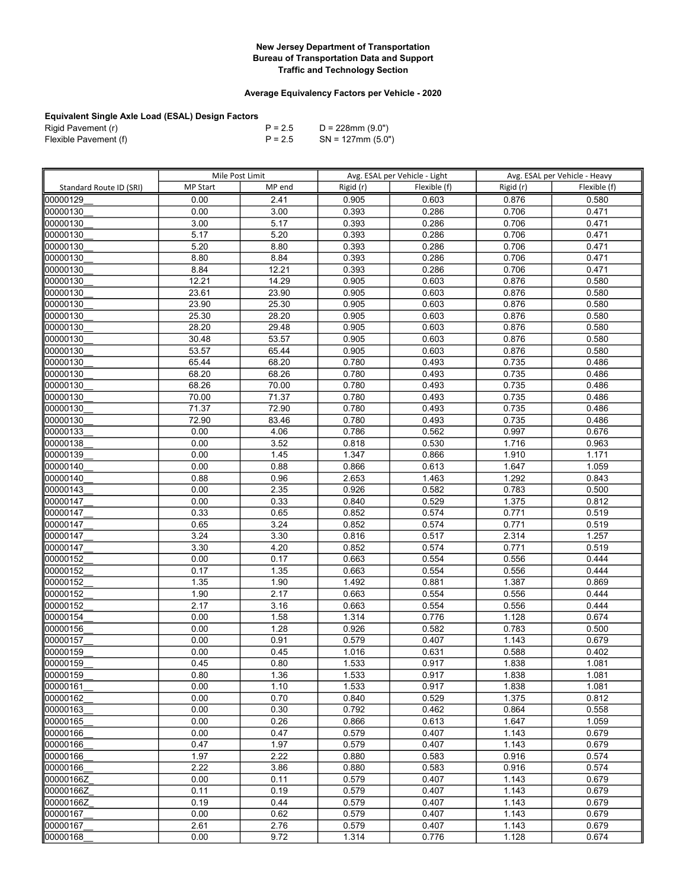## Average Equivalency Factors per Vehicle - 2020

| Rigid Pavement (r)    | $P = 2.5$ | D = 228mm (9.0")     |
|-----------------------|-----------|----------------------|
| Flexible Pavement (f) | $P = 2.5$ | $SN = 127$ mm (5.0") |

|                         | Mile Post Limit |        | Avg. ESAL per Vehicle - Light |              | Avg. ESAL per Vehicle - Heavy |              |
|-------------------------|-----------------|--------|-------------------------------|--------------|-------------------------------|--------------|
| Standard Route ID (SRI) | <b>MP Start</b> | MP end | Rigid (r)                     | Flexible (f) | Rigid (r)                     | Flexible (f) |
| 00000129                | 0.00            | 2.41   | 0.905                         | 0.603        | 0.876                         | 0.580        |
| 00000130                | 0.00            | 3.00   | 0.393                         | 0.286        | 0.706                         | 0.471        |
| 00000130                | 3.00            | 5.17   | 0.393                         | 0.286        | 0.706                         | 0.471        |
| 00000130                | 5.17            | 5.20   | 0.393                         | 0.286        | 0.706                         | 0.471        |
| 00000130                | 5.20            | 8.80   | 0.393                         | 0.286        | 0.706                         | 0.471        |
| 00000130                | 8.80            | 8.84   | 0.393                         | 0.286        | 0.706                         | 0.471        |
| 00000130                | 8.84            | 12.21  | 0.393                         | 0.286        | 0.706                         | 0.471        |
| 00000130                | 12.21           | 14.29  | 0.905                         | 0.603        | 0.876                         | 0.580        |
| 00000130                | 23.61           | 23.90  | 0.905                         | 0.603        | 0.876                         | 0.580        |
| 00000130                | 23.90           | 25.30  | 0.905                         | 0.603        | 0.876                         | 0.580        |
| 00000130                | 25.30           | 28.20  | 0.905                         | 0.603        | 0.876                         | 0.580        |
| 00000130                | 28.20           | 29.48  | 0.905                         | 0.603        | 0.876                         | 0.580        |
| 00000130                | 30.48           | 53.57  | 0.905                         | 0.603        | 0.876                         | 0.580        |
| 00000130                | 53.57           | 65.44  | 0.905                         | 0.603        | 0.876                         | 0.580        |
| 00000130                | 65.44           | 68.20  | 0.780                         | 0.493        | 0.735                         | 0.486        |
| 00000130                | 68.20           | 68.26  | 0.780                         | 0.493        | 0.735                         | 0.486        |
| 00000130                | 68.26           | 70.00  | 0.780                         | 0.493        | 0.735                         | 0.486        |
| 00000130                | 70.00           | 71.37  | 0.780                         | 0.493        | 0.735                         | 0.486        |
| 00000130                | 71.37           | 72.90  | 0.780                         | 0.493        | 0.735                         | 0.486        |
| 00000130                | 72.90           | 83.46  | 0.780                         | 0.493        | 0.735                         | 0.486        |
| 00000133                | 0.00            | 4.06   | 0.786                         | 0.562        | 0.997                         | 0.676        |
| 00000138                | 0.00            | 3.52   | 0.818                         | 0.530        | 1.716                         | 0.963        |
| 00000139                | 0.00            | 1.45   | 1.347                         | 0.866        | 1.910                         | 1.171        |
| 00000140                | 0.00            | 0.88   | 0.866                         | 0.613        | 1.647                         | 1.059        |
| 00000140                | 0.88            | 0.96   | 2.653                         | 1.463        | 1.292                         | 0.843        |
| 00000143                | 0.00            | 2.35   | 0.926                         | 0.582        | 0.783                         | 0.500        |
| 00000147                | 0.00            | 0.33   | 0.840                         | 0.529        | 1.375                         | 0.812        |
| 00000147                | 0.33            | 0.65   | 0.852                         | 0.574        | 0.771                         | 0.519        |
| 00000147                | 0.65            | 3.24   | 0.852                         | 0.574        | 0.771                         | 0.519        |
| 00000147                | 3.24            | 3.30   | 0.816                         | 0.517        | 2.314                         | 1.257        |
| 00000147                | 3.30            | 4.20   | 0.852                         | 0.574        | 0.771                         | 0.519        |
| 00000152                | 0.00            | 0.17   | 0.663                         | 0.554        | 0.556                         | 0.444        |
| 00000152                | 0.17            | 1.35   | 0.663                         | 0.554        | 0.556                         | 0.444        |
| 00000152                | 1.35            | 1.90   | 1.492                         | 0.881        | 1.387                         | 0.869        |
| 00000152                | 1.90            | 2.17   | 0.663                         | 0.554        | 0.556                         | 0.444        |
| 00000152                | 2.17            | 3.16   | 0.663                         | 0.554        | 0.556                         | 0.444        |
| 00000154                | 0.00            | 1.58   | 1.314                         | 0.776        | 1.128                         | 0.674        |
| 00000156                | 0.00            | 1.28   | 0.926                         | 0.582        | 0.783                         | 0.500        |
| 00000157                | 0.00            | 0.91   | 0.579                         | 0.407        | 1.143                         | 0.679        |
| 00000159                | 0.00            | 0.45   | 1.016                         | 0.631        | 0.588                         | 0.402        |
| 00000159                | 0.45            | 0.80   | 1.533                         | 0.917        | 1.838                         | 1.081        |
| 00000159                | 0.80            | 1.36   | 1.533                         | 0.917        | 1.838                         | 1.081        |
| 00000161                | 0.00            | 1.10   | 1.533                         | 0.917        | 1.838                         | 1.081        |
| 00000162                | 0.00            | 0.70   | 0.840                         | 0.529        | 1.375                         | 0.812        |
| 00000163                | 0.00            | 0.30   | 0.792                         | 0.462        | 0.864                         | 0.558        |
| 00000165                | 0.00            | 0.26   | 0.866                         | 0.613        | 1.647                         | 1.059        |
| 00000166                | 0.00            | 0.47   | 0.579                         | 0.407        | 1.143                         | 0.679        |
| 00000166                | 0.47            | 1.97   | 0.579                         | 0.407        | 1.143                         | 0.679        |
| 00000166                | 1.97            | 2.22   | 0.880                         | 0.583        | 0.916                         | 0.574        |
| 00000166                | 2.22            | 3.86   | 0.880                         | 0.583        | 0.916                         | 0.574        |
| 00000166Z               | 0.00            | 0.11   | 0.579                         | 0.407        | 1.143                         | 0.679        |
| 00000166Z               | 0.11            | 0.19   | 0.579                         | 0.407        | 1.143                         | 0.679        |
| 00000166Z               | 0.19            | 0.44   | 0.579                         | 0.407        | 1.143                         | 0.679        |
| 00000167                | 0.00            | 0.62   | 0.579                         | 0.407        | 1.143                         | 0.679        |
| 00000167                | 2.61            | 2.76   | 0.579                         | 0.407        | 1.143                         | 0.679        |
| 00000168                | 0.00            | 9.72   | 1.314                         | 0.776        | 1.128                         | 0.674        |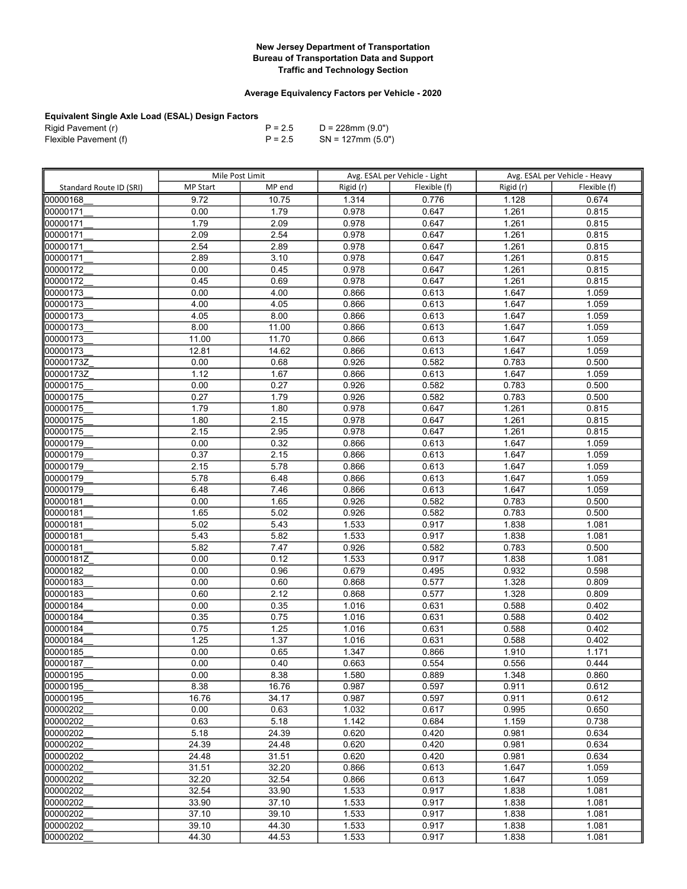## Average Equivalency Factors per Vehicle - 2020

| Rigid Pavement (r)    | $P = 2.5$ | D = 228mm (9.0")     |
|-----------------------|-----------|----------------------|
| Flexible Pavement (f) | $P = 2.5$ | $SN = 127$ mm (5.0") |

|                         | Mile Post Limit |                | Avg. ESAL per Vehicle - Light |                | Avg. ESAL per Vehicle - Heavy |                |
|-------------------------|-----------------|----------------|-------------------------------|----------------|-------------------------------|----------------|
| Standard Route ID (SRI) | <b>MP Start</b> | MP end         | Rigid (r)                     | Flexible (f)   | Rigid (r)                     | Flexible (f)   |
| 00000168                | 9.72            | 10.75          | 1.314                         | 0.776          | 1.128                         | 0.674          |
| 00000171                | 0.00            | 1.79           | 0.978                         | 0.647          | 1.261                         | 0.815          |
| 00000171                | 1.79            | 2.09           | 0.978                         | 0.647          | $\overline{1.261}$            | 0.815          |
| 00000171                | 2.09            | 2.54           | 0.978                         | 0.647          | 1.261                         | 0.815          |
| 00000171                | 2.54            | 2.89           | 0.978                         | 0.647          | 1.261                         | 0.815          |
| 00000171                | 2.89            | 3.10           | 0.978                         | 0.647          | 1.261                         | 0.815          |
| 00000172                | 0.00            | 0.45           | 0.978                         | 0.647          | 1.261                         | 0.815          |
| 00000172                | 0.45            | 0.69           | 0.978                         | 0.647          | 1.261                         | 0.815          |
| 00000173                | 0.00            | 4.00           | 0.866                         | 0.613          | 1.647                         | 1.059          |
| 00000173                | 4.00            | 4.05           | 0.866                         | 0.613          | 1.647                         | 1.059          |
| 00000173                | 4.05            | 8.00           | 0.866                         | 0.613          | 1.647                         | 1.059          |
| 00000173                | 8.00            | 11.00          | 0.866                         | 0.613          | 1.647                         | 1.059          |
| 00000173                | 11.00           | 11.70          | 0.866                         | 0.613          | 1.647                         | 1.059          |
| 00000173                | 12.81           | 14.62          | 0.866                         | 0.613          | 1.647                         | 1.059          |
| 00000173Z               | 0.00            | 0.68           | 0.926                         | 0.582          | 0.783                         | 0.500          |
| 00000173Z               | 1.12            | 1.67           | 0.866                         | 0.613          | 1.647                         | 1.059          |
| 00000175                | 0.00            | 0.27           | 0.926                         | 0.582          | 0.783                         | 0.500          |
| 00000175                | 0.27            | 1.79           | 0.926                         | 0.582          | 0.783                         | 0.500          |
| 00000175                | 1.79            | 1.80           | 0.978                         | 0.647          | 1.261                         | 0.815          |
| 00000175                | 1.80            | 2.15           | 0.978                         | 0.647          | 1.261                         | 0.815          |
| 00000175                | 2.15            | 2.95           | 0.978                         | 0.647          | 1.261                         | 0.815          |
| 00000179                | 0.00            | 0.32           | 0.866                         | 0.613          | 1.647                         | 1.059          |
| 00000179                | 0.37            | 2.15           | 0.866                         | 0.613          | 1.647                         | 1.059          |
| 00000179                | 2.15            | 5.78           | 0.866                         | 0.613          | 1.647                         | 1.059          |
| 00000179                | 5.78            | 6.48           | 0.866                         | 0.613          | 1.647                         | 1.059          |
| 00000179                | 6.48            | 7.46           | 0.866                         | 0.613          | 1.647                         | 1.059          |
| 00000181                | 0.00            | 1.65           | 0.926                         | 0.582          | 0.783                         | 0.500          |
| 00000181                | 1.65            | 5.02           | 0.926                         | 0.582          | 0.783                         | 0.500          |
| 00000181                | 5.02            | 5.43           | 1.533                         | 0.917          | 1.838                         | 1.081          |
| 00000181                | 5.43            | 5.82           | 1.533                         | 0.917          | 1.838                         | 1.081          |
| 00000181                | 5.82            | 7.47           | 0.926                         | 0.582          | 0.783                         | 0.500          |
| 00000181Z               | 0.00            | 0.12           | 1.533                         | 0.917          | 1.838                         | 1.081          |
| 00000182                | 0.00            | 0.96           | 0.679                         | 0.495          | 0.932                         | 0.598          |
| 00000183                | 0.00            | 0.60           | 0.868                         | 0.577          | 1.328                         | 0.809          |
| 00000183                | 0.60            | 2.12           | 0.868                         | 0.577          | 1.328                         | 0.809          |
| 00000184                | 0.00            | 0.35           | 1.016                         | 0.631          | 0.588                         | 0.402          |
| 00000184                | 0.35            | 0.75           | 1.016                         | 0.631          | 0.588                         | 0.402          |
| 00000184                | 0.75            | 1.25           | 1.016                         | 0.631          | 0.588                         | 0.402          |
| 00000184                | 1.25            | 1.37           | 1.016                         | 0.631          | 0.588                         | 0.402          |
| 00000185                | 0.00            | 0.65           | 1.347                         | 0.866          | 1.910                         | 1.171          |
| 00000187                | 0.00            | 0.40           | 0.663                         | 0.554          | 0.556                         | 0.444          |
| 00000195                | 0.00            | 8.38           | 1.580                         | 0.889          | 1.348                         | 0.860          |
| 00000195                | 8.38            | 16.76          | 0.987                         | 0.597          | 0.911                         | 0.612          |
| 00000195                | 16.76           | 34.17          | 0.987                         | 0.597          | 0.911                         | 0.612          |
| 00000202                | 0.00            | 0.63           | 1.032                         | 0.617          | 0.995                         | 0.650<br>0.738 |
| 00000202                | 0.63<br>5.18    | 5.18<br>24.39  | 1.142                         | 0.684          | 1.159                         | 0.634          |
| 00000202                |                 |                | 0.620                         | 0.420          | 0.981                         |                |
| 00000202<br>00000202    | 24.39<br>24.48  | 24.48<br>31.51 | 0.620<br>0.620                | 0.420<br>0.420 | 0.981<br>0.981                | 0.634<br>0.634 |
|                         |                 | 32.20          |                               | 0.613          |                               |                |
| 00000202<br>00000202    | 31.51<br>32.20  | 32.54          | 0.866                         |                | 1.647                         | 1.059          |
| 00000202                | 32.54           | 33.90          | 0.866                         | 0.613<br>0.917 | 1.647<br>1.838                | 1.059<br>1.081 |
| 00000202                | 33.90           | 37.10          | 1.533<br>1.533                | 0.917          | 1.838                         | 1.081          |
| 00000202                | 37.10           | 39.10          | 1.533                         | 0.917          | 1.838                         | 1.081          |
| 00000202                | 39.10           | 44.30          | 1.533                         | 0.917          | 1.838                         | 1.081          |
| 00000202                | 44.30           | 44.53          | 1.533                         | 0.917          |                               | 1.081          |
|                         |                 |                |                               |                | 1.838                         |                |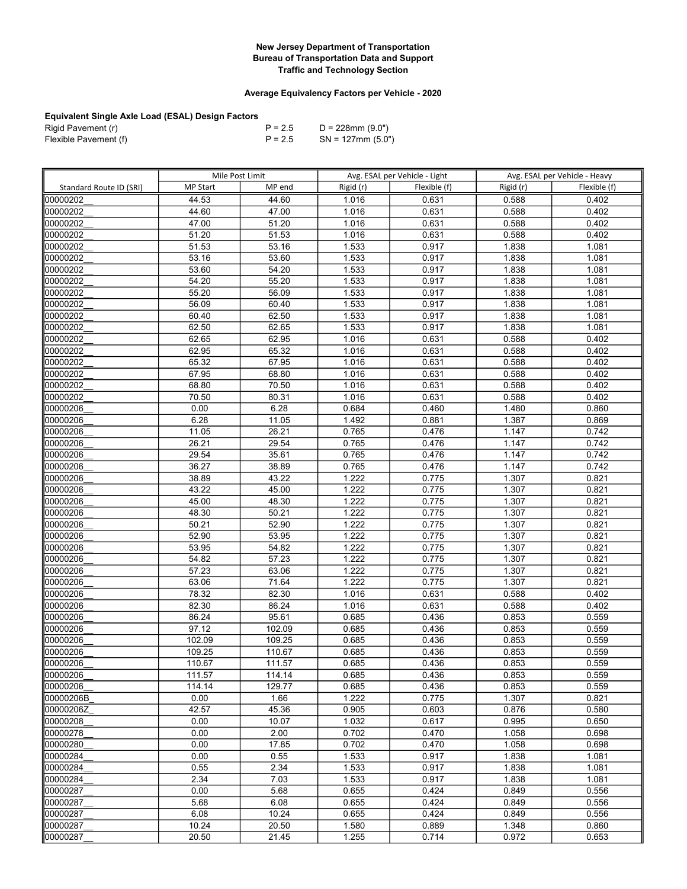## Average Equivalency Factors per Vehicle - 2020

| Rigid Pavement (r)    | $P = 2.5$ | D = 228mm (9.0")     |
|-----------------------|-----------|----------------------|
| Flexible Pavement (f) | $P = 2.5$ | $SN = 127$ mm (5.0") |

|                         | Mile Post Limit            |                  |                | Avg. ESAL per Vehicle - Light |                | Avg. ESAL per Vehicle - Heavy |
|-------------------------|----------------------------|------------------|----------------|-------------------------------|----------------|-------------------------------|
| Standard Route ID (SRI) | <b>MP Start</b>            | MP end           | Rigid (r)      | Flexible (f)                  | Rigid (r)      | Flexible (f)                  |
| 00000202                | 44.53                      | 44.60            | 1.016          | 0.631                         | 0.588          | 0.402                         |
| 00000202                | 44.60                      | 47.00            | 1.016          | 0.631                         | 0.588          | 0.402                         |
| 00000202                | 47.00                      | 51.20            | 1.016          | 0.631                         | 0.588          | 0.402                         |
| 00000202                | 51.20                      | 51.53            | 1.016          | 0.631                         | 0.588          | 0.402                         |
| 00000202                | 51.53                      | 53.16            | 1.533          | 0.917                         | 1.838          | 1.081                         |
| 00000202                | 53.16                      | 53.60            | 1.533          | 0.917                         | 1.838          | 1.081                         |
| 00000202                | 53.60                      | 54.20            | 1.533          | 0.917                         | 1.838          | 1.081                         |
| 00000202                | 54.20                      | 55.20            | 1.533          | 0.917                         | 1.838          | 1.081                         |
| 00000202                | 55.20                      | 56.09            | 1.533          | 0.917                         | 1.838          | 1.081                         |
| 00000202                | 56.09                      | 60.40            | 1.533          | 0.917                         | 1.838          | 1.081                         |
| 00000202                | 60.40                      | 62.50            | 1.533          | 0.917                         | 1.838          | 1.081                         |
| 00000202                | 62.50                      | 62.65            | 1.533          | 0.917                         | 1.838          | 1.081                         |
| 00000202                | 62.65                      | 62.95            | 1.016          | 0.631                         | 0.588          | 0.402                         |
| 00000202                | 62.95                      | 65.32            | 1.016          | 0.631                         | 0.588          | 0.402                         |
| 00000202                | 65.32                      | 67.95            | 1.016          | 0.631                         | 0.588          | 0.402                         |
| 00000202                | 67.95                      | 68.80            | 1.016          | 0.631                         | 0.588          | 0.402                         |
| 00000202                | 68.80                      | 70.50            | 1.016          | 0.631                         | 0.588          | 0.402                         |
| 00000202                | 70.50                      | 80.31            | 1.016          | 0.631                         | 0.588          | 0.402                         |
| 00000206                | 0.00                       | 6.28             | 0.684          | 0.460                         | 1.480          | 0.860                         |
| 00000206                | 6.28                       | 11.05            | 1.492          | 0.881                         | 1.387          | 0.869                         |
| 00000206                | 11.05                      | 26.21            | 0.765          | 0.476                         | 1.147          | 0.742                         |
| 00000206                | 26.21                      | 29.54            | 0.765          | 0.476                         | 1.147          | 0.742                         |
| 00000206                | 29.54                      | 35.61            | 0.765          | 0.476                         | 1.147          | 0.742                         |
| 00000206                | 36.27                      | 38.89            | 0.765          | 0.476                         | 1.147          | 0.742                         |
| 00000206                | 38.89                      | 43.22            | 1.222          | 0.775                         | 1.307          | 0.821                         |
| 00000206                | 43.22                      | 45.00            | 1.222          | 0.775                         | 1.307          | 0.821                         |
| 00000206                | 45.00                      | 48.30            | 1.222          | 0.775                         | 1.307          | 0.821                         |
| 00000206                | 48.30                      | 50.21            | 1.222          | 0.775                         | 1.307          | 0.821                         |
| 00000206                | 50.21                      | 52.90            | 1.222          | 0.775                         | 1.307          | 0.821                         |
| 00000206                | 52.90                      | 53.95            | 1.222          | 0.775                         | 1.307          | 0.821                         |
| 00000206                | 53.95                      | 54.82            | 1.222          | 0.775                         | 1.307          | 0.821                         |
| 00000206                | 54.82                      | 57.23            | 1.222          | 0.775                         | 1.307          | 0.821                         |
| 00000206                | 57.23                      | 63.06            | 1.222          | 0.775                         | 1.307          | 0.821                         |
| 00000206                | 63.06                      | 71.64            | 1.222          | 0.775                         | 1.307          | 0.821                         |
| 00000206                | 78.32                      | 82.30            | 1.016          | 0.631                         | 0.588          | 0.402                         |
| 00000206                | 82.30                      | 86.24            | 1.016          | 0.631                         | 0.588          | 0.402                         |
| 00000206                | 86.24<br>$\frac{1}{97.12}$ | 95.61            | 0.685          | 0.436                         | 0.853          | 0.559                         |
| 00000206                |                            | 102.09           | 0.685          | 0.436                         | 0.853          | 0.559                         |
| 00000206<br>00000206    | 102.09<br>109.25           | 109.25<br>110.67 | 0.685<br>0.685 | 0.436<br>0.436                | 0.853<br>0.853 | 0.559<br>0.559                |
| 00000206                | 110.67                     | 111.57           | 0.685          | 0.436                         | 0.853          | 0.559                         |
| 00000206                | 111.57                     | 114.14           | 0.685          | 0.436                         | 0.853          | 0.559                         |
| 00000206                | 114.14                     | 129.77           | 0.685          | 0.436                         | 0.853          | 0.559                         |
| 00000206B               | 0.00                       | 1.66             | 1.222          | 0.775                         | 1.307          | 0.821                         |
| 00000206Z               | 42.57                      | 45.36            | 0.905          | 0.603                         | 0.876          | 0.580                         |
| 00000208                | 0.00                       | 10.07            | 1.032          | 0.617                         | 0.995          | 0.650                         |
| 00000278                | 0.00                       | 2.00             | 0.702          | 0.470                         | 1.058          | 0.698                         |
| 00000280                | 0.00                       | 17.85            | 0.702          | 0.470                         | 1.058          | 0.698                         |
| 00000284                | 0.00                       | 0.55             | 1.533          | 0.917                         | 1.838          | 1.081                         |
| 00000284                | 0.55                       | 2.34             | 1.533          | 0.917                         | 1.838          | 1.081                         |
| 00000284                | 2.34                       | 7.03             | 1.533          | 0.917                         | 1.838          | 1.081                         |
| 00000287                | 0.00                       | 5.68             | 0.655          | 0.424                         | 0.849          | 0.556                         |
| 100000287               | 5.68                       | 6.08             | 0.655          | 0.424                         | 0.849          | 0.556                         |
| 00000287                | 6.08                       | 10.24            | 0.655          | 0.424                         | 0.849          | 0.556                         |
| 00000287                | 10.24                      | 20.50            | 1.580          | 0.889                         | 1.348          | 0.860                         |
| 00000287                | 20.50                      | 21.45            | 1.255          | 0.714                         | 0.972          | 0.653                         |
|                         |                            |                  |                |                               |                |                               |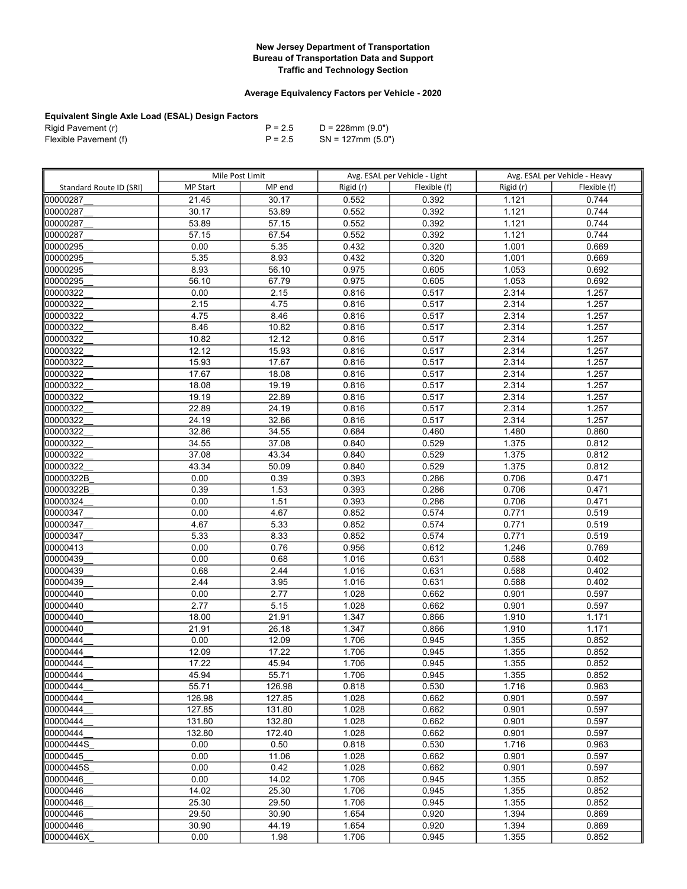## Average Equivalency Factors per Vehicle - 2020

| Rigid Pavement (r)    | $P = 2.5$ | D = 228mm (9.0")     |
|-----------------------|-----------|----------------------|
| Flexible Pavement (f) | $P = 2.5$ | $SN = 127$ mm (5.0") |

|                         | Mile Post Limit |        | Avg. ESAL per Vehicle - Light |              | Avg. ESAL per Vehicle - Heavy |              |
|-------------------------|-----------------|--------|-------------------------------|--------------|-------------------------------|--------------|
| Standard Route ID (SRI) | <b>MP Start</b> | MP end | Rigid (r)                     | Flexible (f) | Rigid (r)                     | Flexible (f) |
| 100000287               | 21.45           | 30.17  | 0.552                         | 0.392        | 1.121                         | 0.744        |
| 00000287                | 30.17           | 53.89  | 0.552                         | 0.392        | 1.121                         | 0.744        |
| 00000287                | 53.89           | 57.15  | 0.552                         | 0.392        | 1.121                         | 0.744        |
| 00000287                | 57.15           | 67.54  | 0.552                         | 0.392        | 1.121                         | 0.744        |
| 00000295                | 0.00            | 5.35   | 0.432                         | 0.320        | 1.001                         | 0.669        |
| 00000295                | 5.35            | 8.93   | 0.432                         | 0.320        | 1.001                         | 0.669        |
| 00000295                | 8.93            | 56.10  | 0.975                         | 0.605        | 1.053                         | 0.692        |
| 00000295                | 56.10           | 67.79  | 0.975                         | 0.605        | 1.053                         | 0.692        |
| 00000322                | 0.00            | 2.15   | 0.816                         | 0.517        | 2.314                         | 1.257        |
| 00000322                | 2.15            | 4.75   | 0.816                         | 0.517        | 2.314                         | 1.257        |
| 00000322                | 4.75            | 8.46   | 0.816                         | 0.517        | 2.314                         | 1.257        |
| 100000322               | 8.46            | 10.82  | 0.816                         | 0.517        | 2.314                         | 1.257        |
| 00000322                | 10.82           | 12.12  | 0.816                         | 0.517        | 2.314                         | 1.257        |
| 00000322                | 12.12           | 15.93  | 0.816                         | 0.517        | 2.314                         | 1.257        |
| 00000322                | 15.93           | 17.67  | 0.816                         | 0.517        | 2.314                         | 1.257        |
| 00000322                | 17.67           | 18.08  | 0.816                         | 0.517        | 2.314                         | 1.257        |
| 00000322                | 18.08           | 19.19  | 0.816                         | 0.517        | 2.314                         | 1.257        |
| 00000322                | 19.19           | 22.89  | 0.816                         | 0.517        | 2.314                         | 1.257        |
| 00000322                | 22.89           | 24.19  | 0.816                         | 0.517        | 2.314                         | 1.257        |
| 00000322                | 24.19           | 32.86  | 0.816                         | 0.517        | 2.314                         | 1.257        |
| 00000322                | 32.86           | 34.55  | 0.684                         | 0.460        | 1.480                         | 0.860        |
| 00000322                | 34.55           | 37.08  | 0.840                         | 0.529        | 1.375                         | 0.812        |
| 00000322                | 37.08           | 43.34  | 0.840                         | 0.529        | 1.375                         | 0.812        |
| 00000322                | 43.34           | 50.09  | 0.840                         | 0.529        | 1.375                         | 0.812        |
| 00000322B               | 0.00            | 0.39   | 0.393                         | 0.286        | 0.706                         | 0.471        |
| 00000322B               | 0.39            | 1.53   | 0.393                         | 0.286        | 0.706                         | 0.471        |
| 00000324                | 0.00            | 1.51   | 0.393                         | 0.286        | 0.706                         | 0.471        |
| 00000347                | 0.00            | 4.67   | 0.852                         | 0.574        | 0.771                         | 0.519        |
| 00000347                | 4.67            | 5.33   | 0.852                         | 0.574        | 0.771                         | 0.519        |
| 00000347                | 5.33            | 8.33   | 0.852                         | 0.574        | 0.771                         | 0.519        |
| 00000413                | 0.00            | 0.76   | 0.956                         | 0.612        | 1.246                         | 0.769        |
| 00000439                | 0.00            | 0.68   | 1.016                         | 0.631        | 0.588                         | 0.402        |
| 00000439                | 0.68            | 2.44   | 1.016                         | 0.631        | 0.588                         | 0.402        |
| 00000439                | 2.44            | 3.95   | 1.016                         | 0.631        | 0.588                         | 0.402        |
| 00000440                | 0.00            | 2.77   | 1.028                         | 0.662        | 0.901                         | 0.597        |
| 00000440                | 2.77            | 5.15   | 1.028                         | 0.662        | 0.901                         | 0.597        |
| 00000440                | 18.00           | 21.91  | 1.347                         | 0.866        | 1.910                         | 1.171        |
| 00000440                | 21.91           | 26.18  | 1.347                         | 0.866        | 1.910                         | 1.171        |
| 00000444                | 0.00            | 12.09  | 1.706                         | 0.945        | 1.355                         | 0.852        |
| 00000444                | 12.09           | 17.22  | 1.706                         | 0.945        | 1.355                         | 0.852        |
| 00000444                | 17.22           | 45.94  | 1.706                         | 0.945        | 1.355                         | 0.852        |
| 00000444                | 45.94           | 55.71  | 1.706                         | 0.945        | 1.355                         | 0.852        |
| 100000444               | 55.71           | 126.98 | 0.818                         | 0.530        | 1.716                         | 0.963        |
| 00000444                | 126.98          | 127.85 | 1.028                         | 0.662        | 0.901                         | 0.597        |
| 00000444                | 127.85          | 131.80 | 1.028                         | 0.662        | 0.901                         | 0.597        |
| 00000444                | 131.80          | 132.80 | 1.028                         | 0.662        | 0.901                         | 0.597        |
| 00000444                | 132.80          | 172.40 | 1.028                         | 0.662        | 0.901                         | 0.597        |
| 00000444S               | 0.00            | 0.50   | 0.818                         | 0.530        | 1.716                         | 0.963        |
| 00000445                | 0.00            | 11.06  | 1.028                         | 0.662        | 0.901                         | 0.597        |
| 00000445S               | 0.00            | 0.42   | 1.028                         | 0.662        | 0.901                         | 0.597        |
| 00000446                | 0.00            | 14.02  | 1.706                         | 0.945        | 1.355                         | 0.852        |
| 00000446                | 14.02           | 25.30  | 1.706                         | 0.945        | 1.355                         | 0.852        |
| 00000446                | 25.30           | 29.50  | 1.706                         | 0.945        | 1.355                         | 0.852        |
| 00000446                | 29.50           | 30.90  | 1.654                         | 0.920        | 1.394                         | 0.869        |
| 00000446                | 30.90           | 44.19  | 1.654                         | 0.920        | 1.394                         | 0.869        |
| 00000446X               | 0.00            | 1.98   | 1.706                         | 0.945        | 1.355                         | 0.852        |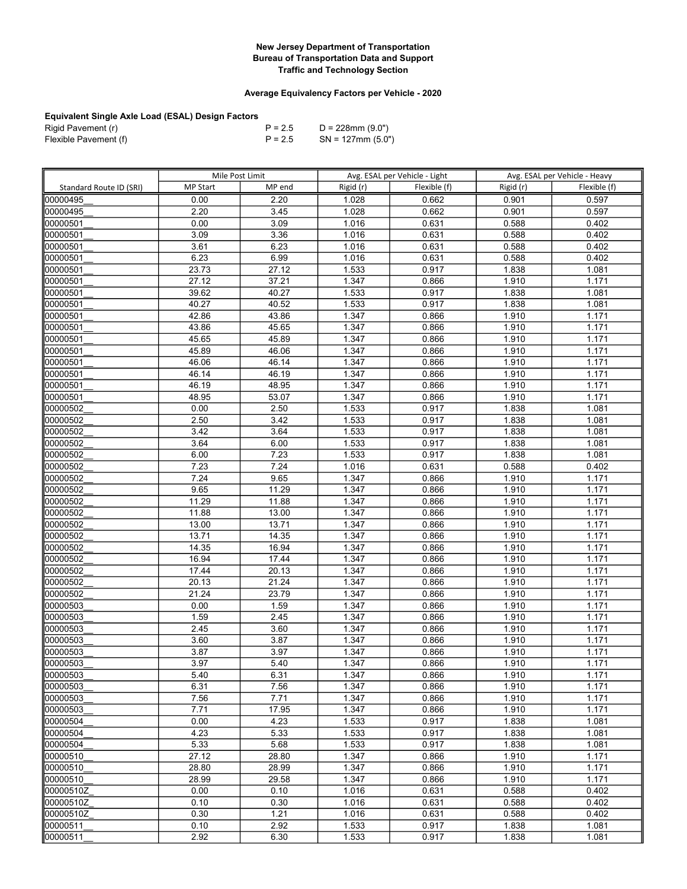## Average Equivalency Factors per Vehicle - 2020

| Rigid Pavement (r)    | $P = 2.5$ | D = 228mm (9.0")     |
|-----------------------|-----------|----------------------|
| Flexible Pavement (f) | $P = 2.5$ | $SN = 127$ mm (5.0") |

|                         | Mile Post Limit |        | Avg. ESAL per Vehicle - Light |              | Avg. ESAL per Vehicle - Heavy |              |
|-------------------------|-----------------|--------|-------------------------------|--------------|-------------------------------|--------------|
| Standard Route ID (SRI) | <b>MP Start</b> | MP end | Rigid (r)                     | Flexible (f) | Rigid (r)                     | Flexible (f) |
| 00000495                | 0.00            | 2.20   | 1.028                         | 0.662        | 0.901                         | 0.597        |
| 00000495                | 2.20            | 3.45   | 1.028                         | 0.662        | 0.901                         | 0.597        |
| 00000501                | 0.00            | 3.09   | 1.016                         | 0.631        | 0.588                         | 0.402        |
| 00000501                | 3.09            | 3.36   | 1.016                         | 0.631        | 0.588                         | 0.402        |
| 00000501                | 3.61            | 6.23   | 1.016                         | 0.631        | 0.588                         | 0.402        |
| 00000501                | 6.23            | 6.99   | 1.016                         | 0.631        | 0.588                         | 0.402        |
| 00000501                | 23.73           | 27.12  | 1.533                         | 0.917        | 1.838                         | 1.081        |
| 00000501                | 27.12           | 37.21  | 1.347                         | 0.866        | 1.910                         | 1.171        |
| 00000501                | 39.62           | 40.27  | 1.533                         | 0.917        | 1.838                         | 1.081        |
| 00000501                | 40.27           | 40.52  | 1.533                         | 0.917        | 1.838                         | 1.081        |
| 00000501                | 42.86           | 43.86  | 1.347                         | 0.866        | 1.910                         | 1.171        |
| 00000501                | 43.86           | 45.65  | 1.347                         | 0.866        | 1.910                         | 1.171        |
| 00000501                | 45.65           | 45.89  | 1.347                         | 0.866        | 1.910                         | 1.171        |
| 00000501                | 45.89           | 46.06  | 1.347                         | 0.866        | 1.910                         | 1.171        |
| 00000501                | 46.06           | 46.14  | 1.347                         | 0.866        | 1.910                         | 1.171        |
| 00000501                | 46.14           | 46.19  | 1.347                         | 0.866        | 1.910                         | 1.171        |
| 00000501                | 46.19           | 48.95  | 1.347                         | 0.866        | 1.910                         | 1.171        |
| 00000501                | 48.95           | 53.07  | 1.347                         | 0.866        | 1.910                         | 1.171        |
| 00000502                | 0.00            | 2.50   | 1.533                         | 0.917        | 1.838                         | 1.081        |
| 00000502                | 2.50            | 3.42   | 1.533                         | 0.917        | 1.838                         | 1.081        |
| 00000502                | 3.42            | 3.64   | 1.533                         | 0.917        | 1.838                         | 1.081        |
| 00000502                | 3.64            | 6.00   | 1.533                         | 0.917        | 1.838                         | 1.081        |
| 00000502                | 6.00            | 7.23   | 1.533                         | 0.917        | 1.838                         | 1.081        |
| 00000502                | 7.23            | 7.24   | 1.016                         | 0.631        | 0.588                         | 0.402        |
| 00000502                | 7.24            | 9.65   | 1.347                         | 0.866        | 1.910                         | 1.171        |
| 00000502                | 9.65            | 11.29  | 1.347                         | 0.866        | 1.910                         | 1.171        |
| 00000502                | 11.29           | 11.88  | 1.347                         | 0.866        | 1.910                         | 1.171        |
| 00000502                | 11.88           | 13.00  | 1.347                         | 0.866        | 1.910                         | 1.171        |
| 00000502                | 13.00           | 13.71  | 1.347                         | 0.866        | 1.910                         | 1.171        |
| 00000502                | 13.71           | 14.35  | 1.347                         | 0.866        | 1.910                         | 1.171        |
| 00000502                | 14.35           | 16.94  | 1.347                         | 0.866        | 1.910                         | 1.171        |
| 00000502                | 16.94           | 17.44  | 1.347                         | 0.866        | 1.910                         | 1.171        |
| 00000502                | 17.44           | 20.13  | 1.347                         | 0.866        | 1.910                         | 1.171        |
| 00000502                | 20.13           | 21.24  | 1.347                         | 0.866        | 1.910                         | 1.171        |
| 00000502                | 21.24           | 23.79  | 1.347                         | 0.866        | 1.910                         | 1.171        |
| 00000503                | 0.00            | 1.59   | 1.347                         | 0.866        | 1.910                         | 1.171        |
| 00000503                | 1.59            | 2.45   | 1.347                         | 0.866        | 1.910                         | 1.171        |
| 00000503                | 2.45            | 3.60   | 1.347                         | 0.866        | 1.910                         | 1.171        |
| 00000503                | 3.60            | 3.87   | 1.347                         | 0.866        | 1.910                         | 1.171        |
| 00000503                | 3.87            | 3.97   | 1.347                         | 0.866        | 1.910                         | 1.171        |
| 00000503                | 3.97            | 5.40   | 1.347                         | 0.866        | 1.910                         | 1.171        |
| 100000503               | 5.40            | 6.31   | 1.347                         | 0.866        | 1.910                         | 1.171        |
| 00000503                | 6.31            | 7.56   | 1.347                         | 0.866        | 1.910                         | 1.171        |
| 00000503                | 7.56            | 7.71   | 1.347                         | 0.866        | 1.910                         | 1.171        |
| 00000503                | 7.71            | 17.95  | 1.347                         | 0.866        | 1.910                         | 1.171        |
| 00000504                | 0.00            | 4.23   | 1.533                         | 0.917        | 1.838                         | 1.081        |
| 00000504                | 4.23            | 5.33   | 1.533                         | 0.917        | 1.838                         | 1.081        |
| 00000504                | 5.33            | 5.68   | 1.533                         | 0.917        | 1.838                         | 1.081        |
| 00000510                | 27.12           | 28.80  | 1.347                         | 0.866        | 1.910                         | 1.171        |
| 00000510                | 28.80           | 28.99  | 1.347                         | 0.866        | 1.910                         | 1.171        |
| 00000510                | 28.99           | 29.58  | 1.347                         | 0.866        | 1.910                         | 1.171        |
| 00000510Z               | 0.00            | 0.10   | 1.016                         | 0.631        | 0.588                         | 0.402        |
| 00000510Z               | 0.10            | 0.30   | 1.016                         | 0.631        | 0.588                         | 0.402        |
| l00000510Z              | 0.30            | 1.21   | 1.016                         | 0.631        | 0.588                         | 0.402        |
| 00000511                | 0.10            | 2.92   | 1.533                         | 0.917        | 1.838                         | 1.081        |
| 00000511                | 2.92            | 6.30   | 1.533                         | 0.917        | 1.838                         | 1.081        |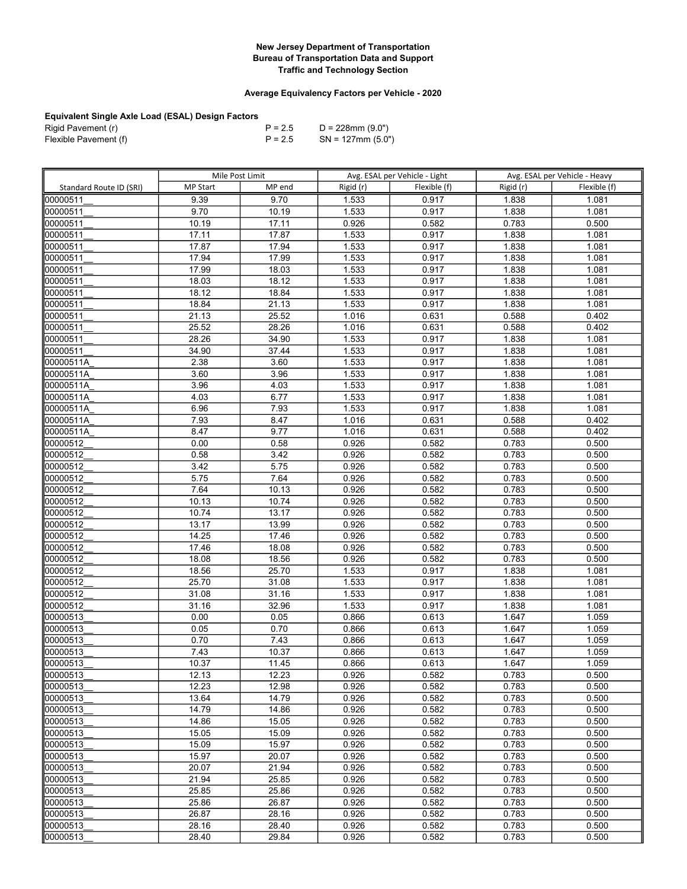## Average Equivalency Factors per Vehicle - 2020

| Rigid Pavement (r)    | $P = 2.5$ | D = 228mm (9.0")     |
|-----------------------|-----------|----------------------|
| Flexible Pavement (f) | $P = 2.5$ | $SN = 127$ mm (5.0") |

|                         | Mile Post Limit |                | Avg. ESAL per Vehicle - Light |                | Avg. ESAL per Vehicle - Heavy |                |
|-------------------------|-----------------|----------------|-------------------------------|----------------|-------------------------------|----------------|
| Standard Route ID (SRI) | <b>MP Start</b> | MP end         | Rigid (r)                     | Flexible (f)   | Rigid (r)                     | Flexible (f)   |
| 00000511                | 9.39            | 9.70           | 1.533                         | 0.917          | 1.838                         | 1.081          |
| 00000511                | 9.70            | 10.19          | 1.533                         | 0.917          | 1.838                         | 1.081          |
| 00000511                | 10.19           | 17.11          | 0.926                         | 0.582          | 0.783                         | 0.500          |
| 00000511                | 17.11           | 17.87          | 1.533                         | 0.917          | 1.838                         | 1.081          |
| 00000511                | 17.87           | 17.94          | 1.533                         | 0.917          | 1.838                         | 1.081          |
| 00000511                | 17.94           | 17.99          | 1.533                         | 0.917          | 1.838                         | 1.081          |
| 00000511                | 17.99           | 18.03          | 1.533                         | 0.917          | 1.838                         | 1.081          |
| 00000511                | 18.03           | 18.12          | 1.533                         | 0.917          | 1.838                         | 1.081          |
| 00000511                | 18.12           | 18.84          | 1.533                         | 0.917          | 1.838                         | 1.081          |
| 00000511                | 18.84           | 21.13          | 1.533                         | 0.917          | 1.838                         | 1.081          |
| 00000511                | 21.13           | 25.52          | 1.016                         | 0.631          | 0.588                         | 0.402          |
| 00000511                | 25.52           | 28.26          | 1.016                         | 0.631          | 0.588                         | 0.402          |
| 00000511                | 28.26           | 34.90          | 1.533                         | 0.917          | 1.838                         | 1.081          |
| 00000511                | 34.90           | 37.44          | 1.533                         | 0.917          | 1.838                         | 1.081          |
| 00000511A               | 2.38            | 3.60           | 1.533                         | 0.917          | 1.838                         | 1.081          |
| 00000511A               | 3.60            | 3.96           | 1.533                         | 0.917          | 1.838                         | 1.081          |
| 00000511A               | 3.96            | 4.03           | 1.533                         | 0.917          | 1.838                         | 1.081          |
| 00000511A               | 4.03            | 6.77           | 1.533                         | 0.917          | 1.838                         | 1.081          |
| 00000511A               | 6.96            | 7.93           | 1.533                         | 0.917          | 1.838                         | 1.081          |
| 00000511A               | 7.93            | 8.47           | 1.016                         | 0.631          | 0.588                         | 0.402          |
| 00000511A               | 8.47            | 9.77           | 1.016                         | 0.631          | 0.588                         | 0.402          |
| 00000512                | 0.00            | 0.58           | 0.926                         | 0.582          | 0.783                         | 0.500          |
| 00000512                | 0.58            | 3.42           | 0.926                         | 0.582          | 0.783                         | 0.500          |
| 00000512                | 3.42            | 5.75           | 0.926                         | 0.582          | 0.783                         | 0.500          |
| 00000512                | 5.75            | 7.64           | 0.926                         | 0.582          | 0.783                         | 0.500          |
| 00000512                | 7.64            | 10.13          | 0.926                         | 0.582          | 0.783                         | 0.500          |
| 00000512                | 10.13           | 10.74          | 0.926                         | 0.582          | 0.783                         | 0.500          |
| 00000512                | 10.74           | 13.17          | 0.926                         | 0.582          | 0.783                         | 0.500          |
| 00000512                | 13.17           | 13.99          | 0.926                         | 0.582          | 0.783                         | 0.500          |
| 00000512                | 14.25           | 17.46          | 0.926                         | 0.582          | 0.783                         | 0.500          |
| 00000512                | 17.46           | 18.08          | 0.926                         | 0.582          | 0.783                         | 0.500          |
| 00000512                | 18.08           | 18.56          | 0.926                         | 0.582          | 0.783                         | 0.500          |
| 00000512                | 18.56           | 25.70          | 1.533                         | 0.917          | 1.838                         | 1.081          |
| 00000512                | 25.70           | 31.08          | 1.533                         | 0.917          | 1.838                         | 1.081          |
| 00000512                | 31.08           | 31.16          | 1.533                         | 0.917          | 1.838                         | 1.081          |
| 00000512                | 31.16           | 32.96          | 1.533                         | 0.917          | 1.838                         | 1.081          |
| 00000513                | 0.00            | 0.05           | 0.866                         | 0.613          | 1.647                         | 1.059          |
| 00000513                | 0.05            | 0.70           | 0.866                         | 0.613          | 1.647                         | 1.059          |
| 00000513                | 0.70            | 7.43           | 0.866                         | 0.613          | 1.647                         | 1.059          |
| 00000513                | 7.43            | 10.37          | 0.866                         | 0.613          | 1.647                         | 1.059          |
| 00000513                | 10.37           | 11.45          | 0.866                         | 0.613          | 1.647                         | 1.059          |
| 00000513                | 12.13           | 12.23          | 0.926                         | 0.582          | 0.783                         | 0.500          |
| 00000513                | 12.23           | 12.98          | 0.926                         | 0.582          | 0.783                         | 0.500          |
| 00000513                | 13.64           | 14.79          | 0.926                         | 0.582          | 0.783                         | 0.500          |
| 00000513                | 14.79           | 14.86          | 0.926                         | 0.582          | 0.783                         | 0.500          |
| 00000513                | 14.86           | 15.05          | 0.926                         | 0.582          | 0.783                         | 0.500          |
| 00000513<br>00000513    | 15.05<br>15.09  | 15.09          | 0.926                         | 0.582          | 0.783                         | 0.500          |
| 00000513                | 15.97           | 15.97<br>20.07 | 0.926<br>0.926                | 0.582<br>0.582 | 0.783<br>0.783                | 0.500<br>0.500 |
| 00000513                | 20.07           | 21.94          | 0.926                         | 0.582          | 0.783                         | 0.500          |
| 00000513                | 21.94           | 25.85          | 0.926                         | 0.582          | 0.783                         | 0.500          |
| 00000513                | 25.85           | 25.86          | 0.926                         | 0.582          | 0.783                         | 0.500          |
| 00000513                | 25.86           | 26.87          | 0.926                         | 0.582          | 0.783                         | 0.500          |
| 00000513                | 26.87           | 28.16          | 0.926                         | 0.582          | 0.783                         | 0.500          |
| 00000513                | 28.16           | 28.40          | 0.926                         | 0.582          | 0.783                         | 0.500          |
| 00000513                | 28.40           | 29.84          | 0.926                         | 0.582          | 0.783                         | 0.500          |
|                         |                 |                |                               |                |                               |                |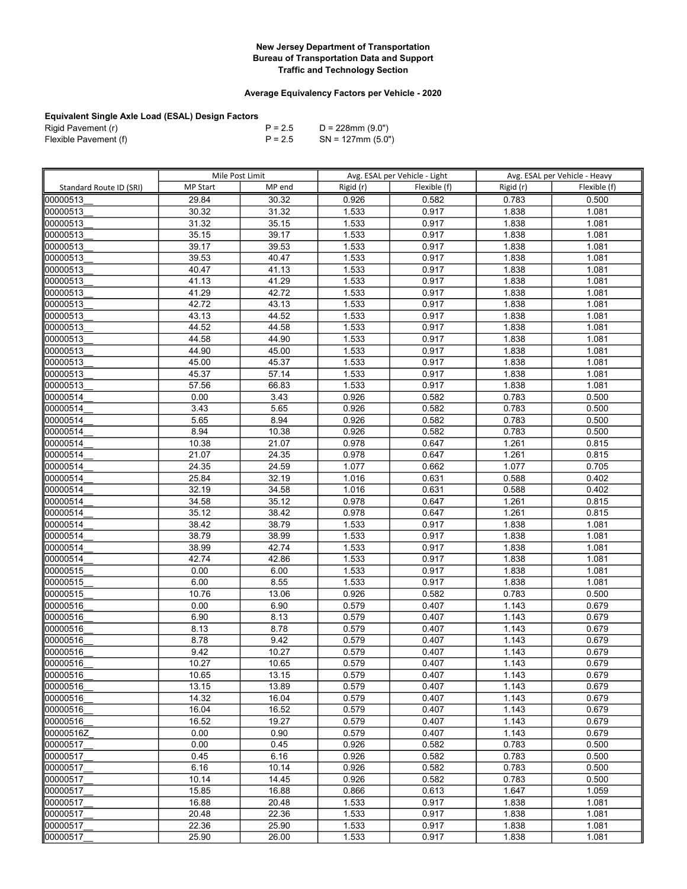## Average Equivalency Factors per Vehicle - 2020

| Rigid Pavement (r)    | $P = 2.5$ | D = 228mm (9.0")     |
|-----------------------|-----------|----------------------|
| Flexible Pavement (f) | $P = 2.5$ | $SN = 127$ mm (5.0") |

|                         | Mile Post Limit |        |           | Avg. ESAL per Vehicle - Light |           | Avg. ESAL per Vehicle - Heavy |
|-------------------------|-----------------|--------|-----------|-------------------------------|-----------|-------------------------------|
| Standard Route ID (SRI) | <b>MP Start</b> | MP end | Rigid (r) | Flexible (f)                  | Rigid (r) | Flexible (f)                  |
| 00000513                | 29.84           | 30.32  | 0.926     | 0.582                         | 0.783     | 0.500                         |
| 00000513                | 30.32           | 31.32  | 1.533     | 0.917                         | 1.838     | 1.081                         |
| 00000513                | 31.32           | 35.15  | 1.533     | 0.917                         | 1.838     | 1.081                         |
| 00000513                | 35.15           | 39.17  | 1.533     | 0.917                         | 1.838     | 1.081                         |
| 00000513                | 39.17           | 39.53  | 1.533     | 0.917                         | 1.838     | 1.081                         |
| 00000513                | 39.53           | 40.47  | 1.533     | 0.917                         | 1.838     | 1.081                         |
| 00000513                | 40.47           | 41.13  | 1.533     | 0.917                         | 1.838     | 1.081                         |
| 00000513                | 41.13           | 41.29  | 1.533     | 0.917                         | 1.838     | 1.081                         |
| 00000513                | 41.29           | 42.72  | 1.533     | 0.917                         | 1.838     | 1.081                         |
| 00000513                | 42.72           | 43.13  | 1.533     | 0.917                         | 1.838     | 1.081                         |
| 00000513                | 43.13           | 44.52  | 1.533     | 0.917                         | 1.838     | 1.081                         |
| 00000513                | 44.52           | 44.58  | 1.533     | 0.917                         | 1.838     | 1.081                         |
| 00000513                | 44.58           | 44.90  | 1.533     | 0.917                         | 1.838     | 1.081                         |
| 00000513                | 44.90           | 45.00  | 1.533     | 0.917                         | 1.838     | 1.081                         |
| 00000513                | 45.00           | 45.37  | 1.533     | 0.917                         | 1.838     | 1.081                         |
| 00000513                | 45.37           | 57.14  | 1.533     | 0.917                         | 1.838     | 1.081                         |
| 00000513                | 57.56           | 66.83  | 1.533     | 0.917                         | 1.838     | 1.081                         |
| 00000514                | 0.00            | 3.43   | 0.926     | 0.582                         | 0.783     | 0.500                         |
| 00000514                | 3.43            | 5.65   | 0.926     | 0.582                         | 0.783     | 0.500                         |
| 00000514                | 5.65            | 8.94   | 0.926     | 0.582                         | 0.783     | 0.500                         |
| 00000514                | 8.94            | 10.38  | 0.926     | 0.582                         | 0.783     | 0.500                         |
| 100000514               | 10.38           | 21.07  | 0.978     | 0.647                         | 1.261     | 0.815                         |
| 00000514                | 21.07           | 24.35  | 0.978     | 0.647                         | 1.261     | 0.815                         |
| 00000514                | 24.35           | 24.59  | 1.077     | 0.662                         | 1.077     | 0.705                         |
| 00000514                | 25.84           | 32.19  | 1.016     | 0.631                         | 0.588     | 0.402                         |
| 00000514                | 32.19           | 34.58  | 1.016     | 0.631                         | 0.588     | 0.402                         |
| 00000514                | 34.58           | 35.12  | 0.978     | 0.647                         | 1.261     | 0.815                         |
| 00000514                | 35.12           | 38.42  | 0.978     | 0.647                         | 1.261     | 0.815                         |
| 00000514                | 38.42           | 38.79  | 1.533     | 0.917                         | 1.838     | 1.081                         |
| 00000514                | 38.79           | 38.99  | 1.533     | 0.917                         | 1.838     | 1.081                         |
| 00000514                | 38.99           | 42.74  | 1.533     | 0.917                         | 1.838     | 1.081                         |
| 00000514                | 42.74           | 42.86  | 1.533     | 0.917                         | 1.838     | 1.081                         |
| 00000515                | 0.00            | 6.00   | 1.533     | 0.917                         | 1.838     | 1.081                         |
| 00000515                | 6.00            | 8.55   | 1.533     | 0.917                         | 1.838     | 1.081                         |
| 00000515                | 10.76           | 13.06  | 0.926     | 0.582                         | 0.783     | 0.500                         |
| 00000516                | 0.00            | 6.90   | 0.579     | 0.407                         | 1.143     | 0.679                         |
| 00000516                | 6.90            | 8.13   | 0.579     | 0.407                         | 1.143     | 0.679                         |
| 00000516                | 8.13            | 8.78   | 0.579     | 0.407                         | 1.143     | 0.679                         |
| 00000516                | 8.78            | 9.42   | 0.579     | 0.407                         | 1.143     | 0.679                         |
| 00000516                | 9.42            | 10.27  | 0.579     | 0.407                         | 1.143     | 0.679                         |
| 00000516                | 10.27           | 10.65  | 0.579     | 0.407                         | 1.143     | 0.679                         |
| 00000516                | 10.65           | 13.15  | 0.579     | 0.407                         | 1.143     | 0.679                         |
| 00000516                | 13.15           | 13.89  | 0.579     | 0.407                         | 1.143     | 0.679                         |
| 00000516                | 14.32           | 16.04  | 0.579     | 0.407                         | 1.143     | 0.679                         |
| 00000516                | 16.04           | 16.52  | 0.579     | 0.407                         | 1.143     | 0.679                         |
| 00000516                | 16.52           | 19.27  | 0.579     | 0.407                         | 1.143     | 0.679                         |
| 00000516Z               | 0.00            | 0.90   | 0.579     | 0.407                         | 1.143     | 0.679                         |
| 00000517                | 0.00            | 0.45   | 0.926     | 0.582                         | 0.783     | 0.500                         |
| 00000517                | 0.45            | 6.16   | 0.926     | 0.582                         | 0.783     | 0.500                         |
| 00000517                | 6.16            | 10.14  | 0.926     | 0.582                         | 0.783     | 0.500                         |
| 00000517                | 10.14           | 14.45  | 0.926     | 0.582                         | 0.783     | 0.500                         |
| 00000517                | 15.85           | 16.88  | 0.866     | 0.613                         | 1.647     | 1.059                         |
| 00000517<br>00000517    | 16.88<br>20.48  | 20.48  | 1.533     | 0.917<br>0.917                | 1.838     | 1.081<br>1.081                |
|                         |                 | 22.36  | 1.533     |                               | 1.838     |                               |
| 00000517                | 22.36           | 25.90  | 1.533     | 0.917                         | 1.838     | 1.081                         |
| 00000517                | 25.90           | 26.00  | 1.533     | 0.917                         | 1.838     | 1.081                         |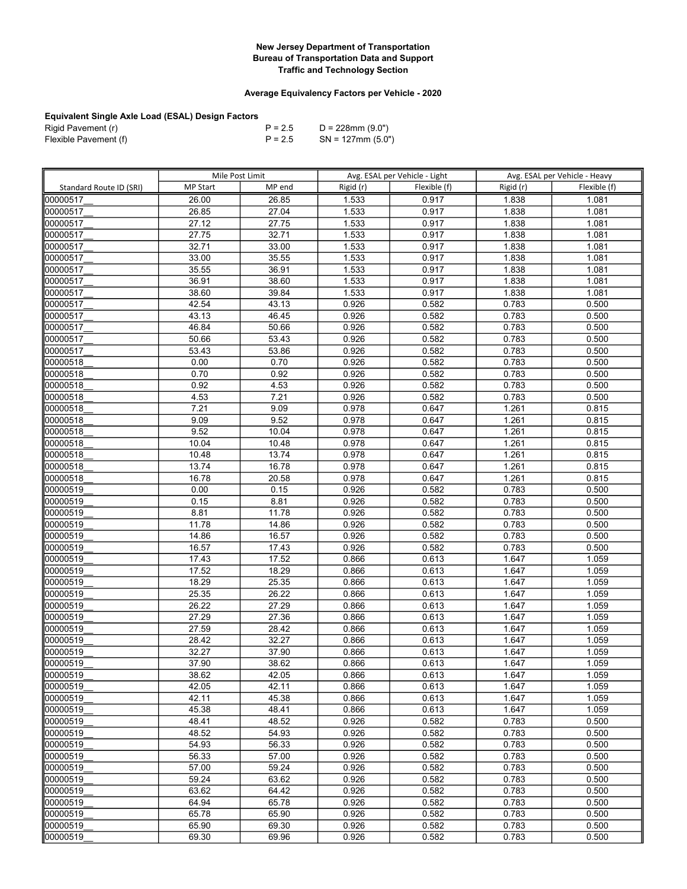## Average Equivalency Factors per Vehicle - 2020

| Rigid Pavement (r)    | $P = 2.5$ | D = 228mm (9.0")     |
|-----------------------|-----------|----------------------|
| Flexible Pavement (f) | $P = 2.5$ | $SN = 127$ mm (5.0") |

|                         | Mile Post Limit |        | Avg. ESAL per Vehicle - Light |              | Avg. ESAL per Vehicle - Heavy |              |
|-------------------------|-----------------|--------|-------------------------------|--------------|-------------------------------|--------------|
| Standard Route ID (SRI) | <b>MP Start</b> | MP end | Rigid (r)                     | Flexible (f) | Rigid (r)                     | Flexible (f) |
| 00000517                | 26.00           | 26.85  | 1.533                         | 0.917        | 1.838                         | 1.081        |
| 00000517                | 26.85           | 27.04  | 1.533                         | 0.917        | 1.838                         | 1.081        |
| 00000517                | 27.12           | 27.75  | 1.533                         | 0.917        | 1.838                         | 1.081        |
| 00000517                | 27.75           | 32.71  | 1.533                         | 0.917        | 1.838                         | 1.081        |
| 00000517                | 32.71           | 33.00  | 1.533                         | 0.917        | 1.838                         | 1.081        |
| 00000517                | 33.00           | 35.55  | 1.533                         | 0.917        | 1.838                         | 1.081        |
| 00000517                | 35.55           | 36.91  | 1.533                         | 0.917        | 1.838                         | 1.081        |
| 00000517                | 36.91           | 38.60  | 1.533                         | 0.917        | 1.838                         | 1.081        |
| 00000517                | 38.60           | 39.84  | 1.533                         | 0.917        | 1.838                         | 1.081        |
| 00000517                | 42.54           | 43.13  | 0.926                         | 0.582        | 0.783                         | 0.500        |
| 00000517                | 43.13           | 46.45  | 0.926                         | 0.582        | 0.783                         | 0.500        |
| 00000517                | 46.84           | 50.66  | 0.926                         | 0.582        | 0.783                         | 0.500        |
| 00000517                | 50.66           | 53.43  | 0.926                         | 0.582        | 0.783                         | 0.500        |
| 00000517                | 53.43           | 53.86  | 0.926                         | 0.582        | 0.783                         | 0.500        |
| 00000518                | 0.00            | 0.70   | 0.926                         | 0.582        | 0.783                         | 0.500        |
| 00000518                | 0.70            | 0.92   | 0.926                         | 0.582        | 0.783                         | 0.500        |
| 00000518                | 0.92            | 4.53   | 0.926                         | 0.582        | 0.783                         | 0.500        |
| 00000518                | 4.53            | 7.21   | 0.926                         | 0.582        | 0.783                         | 0.500        |
| 00000518                | 7.21            | 9.09   | 0.978                         | 0.647        | 1.261                         | 0.815        |
| 00000518                | 9.09            | 9.52   | 0.978                         | 0.647        | 1.261                         | 0.815        |
| 00000518                | 9.52            | 10.04  | 0.978                         | 0.647        | 1.261                         | 0.815        |
| 00000518                | 10.04           | 10.48  | 0.978                         | 0.647        | 1.261                         | 0.815        |
| 00000518                | 10.48           | 13.74  | 0.978                         | 0.647        | 1.261                         | 0.815        |
| 00000518                | 13.74           | 16.78  | 0.978                         | 0.647        | 1.261                         | 0.815        |
| 00000518                | 16.78           | 20.58  | 0.978                         | 0.647        | 1.261                         | 0.815        |
| 00000519                | 0.00            | 0.15   | 0.926                         | 0.582        | 0.783                         | 0.500        |
| 00000519                | 0.15            | 8.81   | 0.926                         | 0.582        | 0.783                         | 0.500        |
| 00000519                | 8.81            | 11.78  | 0.926                         | 0.582        | 0.783                         | 0.500        |
| 00000519                | 11.78           | 14.86  | 0.926                         | 0.582        | 0.783                         | 0.500        |
| 00000519                | 14.86           | 16.57  | 0.926                         | 0.582        | 0.783                         | 0.500        |
| 00000519                | 16.57           | 17.43  | 0.926                         | 0.582        | 0.783                         | 0.500        |
| 00000519                | 17.43           | 17.52  | 0.866                         | 0.613        | 1.647                         | 1.059        |
| 00000519                | 17.52           | 18.29  | 0.866                         | 0.613        | 1.647                         | 1.059        |
| 00000519                | 18.29           | 25.35  | 0.866                         | 0.613        | 1.647                         | 1.059        |
| 00000519                | 25.35           | 26.22  | 0.866                         | 0.613        | 1.647                         | 1.059        |
| 00000519                | 26.22           | 27.29  | 0.866                         | 0.613        | 1.647                         | 1.059        |
| 00000519                | 27.29           | 27.36  | 0.866                         | 0.613        | 1.647                         | 1.059        |
| 00000519                | 27.59           | 28.42  | 0.866                         | 0.613        | 1.647                         | 1.059        |
| 00000519                | 28.42           | 32.27  | 0.866                         | 0.613        | 1.647                         | 1.059        |
| 00000519                | 32.27           | 37.90  | 0.866                         | 0.613        | 1.647                         | 1.059        |
| 00000519                | 37.90           | 38.62  | 0.866                         | 0.613        | 1.647                         | 1.059        |
| 00000519                | 38.62           | 42.05  | 0.866                         | 0.613        | 1.647                         | 1.059        |
| 00000519                | 42.05           | 42.11  | 0.866                         | 0.613        | 1.647                         | 1.059        |
| 00000519                | 42.11           | 45.38  | 0.866                         | 0.613        | 1.647                         | 1.059        |
| 00000519                | 45.38           | 48.41  | 0.866                         | 0.613        | 1.647                         | 1.059        |
| 00000519                | 48.41           | 48.52  | 0.926                         | 0.582        | 0.783                         | 0.500        |
| 00000519                | 48.52           | 54.93  | 0.926                         | 0.582        | 0.783                         | 0.500        |
| 00000519                | 54.93           | 56.33  | 0.926                         | 0.582        | 0.783                         | 0.500        |
| 00000519                | 56.33           | 57.00  | 0.926                         | 0.582        | 0.783                         | 0.500        |
| 00000519                | 57.00           | 59.24  | 0.926                         | 0.582        | 0.783                         | 0.500        |
| 00000519                | 59.24           | 63.62  | 0.926                         | 0.582        | 0.783                         | 0.500        |
| 00000519                | 63.62           | 64.42  | 0.926                         | 0.582        | 0.783                         | 0.500        |
| 00000519                | 64.94           | 65.78  | 0.926                         | 0.582        | 0.783                         | 0.500        |
| 00000519                | 65.78           | 65.90  | 0.926                         | 0.582        | 0.783                         | 0.500        |
| 00000519                | 65.90           | 69.30  | 0.926                         | 0.582        | 0.783                         | 0.500        |
| 00000519                | 69.30           | 69.96  | 0.926                         | 0.582        | 0.783                         | 0.500        |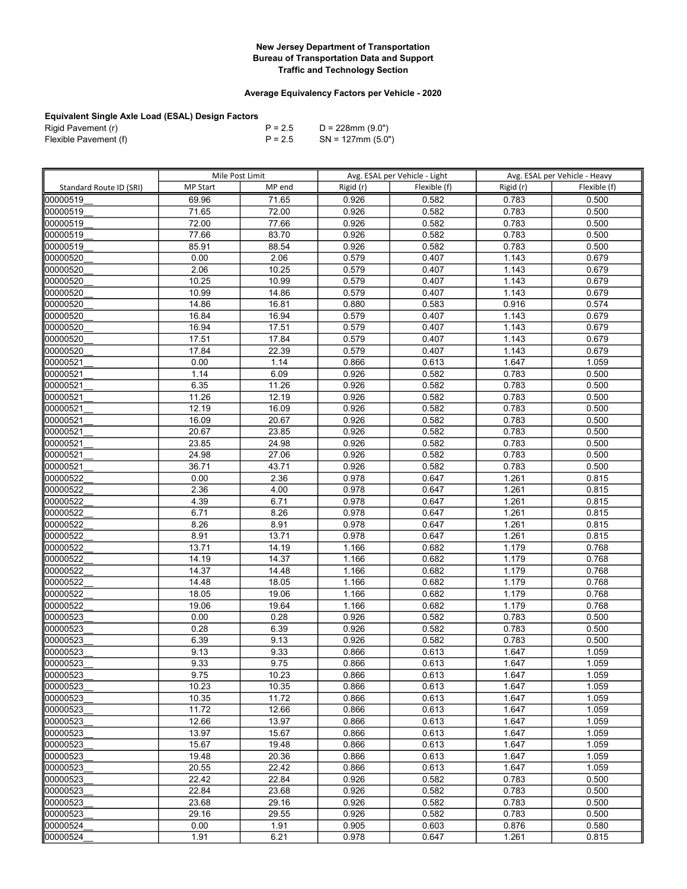## Average Equivalency Factors per Vehicle - 2020

| Rigid Pavement (r)    | $P = 2.5$ | D = 228mm (9.0")     |
|-----------------------|-----------|----------------------|
| Flexible Pavement (f) | $P = 2.5$ | $SN = 127$ mm (5.0") |

|                         | Mile Post Limit |                | Avg. ESAL per Vehicle - Light |                | Avg. ESAL per Vehicle - Heavy |                |
|-------------------------|-----------------|----------------|-------------------------------|----------------|-------------------------------|----------------|
| Standard Route ID (SRI) | <b>MP Start</b> | MP end         | Rigid (r)                     | Flexible (f)   | Rigid (r)                     | Flexible (f)   |
| looooo519               | 69.96           | 71.65          | 0.926                         | 0.582          | 0.783                         | 0.500          |
| 00000519                | 71.65           | 72.00          | 0.926                         | 0.582          | 0.783                         | 0.500          |
| 00000519                | 72.00           | 77.66          | 0.926                         | 0.582          | 0.783                         | 0.500          |
| 00000519                | 77.66           | 83.70          | 0.926                         | 0.582          | 0.783                         | 0.500          |
| 00000519                | 85.91           | 88.54          | 0.926                         | 0.582          | 0.783                         | 0.500          |
| 00000520                | 0.00            | 2.06           | 0.579                         | 0.407          | 1.143                         | 0.679          |
| 00000520                | 2.06            | 10.25          | 0.579                         | 0.407          | 1.143                         | 0.679          |
| 00000520                | 10.25           | 10.99          | 0.579                         | 0.407          | 1.143                         | 0.679          |
| 00000520                | 10.99           | 14.86          | 0.579                         | 0.407          | 1.143                         | 0.679          |
| 00000520                | 14.86           | 16.81          | 0.880                         | 0.583          | 0.916                         | 0.574          |
| 00000520                | 16.84           | 16.94          | 0.579                         | 0.407          | 1.143                         | 0.679          |
| 00000520                | 16.94           | 17.51          | 0.579                         | 0.407          | 1.143                         | 0.679          |
| 00000520                | 17.51           | 17.84          | 0.579                         | 0.407          | 1.143                         | 0.679          |
| 00000520                | 17.84           | 22.39          | 0.579                         | 0.407          | 1.143                         | 0.679          |
| 00000521                | 0.00            | 1.14           | 0.866                         | 0.613          | 1.647                         | 1.059          |
| 00000521                | 1.14            | 6.09           | 0.926                         | 0.582          | 0.783                         | 0.500          |
| 00000521                | 6.35            | 11.26          | 0.926                         | 0.582          | 0.783                         | 0.500          |
| 00000521                | 11.26           | 12.19          | 0.926                         | 0.582          | 0.783                         | 0.500          |
| 00000521                | 12.19           | 16.09          | 0.926                         | 0.582          | 0.783                         | 0.500          |
| 00000521                | 16.09           | 20.67          | 0.926                         | 0.582          | 0.783                         | 0.500          |
| 00000521                | 20.67           | 23.85          | 0.926                         | 0.582          | 0.783                         | 0.500          |
| 00000521                | 23.85           | 24.98          | 0.926                         | 0.582          | 0.783                         | 0.500          |
| 00000521                | 24.98           | 27.06          | 0.926                         | 0.582          | 0.783                         | 0.500          |
| 00000521                | 36.71           | 43.71          | 0.926                         | 0.582          | 0.783                         | 0.500          |
| 00000522                | 0.00            | 2.36           | 0.978                         | 0.647          | 1.261                         | 0.815          |
| 00000522                | 2.36            | 4.00           | 0.978                         | 0.647          | 1.261                         | 0.815          |
| 00000522                | 4.39            | 6.71           | 0.978                         | 0.647          | 1.261                         | 0.815          |
| 00000522                | 6.71            | 8.26           | 0.978                         | 0.647          | 1.261                         | 0.815          |
| 00000522                | 8.26            | 8.91           | 0.978                         | 0.647          | 1.261                         | 0.815          |
| 00000522                | 8.91            | 13.71          | 0.978                         | 0.647          | 1.261                         | 0.815          |
| 00000522                | 13.71           | 14.19          | 1.166                         | 0.682          | 1.179                         | 0.768          |
| 00000522                | 14.19           | 14.37          | 1.166                         | 0.682          | 1.179                         | 0.768          |
| 00000522                | 14.37           | 14.48          | 1.166                         | 0.682          | 1.179                         | 0.768          |
| 00000522                | 14.48           | 18.05          | 1.166                         | 0.682          | 1.179                         | 0.768          |
| 00000522                | 18.05           | 19.06          | 1.166                         | 0.682          | 1.179                         | 0.768          |
| 00000522                | 19.06           | 19.64          | 1.166                         | 0.682          | 1.179                         | 0.768          |
| 00000523                | 0.00            | 0.28           | 0.926                         | 0.582          | 0.783                         | 0.500          |
| 00000523                | 0.28            | 6.39           | 0.926                         | 0.582          | 0.783                         | 0.500          |
| 00000523                | 6.39            | 9.13           | 0.926                         | 0.582          | 0.783                         | 0.500          |
| 00000523                | 9.13            | 9.33           | 0.866                         | 0.613          | 1.647                         | 1.059          |
| 00000523                | 9.33            | 9.75           | 0.866                         | 0.613          | 1.647                         | 1.059          |
| 00000523<br>00000523    | 9.75<br>10.23   | 10.23<br>10.35 | 0.866<br>0.866                | 0.613<br>0.613 | 1.647<br>1.647                | 1.059<br>1.059 |
| 00000523                | 10.35           | 11.72          | 0.866                         | 0.613          | 1.647                         | 1.059          |
| 00000523                | 11.72           | 12.66          | 0.866                         | 0.613          | 1.647                         | 1.059          |
| 00000523                | 12.66           | 13.97          | 0.866                         | 0.613          | 1.647                         | 1.059          |
| 00000523                | 13.97           | 15.67          | 0.866                         | 0.613          | 1.647                         | 1.059          |
| 00000523                | 15.67           | 19.48          | 0.866                         | 0.613          | 1.647                         | 1.059          |
| 00000523                | 19.48           | 20.36          | 0.866                         | 0.613          | 1.647                         | 1.059          |
| 00000523                | 20.55           | 22.42          | 0.866                         | 0.613          | 1.647                         | 1.059          |
| 00000523                | 22.42           | 22.84          | 0.926                         | 0.582          | 0.783                         | 0.500          |
| 00000523                | 22.84           | 23.68          | 0.926                         | 0.582          | 0.783                         | 0.500          |
| 00000523                | 23.68           | 29.16          | 0.926                         | 0.582          | 0.783                         | 0.500          |
| 00000523                | 29.16           | 29.55          | 0.926                         | 0.582          | 0.783                         | 0.500          |
| 00000524                | 0.00            | 1.91           | 0.905                         | 0.603          | 0.876                         | 0.580          |
| 00000524                | 1.91            | 6.21           | 0.978                         | 0.647          | 1.261                         | 0.815          |
|                         |                 |                |                               |                |                               |                |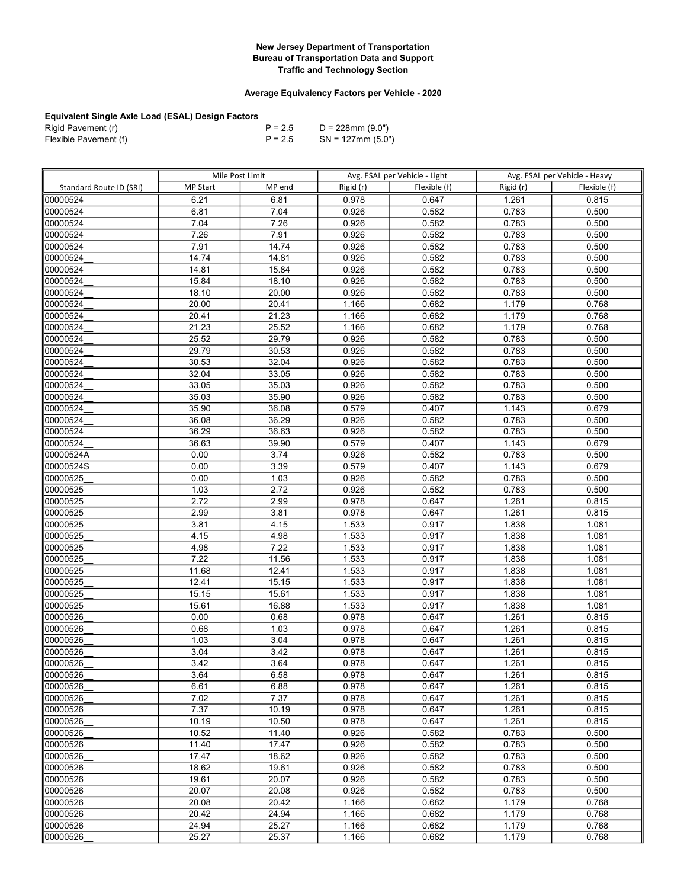## Average Equivalency Factors per Vehicle - 2020

| Rigid Pavement (r)    | $P = 2.5$ | D = 228mm (9.0")     |
|-----------------------|-----------|----------------------|
| Flexible Pavement (f) | $P = 2.5$ | $SN = 127$ mm (5.0") |

|                         | Mile Post Limit |        |           | Avg. ESAL per Vehicle - Light |           | Avg. ESAL per Vehicle - Heavy |
|-------------------------|-----------------|--------|-----------|-------------------------------|-----------|-------------------------------|
| Standard Route ID (SRI) | <b>MP Start</b> | MP end | Rigid (r) | Flexible (f)                  | Rigid (r) | Flexible (f)                  |
| 00000524                | 6.21            | 6.81   | 0.978     | 0.647                         | 1.261     | 0.815                         |
| 00000524                | 6.81            | 7.04   | 0.926     | 0.582                         | 0.783     | 0.500                         |
| 00000524                | 7.04            | 7.26   | 0.926     | 0.582                         | 0.783     | 0.500                         |
| 00000524                | 7.26            | 7.91   | 0.926     | 0.582                         | 0.783     | 0.500                         |
| 00000524                | 7.91            | 14.74  | 0.926     | 0.582                         | 0.783     | 0.500                         |
| 00000524                | 14.74           | 14.81  | 0.926     | 0.582                         | 0.783     | 0.500                         |
| 00000524                | 14.81           | 15.84  | 0.926     | 0.582                         | 0.783     | 0.500                         |
| 00000524                | 15.84           | 18.10  | 0.926     | 0.582                         | 0.783     | 0.500                         |
| 00000524                | 18.10           | 20.00  | 0.926     | 0.582                         | 0.783     | 0.500                         |
| 00000524                | 20.00           | 20.41  | 1.166     | 0.682                         | 1.179     | 0.768                         |
| 00000524                | 20.41           | 21.23  | 1.166     | 0.682                         | 1.179     | 0.768                         |
| 00000524                | 21.23           | 25.52  | 1.166     | 0.682                         | 1.179     | 0.768                         |
| 00000524                | 25.52           | 29.79  | 0.926     | 0.582                         | 0.783     | 0.500                         |
| 00000524                | 29.79           | 30.53  | 0.926     | 0.582                         | 0.783     | 0.500                         |
| 00000524                | 30.53           | 32.04  | 0.926     | 0.582                         | 0.783     | 0.500                         |
| 00000524                | 32.04           | 33.05  | 0.926     | 0.582                         | 0.783     | 0.500                         |
| 00000524                | 33.05           | 35.03  | 0.926     | 0.582                         | 0.783     | 0.500                         |
| 00000524                | 35.03           | 35.90  | 0.926     | 0.582                         | 0.783     | 0.500                         |
| 00000524                | 35.90           | 36.08  | 0.579     | 0.407                         | 1.143     | 0.679                         |
| 00000524                | 36.08           | 36.29  | 0.926     | 0.582                         | 0.783     | 0.500                         |
| 00000524                | 36.29           | 36.63  | 0.926     | 0.582                         | 0.783     | 0.500                         |
| 100000524               | 36.63           | 39.90  | 0.579     | 0.407                         | 1.143     | 0.679                         |
| 00000524A               | 0.00            | 3.74   | 0.926     | 0.582                         | 0.783     | 0.500                         |
| 00000524S               | 0.00            | 3.39   | 0.579     | 0.407                         | 1.143     | 0.679                         |
| 00000525                | 0.00            | 1.03   | 0.926     | 0.582                         | 0.783     | 0.500                         |
| 00000525                | 1.03            | 2.72   | 0.926     | 0.582                         | 0.783     | 0.500                         |
| 00000525                | 2.72            | 2.99   | 0.978     | 0.647                         | 1.261     | 0.815                         |
| 00000525                | 2.99            | 3.81   | 0.978     | 0.647                         | 1.261     | 0.815                         |
| 00000525                | 3.81            | 4.15   | 1.533     | 0.917                         | 1.838     | 1.081                         |
| 00000525                | 4.15            | 4.98   | 1.533     | 0.917                         | 1.838     | 1.081                         |
| 00000525                | 4.98            | 7.22   | 1.533     | 0.917                         | 1.838     | 1.081                         |
| 00000525                | 7.22            | 11.56  | 1.533     | 0.917                         | 1.838     | 1.081                         |
| 00000525                | 11.68           | 12.41  | 1.533     | 0.917                         | 1.838     | 1.081                         |
| 00000525                | 12.41           | 15.15  | 1.533     | 0.917                         | 1.838     | 1.081                         |
| 00000525                | 15.15           | 15.61  | 1.533     | 0.917                         | 1.838     | 1.081                         |
| 00000525                | 15.61           | 16.88  | 1.533     | 0.917                         | 1.838     | 1.081                         |
| 00000526                | 0.00            | 0.68   | 0.978     | 0.647                         | 1.261     | 0.815                         |
| 00000526                | 0.68            | 1.03   | 0.978     | 0.647                         | 1.261     | 0.815                         |
| 00000526                | 1.03            | 3.04   | 0.978     | 0.647                         | 1.261     | 0.815                         |
| 00000526                | 3.04            | 3.42   | 0.978     | 0.647                         | 1.261     | 0.815                         |
| 00000526                | 3.42            | 3.64   | 0.978     | 0.647                         | 1.261     | 0.815                         |
| 00000526                | 3.64            | 6.58   | 0.978     | 0.647                         | 1.261     | 0.815                         |
| 00000526                | 6.61            | 6.88   | 0.978     | 0.647                         | 1.261     | 0.815                         |
| 00000526                | 7.02            | 7.37   | 0.978     | 0.647                         | 1.261     | 0.815                         |
| 00000526                | 7.37            | 10.19  | 0.978     | 0.647                         | 1.261     | 0.815                         |
| 00000526                | 10.19           | 10.50  | 0.978     | 0.647                         | 1.261     | 0.815                         |
| 00000526                | 10.52           | 11.40  | 0.926     | 0.582                         | 0.783     | 0.500                         |
| 00000526                | 11.40           | 17.47  | 0.926     | 0.582                         | 0.783     | 0.500                         |
| 00000526                | 17.47           | 18.62  | 0.926     | 0.582                         | 0.783     | 0.500                         |
| 00000526                | 18.62           | 19.61  | 0.926     | 0.582                         | 0.783     | 0.500                         |
| 00000526                | 19.61           | 20.07  | 0.926     | 0.582                         | 0.783     | 0.500                         |
| 00000526                | 20.07           | 20.08  | 0.926     | 0.582                         | 0.783     | 0.500                         |
| 00000526                | 20.08           | 20.42  | 1.166     | 0.682                         | 1.179     | 0.768                         |
| 00000526                | 20.42           | 24.94  | 1.166     | 0.682                         | 1.179     | 0.768                         |
| 00000526                | 24.94           | 25.27  | 1.166     | 0.682                         | 1.179     | 0.768                         |
| 00000526                | 25.27           | 25.37  | 1.166     | 0.682                         | 1.179     | 0.768                         |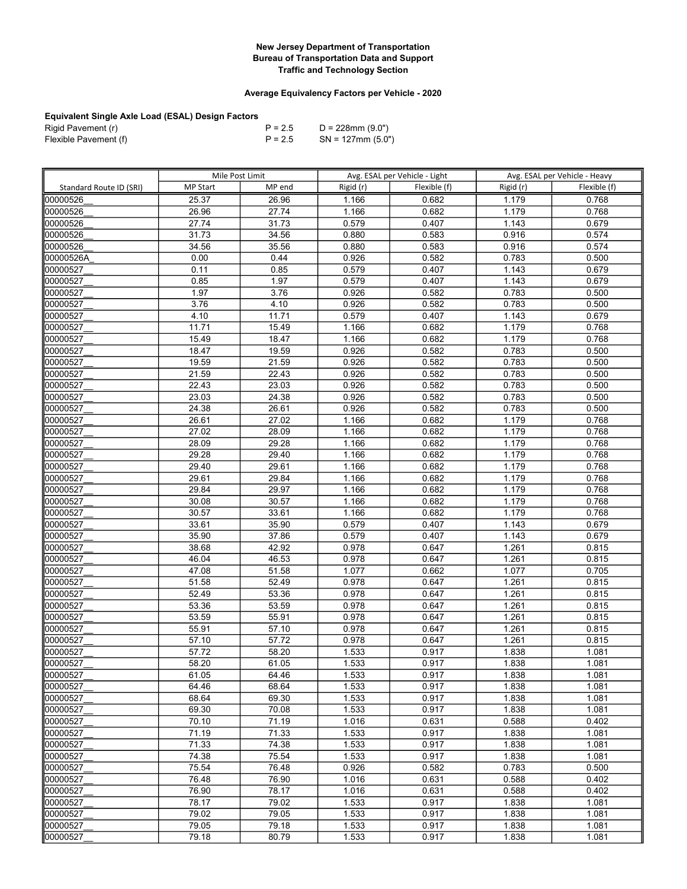## Average Equivalency Factors per Vehicle - 2020

| Rigid Pavement (r)    | $P = 2.5$ | D = 228mm (9.0")     |
|-----------------------|-----------|----------------------|
| Flexible Pavement (f) | $P = 2.5$ | $SN = 127$ mm (5.0") |

|                         | Mile Post Limit |                | Avg. ESAL per Vehicle - Light |                | Avg. ESAL per Vehicle - Heavy |                |
|-------------------------|-----------------|----------------|-------------------------------|----------------|-------------------------------|----------------|
| Standard Route ID (SRI) | <b>MP Start</b> | MP end         | Rigid (r)                     | Flexible (f)   | Rigid (r)                     | Flexible (f)   |
| 00000526                | 25.37           | 26.96          | 1.166                         | 0.682          | 1.179                         | 0.768          |
| 00000526                | 26.96           | 27.74          | 1.166                         | 0.682          | 1.179                         | 0.768          |
| 00000526                | 27.74           | 31.73          | 0.579                         | 0.407          | 1.143                         | 0.679          |
| 00000526                | 31.73           | 34.56          | 0.880                         | 0.583          | 0.916                         | 0.574          |
| 00000526                | 34.56           | 35.56          | 0.880                         | 0.583          | 0.916                         | 0.574          |
| 00000526A               | 0.00            | 0.44           | 0.926                         | 0.582          | 0.783                         | 0.500          |
| 00000527                | 0.11            | 0.85           | 0.579                         | 0.407          | 1.143                         | 0.679          |
| 00000527                | 0.85            | 1.97           | 0.579                         | 0.407          | 1.143                         | 0.679          |
| 00000527                | 1.97            | 3.76           | 0.926                         | 0.582          | 0.783                         | 0.500          |
| 00000527                | 3.76            | 4.10           | 0.926                         | 0.582          | 0.783                         | 0.500          |
| 00000527                | 4.10            | 11.71          | 0.579                         | 0.407          | 1.143                         | 0.679          |
| 00000527                | 11.71           | 15.49          | 1.166                         | 0.682          | 1.179                         | 0.768          |
| 00000527                | 15.49           | 18.47          | 1.166                         | 0.682          | 1.179                         | 0.768          |
| 00000527                | 18.47           | 19.59          | 0.926                         | 0.582          | 0.783                         | 0.500          |
| 00000527                | 19.59           | 21.59          | 0.926                         | 0.582          | 0.783                         | 0.500          |
| 00000527                | 21.59           | 22.43          | 0.926                         | 0.582          | 0.783                         | 0.500          |
| 00000527                | 22.43           | 23.03          | 0.926                         | 0.582          | 0.783                         | 0.500          |
| 00000527                | 23.03           | 24.38          | 0.926                         | 0.582          | 0.783                         | 0.500          |
| 00000527                | 24.38           | 26.61          | 0.926                         | 0.582          | 0.783                         | 0.500          |
| 00000527                | 26.61           | 27.02          | 1.166                         | 0.682          | 1.179                         | 0.768          |
| 00000527                | 27.02           | 28.09          | 1.166                         | 0.682          | 1.179                         | 0.768          |
| 00000527                | 28.09           | 29.28          | 1.166                         | 0.682          | 1.179                         | 0.768          |
| 00000527                | 29.28           | 29.40          | 1.166                         | 0.682          | 1.179                         | 0.768          |
| 00000527                | 29.40           | 29.61          | 1.166                         | 0.682          | 1.179                         | 0.768          |
| 00000527                | 29.61           | 29.84          | 1.166                         | 0.682          | 1.179                         | 0.768          |
| 00000527                | 29.84           | 29.97          | 1.166                         | 0.682          | 1.179                         | 0.768          |
| 00000527                | 30.08           | 30.57          | 1.166                         | 0.682          | 1.179                         | 0.768          |
| 00000527                | 30.57           | 33.61          | 1.166                         | 0.682          | 1.179                         | 0.768          |
| 00000527                | 33.61           | 35.90          | 0.579                         | 0.407          | 1.143                         | 0.679          |
| 00000527                | 35.90           | 37.86          | 0.579                         | 0.407          | 1.143                         | 0.679          |
| 00000527                | 38.68           | 42.92          | 0.978                         | 0.647          | 1.261                         | 0.815          |
| 00000527                | 46.04           | 46.53          | 0.978                         | 0.647          | 1.261                         | 0.815          |
| 00000527                | 47.08           | 51.58          | 1.077                         | 0.662          | 1.077                         | 0.705          |
| 00000527                | 51.58           | 52.49          | 0.978                         | 0.647          | 1.261                         | 0.815          |
| 00000527                | 52.49           | 53.36          | 0.978                         | 0.647          | 1.261                         | 0.815          |
| 00000527                | 53.36           | 53.59          | 0.978                         | 0.647          | 1.261                         | 0.815          |
| 00000527                | 53.59           | 55.91          | 0.978                         | 0.647          | 1.261                         | 0.815          |
| 00000527                | 55.91           | 57.10          | 0.978                         | 0.647          | 1.261                         | 0.815          |
| 00000527                | 57.10           | 57.72          | 0.978                         | 0.647          | 1.261                         | 0.815          |
| 00000527                | 57.72           | 58.20          | 1.533                         | 0.917          | 1.838                         | 1.081          |
| 00000527                | 58.20           | 61.05          | 1.533                         | 0.917          | 1.838                         | 1.081          |
| 00000527                | 61.05           | 64.46          | 1.533                         | 0.917          | 1.838                         | 1.081          |
| 00000527                | 64.46           | 68.64          | 1.533                         | 0.917          | 1.838                         | 1.081          |
| 00000527                | 68.64           | 69.30          | 1.533                         | 0.917          | 1.838                         | 1.081          |
| 00000527                | 69.30           | 70.08          | 1.533                         | 0.917          | 1.838                         | 1.081          |
| 00000527                | 70.10           | 71.19          | 1.016                         | 0.631          | 0.588                         | 0.402          |
| 00000527<br>00000527    | 71.19<br>71.33  | 71.33<br>74.38 | 1.533                         | 0.917          | 1.838                         | 1.081          |
| 00000527                | 74.38           | 75.54          | 1.533<br>1.533                | 0.917<br>0.917 | 1.838<br>1.838                | 1.081<br>1.081 |
| 00000527                | 75.54           | 76.48          | 0.926                         | 0.582          | 0.783                         | 0.500          |
| 00000527                | 76.48           | 76.90          | 1.016                         | 0.631          | 0.588                         | 0.402          |
| 00000527                | 76.90           | 78.17          | 1.016                         | 0.631          | 0.588                         | 0.402          |
| 00000527                | 78.17           | 79.02          |                               | 0.917          | 1.838                         | 1.081          |
| 00000527                | 79.02           | 79.05          | 1.533<br>1.533                | 0.917          | 1.838                         | 1.081          |
| 00000527                | 79.05           | 79.18          | 1.533                         | 0.917          | 1.838                         | 1.081          |
| 00000527                | 79.18           | 80.79          | 1.533                         | 0.917          | 1.838                         | 1.081          |
|                         |                 |                |                               |                |                               |                |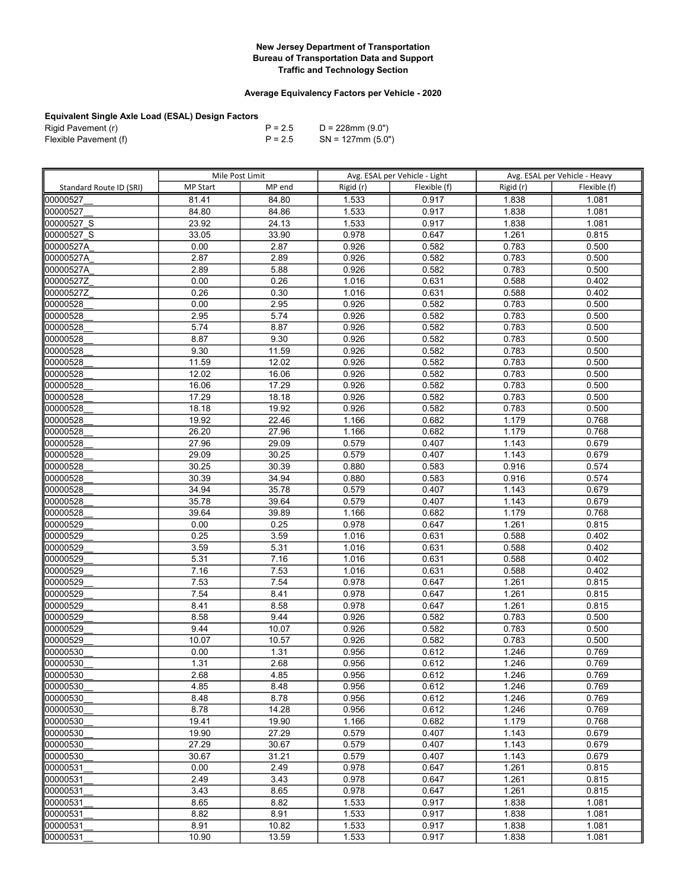## Average Equivalency Factors per Vehicle - 2020

| Rigid Pavement (r)    | $P = 2.5$ | D = 228mm (9.0")     |
|-----------------------|-----------|----------------------|
| Flexible Pavement (f) | $P = 2.5$ | $SN = 127$ mm (5.0") |

|                         | Mile Post Limit |        |           | Avg. ESAL per Vehicle - Light |           | Avg. ESAL per Vehicle - Heavy |
|-------------------------|-----------------|--------|-----------|-------------------------------|-----------|-------------------------------|
| Standard Route ID (SRI) | <b>MP Start</b> | MP end | Rigid (r) | Flexible (f)                  | Rigid (r) | Flexible (f)                  |
| 00000527                | 81.41           | 84.80  | 1.533     | 0.917                         | 1.838     | 1.081                         |
| 00000527                | 84.80           | 84.86  | 1.533     | 0.917                         | 1.838     | 1.081                         |
| 00000527 S              | 23.92           | 24.13  | 1.533     | 0.917                         | 1.838     | 1.081                         |
| 00000527 S              | 33.05           | 33.90  | 0.978     | 0.647                         | 1.261     | 0.815                         |
| 00000527A               | 0.00            | 2.87   | 0.926     | 0.582                         | 0.783     | 0.500                         |
| 00000527A               | 2.87            | 2.89   | 0.926     | 0.582                         | 0.783     | 0.500                         |
| 00000527A               | 2.89            | 5.88   | 0.926     | 0.582                         | 0.783     | 0.500                         |
| 00000527Z               | 0.00            | 0.26   | 1.016     | 0.631                         | 0.588     | 0.402                         |
| 00000527Z               | 0.26            | 0.30   | 1.016     | 0.631                         | 0.588     | 0.402                         |
| 00000528                | 0.00            | 2.95   | 0.926     | 0.582                         | 0.783     | 0.500                         |
| 00000528                | 2.95            | 5.74   | 0.926     | 0.582                         | 0.783     | 0.500                         |
| 00000528                | 5.74            | 8.87   | 0.926     | 0.582                         | 0.783     | 0.500                         |
| 00000528                | 8.87            | 9.30   | 0.926     | 0.582                         | 0.783     | 0.500                         |
| 00000528                | 9.30            | 11.59  | 0.926     | 0.582                         | 0.783     | 0.500                         |
| 00000528                | 11.59           | 12.02  | 0.926     | 0.582                         | 0.783     | 0.500                         |
| 00000528                | 12.02           | 16.06  | 0.926     | 0.582                         | 0.783     | 0.500                         |
| 00000528                | 16.06           | 17.29  | 0.926     | 0.582                         | 0.783     | 0.500                         |
| 00000528                | 17.29           | 18.18  | 0.926     | 0.582                         | 0.783     | 0.500                         |
| 00000528                | 18.18           | 19.92  | 0.926     | 0.582                         | 0.783     | 0.500                         |
| 00000528                | 19.92           | 22.46  | 1.166     | 0.682                         | 1.179     | 0.768                         |
| 00000528                | 26.20           | 27.96  | 1.166     | 0.682                         | 1.179     | 0.768                         |
| 00000528                | 27.96           | 29.09  | 0.579     | 0.407                         | 1.143     | 0.679                         |
| 00000528                | 29.09           | 30.25  | 0.579     | 0.407                         | 1.143     | 0.679                         |
| 00000528                | 30.25           | 30.39  | 0.880     | 0.583                         | 0.916     | 0.574                         |
| 00000528                | 30.39           | 34.94  | 0.880     | 0.583                         | 0.916     | 0.574                         |
| 00000528                | 34.94           | 35.78  | 0.579     | 0.407                         | 1.143     | 0.679                         |
| 00000528                | 35.78           | 39.64  | 0.579     | 0.407                         | 1.143     | 0.679                         |
| 00000528                | 39.64           | 39.89  | 1.166     | 0.682                         | 1.179     | 0.768                         |
| 00000529                | 0.00            | 0.25   | 0.978     | 0.647                         | 1.261     | 0.815                         |
| 00000529                | 0.25            | 3.59   | 1.016     | 0.631                         | 0.588     | 0.402                         |
| 00000529                | 3.59            | 5.31   | 1.016     | 0.631                         | 0.588     | 0.402                         |
| 00000529                | 5.31            | 7.16   | 1.016     | 0.631                         | 0.588     | 0.402                         |
| 00000529                | 7.16            | 7.53   | 1.016     | 0.631                         | 0.588     | 0.402                         |
| 00000529                | 7.53            | 7.54   | 0.978     | 0.647                         | 1.261     | 0.815                         |
| 00000529                | 7.54            | 8.41   | 0.978     | 0.647                         | 1.261     | 0.815                         |
| 00000529                | 8.41            | 8.58   | 0.978     | 0.647                         | 1.261     | 0.815                         |
| 00000529                | 8.58            | 9.44   | 0.926     | 0.582                         | 0.783     | 0.500                         |
| 00000529                | 9.44            | 10.07  | 0.926     | 0.582                         | 0.783     | 0.500                         |
| 00000529                | 10.07           | 10.57  | 0.926     | 0.582                         | 0.783     | 0.500                         |
| 00000530                | 0.00            | 1.31   | 0.956     | 0.612                         | 1.246     | 0.769                         |
| 00000530                | 1.31            | 2.68   | 0.956     | 0.612                         | 1.246     | 0.769                         |
| 00000530                | 2.68            | 4.85   | 0.956     | 0.612                         | 1.246     | 0.769                         |
| 00000530                | 4.85            | 8.48   | 0.956     | 0.612                         | 1.246     | 0.769                         |
| 00000530                | 8.48            | 8.78   | 0.956     | 0.612                         | 1.246     | 0.769                         |
| 00000530                | 8.78            | 14.28  | 0.956     | 0.612                         | 1.246     | 0.769                         |
| 00000530                | 19.41           | 19.90  | 1.166     | 0.682                         | 1.179     | 0.768                         |
| 00000530                | 19.90           | 27.29  | 0.579     | 0.407                         | 1.143     | 0.679                         |
| 00000530                | 27.29           | 30.67  | 0.579     | 0.407                         | 1.143     | 0.679                         |
| 00000530                | 30.67           | 31.21  | 0.579     | 0.407                         | 1.143     | 0.679                         |
| 00000531                | 0.00            | 2.49   | 0.978     | 0.647                         | 1.261     | 0.815                         |
| 00000531                | 2.49            | 3.43   | 0.978     | 0.647                         | 1.261     | 0.815                         |
| 00000531                | 3.43            | 8.65   | 0.978     | 0.647                         | 1.261     | 0.815                         |
| 00000531                | 8.65            | 8.82   | 1.533     | 0.917                         | 1.838     | 1.081                         |
| 00000531                | 8.82            | 8.91   | 1.533     | 0.917                         | 1.838     | 1.081                         |
| 00000531                | 8.91            | 10.82  | 1.533     | 0.917                         | 1.838     | 1.081                         |
| 00000531                | 10.90           | 13.59  | 1.533     | 0.917                         | 1.838     | 1.081                         |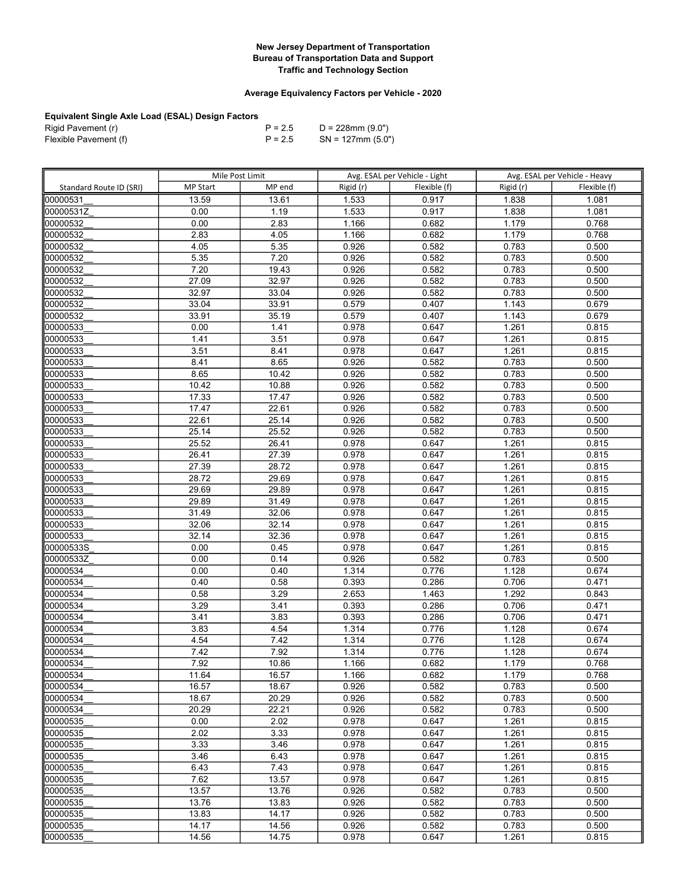## Average Equivalency Factors per Vehicle - 2020

| Rigid Pavement (r)    | $P = 2.5$ | D = 228mm (9.0")     |
|-----------------------|-----------|----------------------|
| Flexible Pavement (f) | $P = 2.5$ | $SN = 127$ mm (5.0") |

|                         | Mile Post Limit |              |                | Avg. ESAL per Vehicle - Light |                | Avg. ESAL per Vehicle - Heavy |  |
|-------------------------|-----------------|--------------|----------------|-------------------------------|----------------|-------------------------------|--|
| Standard Route ID (SRI) | <b>MP Start</b> | MP end       | Rigid (r)      | Flexible (f)                  | Rigid (r)      | Flexible (f)                  |  |
| 00000531                | 13.59           | 13.61        | 1.533          | 0.917                         | 1.838          | 1.081                         |  |
| 00000531Z               | 0.00            | 1.19         | 1.533          | 0.917                         | 1.838          | 1.081                         |  |
| 00000532                | 0.00            | 2.83         | 1.166          | 0.682                         | 1.179          | 0.768                         |  |
| 00000532                | 2.83            | 4.05         | 1.166          | 0.682                         | 1.179          | 0.768                         |  |
| 00000532                | 4.05            | 5.35         | 0.926          | 0.582                         | 0.783          | 0.500                         |  |
| 00000532                | 5.35            | 7.20         | 0.926          | 0.582                         | 0.783          | 0.500                         |  |
| 00000532                | 7.20            | 19.43        | 0.926          | 0.582                         | 0.783          | 0.500                         |  |
| 00000532                | 27.09           | 32.97        | 0.926          | 0.582                         | 0.783          | 0.500                         |  |
| 00000532                | 32.97           | 33.04        | 0.926          | 0.582                         | 0.783          | 0.500                         |  |
| 00000532                | 33.04           | 33.91        | 0.579          | 0.407                         | 1.143          | 0.679                         |  |
| 00000532                | 33.91           | 35.19        | 0.579          | 0.407                         | 1.143          | 0.679                         |  |
| 00000533                | 0.00            | 1.41         | 0.978          | 0.647                         | 1.261          | 0.815                         |  |
| 00000533                | 1.41            | 3.51         | 0.978          | 0.647                         | 1.261          | 0.815                         |  |
| 00000533                | 3.51            | 8.41         | 0.978          | 0.647                         | 1.261          | 0.815                         |  |
| 00000533                | 8.41            | 8.65         | 0.926          | 0.582                         | 0.783          | 0.500                         |  |
| 00000533                | 8.65            | 10.42        | 0.926          | 0.582                         | 0.783          | 0.500                         |  |
| 00000533                | 10.42           | 10.88        | 0.926          | 0.582                         | 0.783          | 0.500                         |  |
| 00000533                | 17.33           | 17.47        | 0.926          | 0.582                         | 0.783          | 0.500                         |  |
| 00000533                | 17.47           | 22.61        | 0.926          | 0.582                         | 0.783          | 0.500                         |  |
| 00000533                | 22.61           | 25.14        | 0.926          | 0.582                         | 0.783          | 0.500                         |  |
| 00000533                | 25.14           | 25.52        | 0.926          | 0.582                         | 0.783          | 0.500                         |  |
| 00000533                | 25.52           | 26.41        | 0.978          | 0.647                         | 1.261          | 0.815                         |  |
| 00000533                | 26.41           | 27.39        | 0.978          | 0.647                         | 1.261          | 0.815                         |  |
| 00000533                | 27.39           | 28.72        | 0.978          | 0.647                         | 1.261          | 0.815                         |  |
| 00000533                | 28.72           | 29.69        | 0.978          | 0.647                         | 1.261          | 0.815                         |  |
| 00000533                | 29.69           | 29.89        | 0.978          | 0.647                         | 1.261          | 0.815                         |  |
| 00000533                | 29.89           | 31.49        | 0.978          | 0.647                         | 1.261          | 0.815                         |  |
| 00000533                | 31.49           | 32.06        | 0.978          | 0.647                         | 1.261          | 0.815                         |  |
| 00000533                | 32.06           | 32.14        | 0.978          | 0.647                         | 1.261          | 0.815                         |  |
| 00000533                | 32.14           | 32.36        | 0.978          | 0.647                         | 1.261          | 0.815                         |  |
| 00000533S               | 0.00            | 0.45         | 0.978          | 0.647                         | 1.261          | 0.815                         |  |
| 00000533Z               | 0.00            | 0.14         | 0.926          | 0.582                         | 0.783          | 0.500                         |  |
| 00000534                | 0.00            | 0.40         | 1.314          | 0.776                         | 1.128          | 0.674                         |  |
| 00000534                | 0.40            | 0.58         | 0.393          | 0.286                         | 0.706          | 0.471                         |  |
| 00000534                | 0.58<br>3.29    | 3.29         | 2.653          | 1.463                         | 1.292<br>0.706 | 0.843<br>0.471                |  |
| 00000534<br>00000534    | 3.41            | 3.41<br>3.83 | 0.393<br>0.393 | 0.286<br>0.286                | 0.706          | 0.471                         |  |
| 00000534                | 3.83            | 4.54         | 1.314          | 0.776                         | 1.128          | 0.674                         |  |
| 00000534                | 4.54            | 7.42         | 1.314          | 0.776                         | 1.128          | 0.674                         |  |
| 00000534                | 7.42            | 7.92         | 1.314          | 0.776                         | 1.128          | 0.674                         |  |
| 00000534                | 7.92            | 10.86        | 1.166          | 0.682                         | 1.179          | 0.768                         |  |
| 00000534                | 11.64           | 16.57        | 1.166          | 0.682                         | 1.179          | 0.768                         |  |
| 100000534               | 16.57           | 18.67        | 0.926          | 0.582                         | 0.783          | 0.500                         |  |
| 00000534                | 18.67           | 20.29        | 0.926          | 0.582                         | 0.783          | 0.500                         |  |
| 00000534                | 20.29           | 22.21        | 0.926          | 0.582                         | 0.783          | 0.500                         |  |
| 00000535                | 0.00            | 2.02         | 0.978          | 0.647                         | 1.261          | 0.815                         |  |
| 00000535                | 2.02            | 3.33         | 0.978          | 0.647                         | 1.261          | 0.815                         |  |
| 00000535                | 3.33            | 3.46         | 0.978          | 0.647                         | 1.261          | 0.815                         |  |
| 00000535                | 3.46            | 6.43         | 0.978          | 0.647                         | 1.261          | 0.815                         |  |
| 00000535                | 6.43            | 7.43         | 0.978          | 0.647                         | 1.261          | 0.815                         |  |
| 00000535                | 7.62            | 13.57        | 0.978          | 0.647                         | 1.261          | 0.815                         |  |
| 00000535                | 13.57           | 13.76        | 0.926          | 0.582                         | 0.783          | 0.500                         |  |
| 00000535                | 13.76           | 13.83        | 0.926          | 0.582                         | 0.783          | 0.500                         |  |
| 00000535                | 13.83           | 14.17        | 0.926          | 0.582                         | 0.783          | 0.500                         |  |
| 00000535                | 14.17           | 14.56        | 0.926          | 0.582                         | 0.783          | 0.500                         |  |
| 00000535                | 14.56           | 14.75        | 0.978          | 0.647                         | 1.261          | 0.815                         |  |
|                         |                 |              |                |                               |                |                               |  |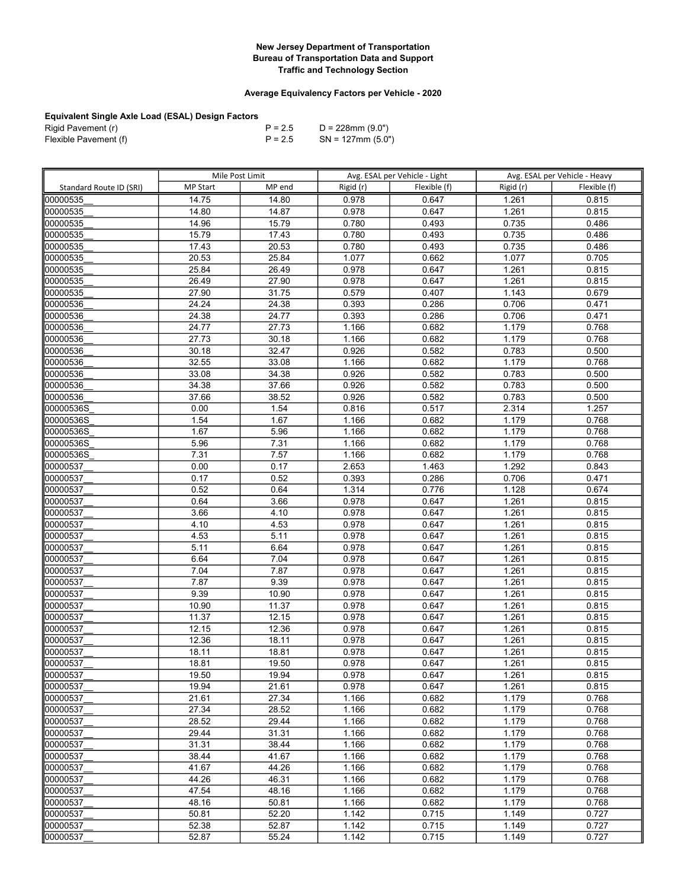## Average Equivalency Factors per Vehicle - 2020

| Rigid Pavement (r)    | $P = 2.5$ | D = 228mm (9.0")     |
|-----------------------|-----------|----------------------|
| Flexible Pavement (f) | $P = 2.5$ | $SN = 127$ mm (5.0") |

|                         | Mile Post Limit |                |                | Avg. ESAL per Vehicle - Light |                | Avg. ESAL per Vehicle - Heavy |
|-------------------------|-----------------|----------------|----------------|-------------------------------|----------------|-------------------------------|
| Standard Route ID (SRI) | <b>MP Start</b> | MP end         | Rigid (r)      | Flexible (f)                  | Rigid (r)      | Flexible (f)                  |
| 00000535                | 14.75           | 14.80          | 0.978          | 0.647                         | 1.261          | 0.815                         |
| 00000535                | 14.80           | 14.87          | 0.978          | 0.647                         | 1.261          | 0.815                         |
| 00000535                | 14.96           | 15.79          | 0.780          | 0.493                         | 0.735          | 0.486                         |
| 00000535                | 15.79           | 17.43          | 0.780          | 0.493                         | 0.735          | 0.486                         |
| 00000535                | 17.43           | 20.53          | 0.780          | 0.493                         | 0.735          | 0.486                         |
| 00000535                | 20.53           | 25.84          | 1.077          | 0.662                         | 1.077          | 0.705                         |
| 00000535                | 25.84           | 26.49          | 0.978          | 0.647                         | 1.261          | 0.815                         |
| 00000535                | 26.49           | 27.90          | 0.978          | 0.647                         | 1.261          | 0.815                         |
| 00000535                | 27.90           | 31.75          | 0.579          | 0.407                         | 1.143          | 0.679                         |
| 00000536                | 24.24           | 24.38          | 0.393          | 0.286                         | 0.706          | 0.471                         |
| 00000536                | 24.38           | 24.77          | 0.393          | 0.286                         | 0.706          | 0.471                         |
| 00000536                | 24.77           | 27.73          | 1.166          | 0.682                         | 1.179          | 0.768                         |
| 00000536                | 27.73           | 30.18          | 1.166          | 0.682                         | 1.179          | 0.768                         |
| 00000536                | 30.18           | 32.47          | 0.926          | 0.582                         | 0.783          | 0.500                         |
| 00000536                | 32.55           | 33.08          | 1.166          | 0.682                         | 1.179          | 0.768                         |
| 00000536                | 33.08           | 34.38          | 0.926          | 0.582                         | 0.783          | 0.500                         |
| 00000536                | 34.38           | 37.66          | 0.926          | 0.582                         | 0.783          | 0.500                         |
| 00000536                | 37.66           | 38.52          | 0.926          | 0.582                         | 0.783          | 0.500                         |
| 00000536S               | 0.00            | 1.54           | 0.816          | 0.517                         | 2.314          | 1.257                         |
| 00000536S               | 1.54            | 1.67           | 1.166          | 0.682                         | 1.179          | 0.768                         |
| 00000536S               | 1.67            | 5.96           | 1.166          | 0.682                         | 1.179          | 0.768                         |
| 00000536S               | 5.96            | 7.31           | 1.166          | 0.682                         | 1.179          | 0.768                         |
| 00000536S               | 7.31            | 7.57           | 1.166          | 0.682                         | 1.179          | 0.768                         |
| 00000537                | 0.00            | 0.17           | 2.653          | 1.463                         | 1.292          | 0.843                         |
| 00000537                | 0.17            | 0.52           | 0.393          | 0.286                         | 0.706          | 0.471                         |
| 00000537                | 0.52            | 0.64           | 1.314          | 0.776                         | 1.128          | 0.674                         |
| 00000537                | 0.64            | 3.66           | 0.978          | 0.647                         | 1.261          | 0.815                         |
| 00000537                | 3.66            | 4.10           | 0.978          | 0.647                         | 1.261          | 0.815                         |
| 00000537                | 4.10            | 4.53           | 0.978          | 0.647                         | 1.261          | 0.815                         |
| 00000537                | 4.53            | 5.11           | 0.978          | 0.647                         | 1.261          | 0.815                         |
| 00000537                | 5.11            | 6.64           | 0.978          | 0.647                         | 1.261          | 0.815                         |
| 00000537                | 6.64            | 7.04           | 0.978          | 0.647                         | 1.261          | 0.815                         |
| 00000537                | 7.04            | 7.87           | 0.978          | 0.647                         | 1.261          | 0.815                         |
| 00000537                | 7.87            | 9.39           | 0.978          | 0.647                         | 1.261          | 0.815                         |
| 00000537                | 9.39            | 10.90          | 0.978          | 0.647                         | 1.261          | 0.815                         |
| 00000537                | 10.90           | 11.37          | 0.978          | 0.647                         | 1.261          | 0.815                         |
| 00000537                | 11.37           | 12.15          | 0.978          | 0.647                         | 1.261          | 0.815                         |
| 00000537                | 12.15           | 12.36          | 0.978          | 0.647                         | 1.261          | 0.815                         |
| 00000537                | 12.36           | 18.11          | 0.978          | 0.647                         | 1.261          | 0.815                         |
| 00000537                | 18.11           | 18.81          | 0.978          | 0.647                         | 1.261          | 0.815                         |
| 00000537                | 18.81           | 19.50          | 0.978          | 0.647                         | 1.261          | 0.815                         |
| 00000537<br>00000537    | 19.50<br>19.94  | 19.94<br>21.61 | 0.978<br>0.978 | 0.647<br>0.647                | 1.261<br>1.261 | 0.815<br>0.815                |
| 00000537                | 21.61           | 27.34          | 1.166          | 0.682                         | 1.179          | 0.768                         |
| 00000537                | 27.34           | 28.52          | 1.166          | 0.682                         | 1.179          | 0.768                         |
| 00000537                | 28.52           | 29.44          | 1.166          | 0.682                         | 1.179          | 0.768                         |
| 00000537                | 29.44           | 31.31          | 1.166          | 0.682                         | 1.179          | 0.768                         |
| 00000537                | 31.31           | 38.44          | 1.166          | 0.682                         | 1.179          | 0.768                         |
| 00000537                | 38.44           | 41.67          | 1.166          | 0.682                         | 1.179          | 0.768                         |
| 00000537                | 41.67           | 44.26          | 1.166          | 0.682                         | 1.179          | 0.768                         |
| 00000537                | 44.26           | 46.31          | 1.166          | 0.682                         | 1.179          | 0.768                         |
| 00000537                | 47.54           | 48.16          | 1.166          | 0.682                         | 1.179          | 0.768                         |
| 00000537                | 48.16           | 50.81          | 1.166          | 0.682                         | 1.179          | 0.768                         |
| 00000537                | 50.81           | 52.20          | 1.142          | 0.715                         | 1.149          | 0.727                         |
| 00000537                | 52.38           | 52.87          | 1.142          | 0.715                         | 1.149          | 0.727                         |
| 00000537                | 52.87           | 55.24          | 1.142          | 0.715                         | 1.149          | 0.727                         |
|                         |                 |                |                |                               |                |                               |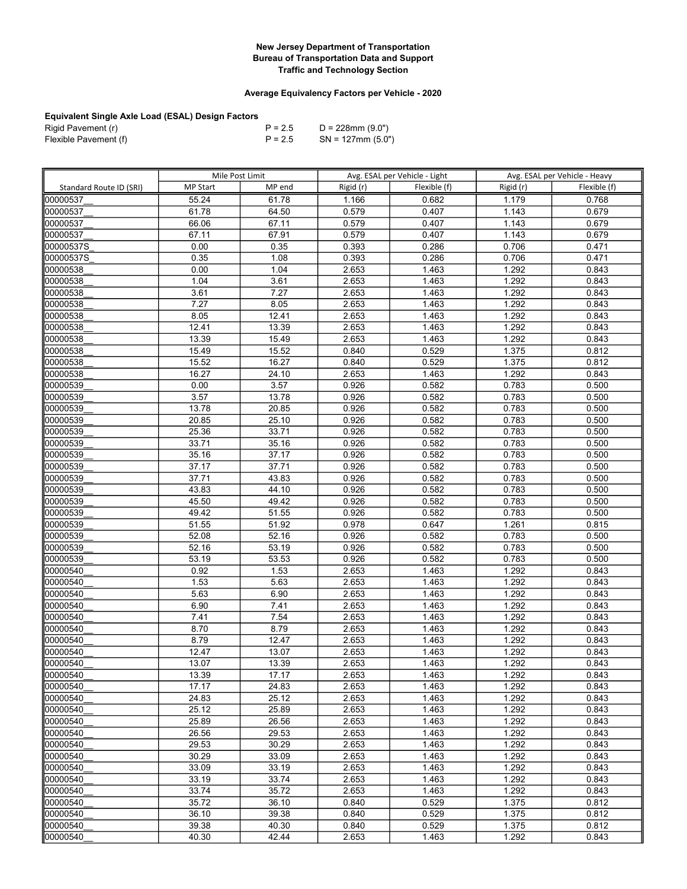## Average Equivalency Factors per Vehicle - 2020

| Rigid Pavement (r)    | $P = 2.5$ | D = 228mm (9.0")     |
|-----------------------|-----------|----------------------|
| Flexible Pavement (f) | $P = 2.5$ | $SN = 127$ mm (5.0") |

|                         | Mile Post Limit |                    |           | Avg. ESAL per Vehicle - Light |                | Avg. ESAL per Vehicle - Heavy |
|-------------------------|-----------------|--------------------|-----------|-------------------------------|----------------|-------------------------------|
| Standard Route ID (SRI) | <b>MP Start</b> | MP end             | Rigid (r) | Flexible (f)                  | Rigid (r)      | Flexible (f)                  |
| 00000537                | 55.24           | 61.78              | 1.166     | 0.682                         | 1.179          | 0.768                         |
| 00000537                | 61.78           | 64.50              | 0.579     | 0.407                         | 1.143          | 0.679                         |
| 00000537                | 66.06           | 67.11              | 0.579     | 0.407                         | 1.143          | 0.679                         |
| 00000537                | 67.11           | 67.91              | 0.579     | 0.407                         | 1.143          | 0.679                         |
| 00000537S               | 0.00            | 0.35               | 0.393     | 0.286                         | 0.706          | 0.471                         |
| 00000537S               | 0.35            | 1.08               | 0.393     | 0.286                         | 0.706          | 0.471                         |
| 00000538                | 0.00            | 1.04               | 2.653     | 1.463                         | 1.292          | 0.843                         |
| 00000538                | 1.04            | 3.61               | 2.653     | 1.463                         | 1.292          | 0.843                         |
| 00000538                | 3.61            | 7.27               | 2.653     | 1.463                         | 1.292          | 0.843                         |
| 00000538                | 7.27            | 8.05               | 2.653     | 1.463                         | 1.292          | 0.843                         |
| 00000538                | 8.05            | 12.41              | 2.653     | 1.463                         | 1.292          | 0.843                         |
| 00000538                | 12.41           | 13.39              | 2.653     | 1.463                         | 1.292          | 0.843                         |
| 00000538                | 13.39           | 15.49              | 2.653     | 1.463                         | 1.292          | 0.843                         |
| 00000538                | 15.49           | 15.52              | 0.840     | 0.529                         | 1.375          | 0.812                         |
| 00000538                | 15.52           | 16.27              | 0.840     | 0.529                         | 1.375          | 0.812                         |
| 00000538                | 16.27           | 24.10              | 2.653     | 1.463                         | 1.292          | 0.843                         |
| 00000539                | 0.00            | 3.57               | 0.926     | 0.582                         | 0.783          | 0.500                         |
| 00000539                | 3.57            | 13.78              | 0.926     | 0.582                         | 0.783          | 0.500                         |
| 00000539                | 13.78           | 20.85              | 0.926     | 0.582                         | 0.783          | 0.500                         |
| 00000539                | 20.85           | 25.10              | 0.926     | 0.582                         | 0.783          | 0.500                         |
| 00000539                | 25.36           | 33.71              | 0.926     | 0.582                         | 0.783          | 0.500                         |
| 00000539                | 33.71           | 35.16              | 0.926     | 0.582                         | 0.783          | 0.500                         |
| 00000539                | 35.16           | 37.17              | 0.926     | 0.582                         | 0.783          | 0.500                         |
| 00000539                | 37.17           | 37.71              | 0.926     | 0.582                         | 0.783          | 0.500                         |
| 00000539                | 37.71           | 43.83              | 0.926     | 0.582                         | 0.783          | 0.500                         |
| 00000539                | 43.83           | 44.10              | 0.926     | 0.582                         | 0.783          | 0.500                         |
| 00000539                | 45.50           | 49.42              | 0.926     | 0.582                         | 0.783          | 0.500                         |
| 00000539                | 49.42           | 51.55              | 0.926     | 0.582                         | 0.783          | 0.500                         |
| 00000539                | 51.55           | 51.92              | 0.978     | 0.647                         | 1.261          | 0.815                         |
| 00000539                | 52.08           | 52.16              | 0.926     | 0.582                         | 0.783          | 0.500                         |
| 00000539                | 52.16           | 53.19              | 0.926     | 0.582                         | 0.783          | 0.500                         |
| 00000539                | 53.19           | 53.53              | 0.926     | 0.582                         | 0.783          | 0.500                         |
| 00000540                | 0.92            | 1.53               | 2.653     | 1.463                         | 1.292          | 0.843                         |
| 00000540                | 1.53            | 5.63               | 2.653     | 1.463                         | 1.292          | 0.843                         |
| 00000540                | 5.63            | 6.90               | 2.653     | 1.463                         | 1.292          | 0.843                         |
| 00000540                | 6.90            | 7.41               | 2.653     | 1.463                         | 1.292          | 0.843                         |
| 00000540                | 7.41            | 7.54               | 2.653     | 1.463                         | 1.292          | 0.843                         |
| 00000540                | 8.70            | 8.79               | 2.653     | 1.463                         | 1.292          | 0.843                         |
| 00000540                | 8.79            | 12.47              | 2.653     | 1.463                         | 1.292          | 0.843                         |
| 00000540                | 12.47           | 13.07              | 2.653     | 1.463                         | 1.292          | 0.843                         |
| 00000540                | 13.07           | 13.39              | 2.653     | 1.463                         | 1.292          | 0.843                         |
| 00000540                | 13.39           | 17.17              | 2.653     | 1.463                         | 1.292          | 0.843                         |
| 100000540               | 17.17           | 24.83              | 2.653     | 1.463                         | 1.292          | 0.843                         |
| 00000540                | 24.83           | 25.12              | 2.653     | 1.463                         | 1.292          | 0.843                         |
| 00000540                | 25.12           | 25.89              | 2.653     | 1.463                         | 1.292          | 0.843                         |
| 00000540                | 25.89           | 26.56              | 2.653     | 1.463                         | 1.292          | 0.843                         |
| 00000540                | 26.56           | 29.53              | 2.653     | 1.463                         | 1.292          | 0.843                         |
| 00000540                | 29.53           | 30.29              | 2.653     | 1.463                         | 1.292          | 0.843                         |
| 00000540                | 30.29           | 33.09              | 2.653     | 1.463                         | 1.292          | 0.843                         |
| 00000540                | 33.09           | 33.19              | 2.653     | 1.463                         | 1.292          | 0.843                         |
| 00000540                | 33.19           | 33.74              | 2.653     | 1.463                         | 1.292          | 0.843                         |
| 00000540                | 33.74           | 35.72              | 2.653     | 1.463                         | 1.292          | 0.843                         |
| 00000540                | 35.72<br>36.10  | 36.10<br>39.38     | 0.840     | 0.529<br>0.529                | 1.375          | 0.812<br>0.812                |
| 00000540<br>00000540    | 39.38           | $\overline{40.30}$ | 0.840     |                               | 1.375          |                               |
|                         |                 |                    | 0.840     | 0.529<br>1.463                | 1.375<br>1.292 | 0.812                         |
| 00000540                | 40.30           | 42.44              | 2.653     |                               |                | 0.843                         |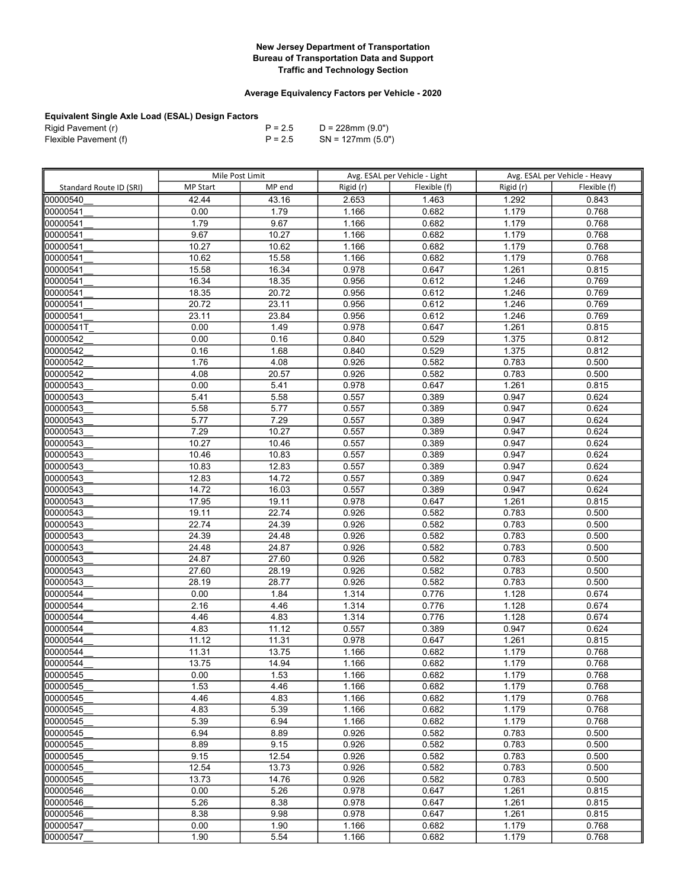## Average Equivalency Factors per Vehicle - 2020

| Rigid Pavement (r)    | $P = 2.5$ | D = 228mm (9.0")     |
|-----------------------|-----------|----------------------|
| Flexible Pavement (f) | $P = 2.5$ | $SN = 127$ mm (5.0") |

|                         | Mile Post Limit |        |           | Avg. ESAL per Vehicle - Light |           | Avg. ESAL per Vehicle - Heavy |
|-------------------------|-----------------|--------|-----------|-------------------------------|-----------|-------------------------------|
| Standard Route ID (SRI) | <b>MP Start</b> | MP end | Rigid (r) | Flexible (f)                  | Rigid (r) | Flexible (f)                  |
| 00000540                | 42.44           | 43.16  | 2.653     | 1.463                         | 1.292     | 0.843                         |
| 00000541                | 0.00            | 1.79   | 1.166     | 0.682                         | 1.179     | 0.768                         |
| 00000541                | 1.79            | 9.67   | 1.166     | 0.682                         | 1.179     | 0.768                         |
| 00000541                | 9.67            | 10.27  | 1.166     | 0.682                         | 1.179     | 0.768                         |
| 00000541                | 10.27           | 10.62  | 1.166     | 0.682                         | 1.179     | 0.768                         |
| 00000541                | 10.62           | 15.58  | 1.166     | 0.682                         | 1.179     | 0.768                         |
| 00000541                | 15.58           | 16.34  | 0.978     | 0.647                         | 1.261     | 0.815                         |
| 00000541                | 16.34           | 18.35  | 0.956     | 0.612                         | 1.246     | 0.769                         |
| 00000541                | 18.35           | 20.72  | 0.956     | 0.612                         | 1.246     | 0.769                         |
| 00000541                | 20.72           | 23.11  | 0.956     | 0.612                         | 1.246     | 0.769                         |
| 00000541                | 23.11           | 23.84  | 0.956     | 0.612                         | 1.246     | 0.769                         |
| looooo541T              | 0.00            | 1.49   | 0.978     | 0.647                         | 1.261     | 0.815                         |
| 00000542                | 0.00            | 0.16   | 0.840     | 0.529                         | 1.375     | 0.812                         |
| 00000542                | 0.16            | 1.68   | 0.840     | 0.529                         | 1.375     | 0.812                         |
| 00000542                | 1.76            | 4.08   | 0.926     | 0.582                         | 0.783     | 0.500                         |
| 00000542                | 4.08            | 20.57  | 0.926     | 0.582                         | 0.783     | 0.500                         |
| 00000543                | 0.00            | 5.41   | 0.978     | 0.647                         | 1.261     | 0.815                         |
| 00000543                | 5.41            | 5.58   | 0.557     | 0.389                         | 0.947     | 0.624                         |
| 00000543                | 5.58            | 5.77   | 0.557     | 0.389                         | 0.947     | 0.624                         |
| 00000543                | 5.77            | 7.29   | 0.557     | 0.389                         | 0.947     | 0.624                         |
| 00000543                | 7.29            | 10.27  | 0.557     | 0.389                         | 0.947     | 0.624                         |
| 00000543                | 10.27           | 10.46  | 0.557     | 0.389                         | 0.947     | 0.624                         |
| 00000543                | 10.46           | 10.83  | 0.557     | 0.389                         | 0.947     | 0.624                         |
| 00000543                | 10.83           | 12.83  | 0.557     | 0.389                         | 0.947     | 0.624                         |
| 00000543                | 12.83           | 14.72  | 0.557     | 0.389                         | 0.947     | 0.624                         |
| 00000543                | 14.72           | 16.03  | 0.557     | 0.389                         | 0.947     | 0.624                         |
| 00000543                | 17.95           | 19.11  | 0.978     | 0.647                         | 1.261     | 0.815                         |
| 00000543                | 19.11           | 22.74  | 0.926     | 0.582                         | 0.783     | 0.500                         |
| 00000543                | 22.74           | 24.39  | 0.926     | 0.582                         | 0.783     | 0.500                         |
| 00000543                | 24.39           | 24.48  | 0.926     | 0.582                         | 0.783     | 0.500                         |
| 00000543                | 24.48           | 24.87  | 0.926     | 0.582                         | 0.783     | 0.500                         |
| 00000543                | 24.87           | 27.60  | 0.926     | 0.582                         | 0.783     | 0.500                         |
| 00000543                | 27.60           | 28.19  | 0.926     | 0.582                         | 0.783     | 0.500                         |
| 00000543                | 28.19           | 28.77  | 0.926     | 0.582                         | 0.783     | 0.500                         |
| 00000544                | 0.00            | 1.84   | 1.314     | 0.776                         | 1.128     | 0.674                         |
| 00000544                | 2.16            | 4.46   | 1.314     | 0.776                         | 1.128     | 0.674                         |
| 00000544                | 4.46            | 4.83   | 1.314     | 0.776                         | 1.128     | 0.674                         |
| 00000544                | 4.83            | 11.12  | 0.557     | 0.389                         | 0.947     | 0.624                         |
| 00000544                | 11.12           | 11.31  | 0.978     | 0.647                         | 1.261     | 0.815                         |
| 00000544                | 11.31           | 13.75  | 1.166     | 0.682                         | 1.179     | 0.768                         |
| 00000544                | 13.75           | 14.94  | 1.166     | 0.682                         | 1.179     | 0.768                         |
| 00000545                | 0.00            | 1.53   | 1.166     | 0.682                         | 1.179     | 0.768                         |
| 00000545                | 1.53            | 4.46   | 1.166     | 0.682                         | 1.179     | 0.768                         |
| 00000545                | 4.46            | 4.83   | 1.166     | 0.682                         | 1.179     | 0.768                         |
| 00000545                | 4.83            | 5.39   | 1.166     | 0.682                         | 1.179     | 0.768                         |
| 00000545                | 5.39            | 6.94   | 1.166     | 0.682                         | 1.179     | 0.768                         |
| 00000545                | 6.94            | 8.89   | 0.926     | 0.582                         | 0.783     | 0.500                         |
| 00000545                | 8.89            | 9.15   | 0.926     | 0.582                         | 0.783     | 0.500                         |
| 00000545                | 9.15            | 12.54  | 0.926     | 0.582                         | 0.783     | 0.500                         |
| 00000545                | 12.54           | 13.73  | 0.926     | 0.582                         | 0.783     | 0.500                         |
| 00000545                | 13.73           | 14.76  | 0.926     | 0.582                         | 0.783     | 0.500                         |
| 00000546                | 0.00            | 5.26   | 0.978     | 0.647                         | 1.261     | 0.815                         |
| 00000546                | 5.26            | 8.38   | 0.978     | 0.647                         | 1.261     | 0.815                         |
| 00000546                | 8.38            | 9.98   | 0.978     | 0.647                         | 1.261     | 0.815                         |
| 00000547                | 0.00            | 1.90   | 1.166     | 0.682                         | 1.179     | 0.768                         |
| 00000547                | 1.90            | 5.54   | 1.166     | 0.682                         | 1.179     | 0.768                         |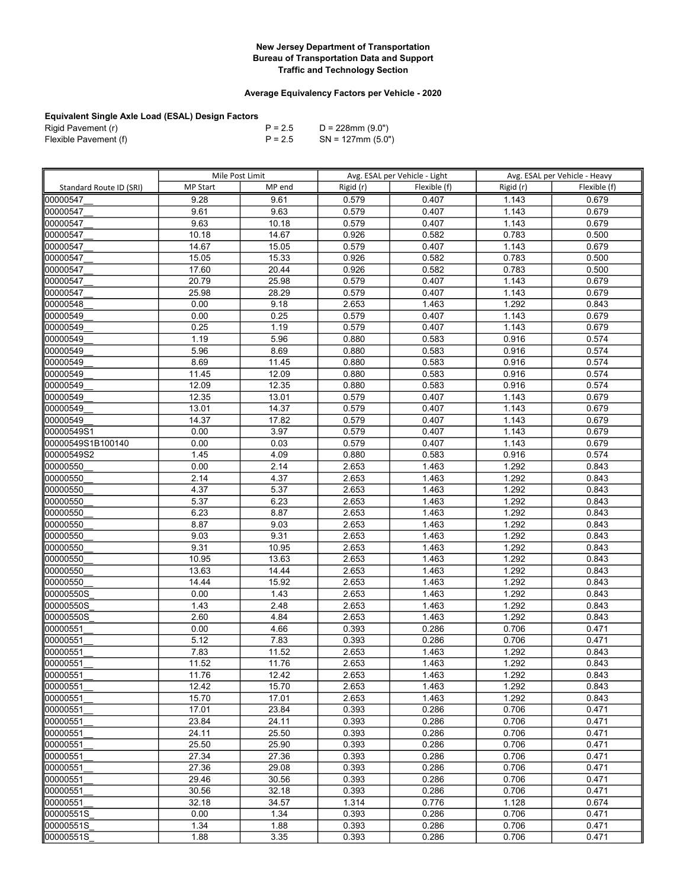## Average Equivalency Factors per Vehicle - 2020

| Rigid Pavement (r)    | $P = 2.5$ | D = 228mm (9.0")     |
|-----------------------|-----------|----------------------|
| Flexible Pavement (f) | $P = 2.5$ | $SN = 127$ mm (5.0") |

|                         | Mile Post Limit |        |           | Avg. ESAL per Vehicle - Light | Avg. ESAL per Vehicle - Heavy |              |
|-------------------------|-----------------|--------|-----------|-------------------------------|-------------------------------|--------------|
| Standard Route ID (SRI) | <b>MP Start</b> | MP end | Rigid (r) | Flexible (f)                  | Rigid (r)                     | Flexible (f) |
| 00000547                | 9.28            | 9.61   | 0.579     | 0.407                         | 1.143                         | 0.679        |
| 00000547                | 9.61            | 9.63   | 0.579     | 0.407                         | 1.143                         | 0.679        |
| 00000547                | 9.63            | 10.18  | 0.579     | 0.407                         | 1.143                         | 0.679        |
| 00000547                | 10.18           | 14.67  | 0.926     | 0.582                         | 0.783                         | 0.500        |
| 00000547                | 14.67           | 15.05  | 0.579     | 0.407                         | 1.143                         | 0.679        |
| 00000547                | 15.05           | 15.33  | 0.926     | 0.582                         | 0.783                         | 0.500        |
|                         | 17.60           | 20.44  | 0.926     | 0.582                         | 0.783                         | 0.500        |
| 00000547                |                 |        |           |                               |                               |              |
| 00000547                | 20.79           | 25.98  | 0.579     | 0.407                         | 1.143                         | 0.679        |
| 00000547                | 25.98           | 28.29  | 0.579     | 0.407                         | 1.143                         | 0.679        |
| 00000548                | 0.00            | 9.18   | 2.653     | 1.463                         | 1.292                         | 0.843        |
| 00000549                | 0.00            | 0.25   | 0.579     | 0.407                         | 1.143                         | 0.679        |
| 00000549                | 0.25            | 1.19   | 0.579     | 0.407                         | 1.143                         | 0.679        |
| 00000549                | 1.19            | 5.96   | 0.880     | 0.583                         | 0.916                         | 0.574        |
| 00000549                | 5.96            | 8.69   | 0.880     | 0.583                         | 0.916                         | 0.574        |
| 00000549                | 8.69            | 11.45  | 0.880     | 0.583                         | 0.916                         | 0.574        |
| 00000549                | 11.45           | 12.09  | 0.880     | 0.583                         | 0.916                         | 0.574        |
| 00000549                | 12.09           | 12.35  | 0.880     | 0.583                         | 0.916                         | 0.574        |
| 100000549               | 12.35           | 13.01  | 0.579     | 0.407                         | 1.143                         | 0.679        |
| 00000549                | 13.01           | 14.37  | 0.579     | 0.407                         | 1.143                         | 0.679        |
| 00000549                | 14.37           | 17.82  | 0.579     | 0.407                         | 1.143                         | 0.679        |
| 00000549S1              | 0.00            | 3.97   | 0.579     | 0.407                         | 1.143                         | 0.679        |
| 00000549S1B100140       | 0.00            | 0.03   | 0.579     | 0.407                         | 1.143                         | 0.679        |
| 00000549S2              | 1.45            | 4.09   | 0.880     | 0.583                         | 0.916                         | 0.574        |
| 00000550                | 0.00            | 2.14   | 2.653     | 1.463                         | 1.292                         | 0.843        |
| 00000550                | 2.14            | 4.37   | 2.653     | 1.463                         | 1.292                         | 0.843        |
| 00000550                | 4.37            | 5.37   | 2.653     | 1.463                         | 1.292                         | 0.843        |
| 00000550                | 5.37            | 6.23   | 2.653     | 1.463                         | 1.292                         | 0.843        |
| 00000550                | 6.23            | 8.87   | 2.653     | 1.463                         | 1.292                         | 0.843        |
| 00000550                | 8.87            | 9.03   | 2.653     | 1.463                         | 1.292                         | 0.843        |
| 00000550                | 9.03            | 9.31   | 2.653     | 1.463                         | 1.292                         | 0.843        |
| 00000550                | 9.31            | 10.95  | 2.653     | 1.463                         | 1.292                         | 0.843        |
| 00000550                | 10.95           | 13.63  | 2.653     | 1.463                         | 1.292                         | 0.843        |
| 00000550                | 13.63           | 14.44  | 2.653     | 1.463                         | 1.292                         | 0.843        |
| 00000550                | 14.44           | 15.92  | 2.653     | 1.463                         | 1.292                         | 0.843        |
| 00000550S               | 0.00            | 1.43   | 2.653     | 1.463                         | 1.292                         | 0.843        |
| 00000550S               | 1.43            | 2.48   | 2.653     | 1.463                         | 1.292                         | 0.843        |
| 00000550S               | 2.60            | 4.84   | 2.653     | 1.463                         | 1.292                         | 0.843        |
| 00000551                | 0.00            | 4.66   | 0.393     | 0.286                         | 0.706                         | 0.471        |
| 00000551                | 5.12            | 7.83   | 0.393     | 0.286                         | 0.706                         | 0.471        |
| 00000551                | 7.83            | 11.52  | 2.653     | 1.463                         | 1.292                         | 0.843        |
| 00000551                | 11.52           | 11.76  | 2.653     | 1.463                         | 1.292                         | 0.843        |
| 00000551                | 11.76           | 12.42  | 2.653     | 1.463                         | 1.292                         | 0.843        |
| 00000551                | 12.42           | 15.70  | 2.653     | 1.463                         | 1.292                         | 0.843        |
| 00000551                | 15.70           | 17.01  | 2.653     | 1.463                         | 1.292                         | 0.843        |
| 00000551                | 17.01           | 23.84  | 0.393     | 0.286                         | 0.706                         | 0.471        |
| 00000551                | 23.84           | 24.11  | 0.393     | 0.286                         | 0.706                         | 0.471        |
| 00000551                | 24.11           | 25.50  | 0.393     | 0.286                         | 0.706                         | 0.471        |
| 00000551                | 25.50           | 25.90  | 0.393     | 0.286                         | 0.706                         | 0.471        |
| 00000551                | 27.34           | 27.36  | 0.393     | 0.286                         | 0.706                         | 0.471        |
| 00000551                | 27.36           | 29.08  | 0.393     | 0.286                         | 0.706                         | 0.471        |
| 00000551                | 29.46           | 30.56  | 0.393     | 0.286                         | 0.706                         | 0.471        |
| 00000551                | 30.56           | 32.18  | 0.393     | 0.286                         | 0.706                         | 0.471        |
| 00000551                | 32.18           | 34.57  | 1.314     | 0.776                         | 1.128                         | 0.674        |
| 00000551S               | 0.00            | 1.34   | 0.393     | 0.286                         | 0.706                         | 0.471        |
| 00000551S               | 1.34            | 1.88   | 0.393     | 0.286                         | 0.706                         | 0.471        |
| 00000551S               | 1.88            | 3.35   | 0.393     | 0.286                         | 0.706                         | 0.471        |
|                         |                 |        |           |                               |                               |              |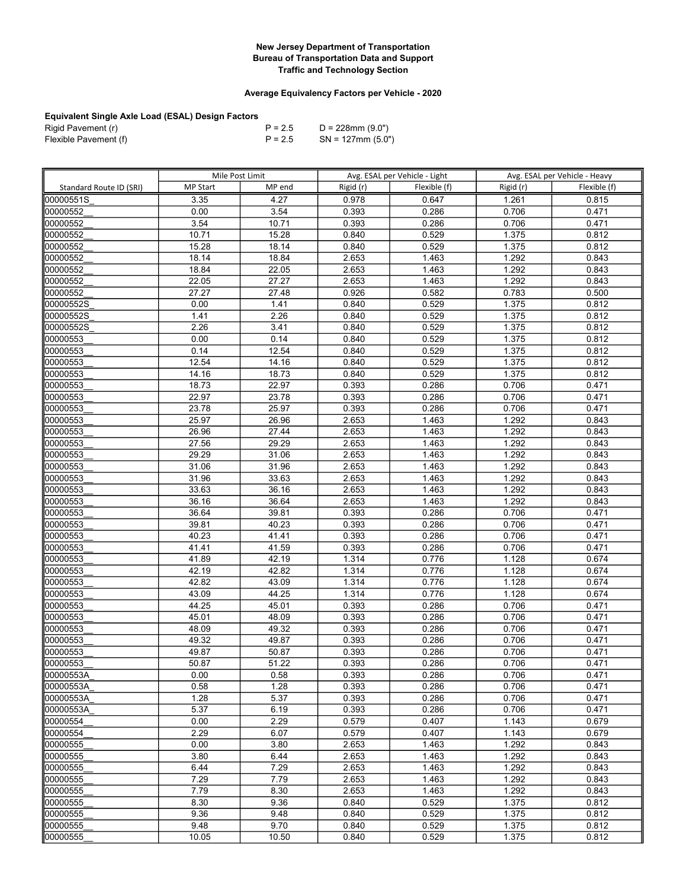## Average Equivalency Factors per Vehicle - 2020

| Rigid Pavement (r)    | $P = 2.5$ | D = 228mm (9.0")     |
|-----------------------|-----------|----------------------|
| Flexible Pavement (f) | $P = 2.5$ | $SN = 127$ mm (5.0") |

|                         | Mile Post Limit |        |           | Avg. ESAL per Vehicle - Light |           | Avg. ESAL per Vehicle - Heavy |
|-------------------------|-----------------|--------|-----------|-------------------------------|-----------|-------------------------------|
| Standard Route ID (SRI) | <b>MP Start</b> | MP end | Rigid (r) | Flexible (f)                  | Rigid (r) | Flexible (f)                  |
| 00000551S               | 3.35            | 4.27   | 0.978     | 0.647                         | 1.261     | 0.815                         |
| 00000552                | 0.00            | 3.54   | 0.393     | 0.286                         | 0.706     | 0.471                         |
| 00000552                | 3.54            | 10.71  | 0.393     | 0.286                         | 0.706     | 0.471                         |
| 00000552                | 10.71           | 15.28  | 0.840     | 0.529                         | 1.375     | 0.812                         |
| 00000552                | 15.28           | 18.14  | 0.840     | 0.529                         | 1.375     | 0.812                         |
| 00000552                | 18.14           | 18.84  | 2.653     | 1.463                         | 1.292     | 0.843                         |
| 00000552                | 18.84           | 22.05  | 2.653     | 1.463                         | 1.292     | 0.843                         |
| 00000552                | 22.05           | 27.27  | 2.653     | 1.463                         | 1.292     | 0.843                         |
| 00000552                | 27.27           | 27.48  | 0.926     | 0.582                         | 0.783     | 0.500                         |
| 00000552S               | 0.00            | 1.41   | 0.840     | 0.529                         | 1.375     | 0.812                         |
| 00000552S               | 1.41            | 2.26   | 0.840     | 0.529                         | 1.375     | 0.812                         |
| 00000552S               | 2.26            | 3.41   | 0.840     | 0.529                         | 1.375     | 0.812                         |
| 00000553                | 0.00            | 0.14   | 0.840     | 0.529                         | 1.375     | 0.812                         |
| 00000553                | 0.14            | 12.54  | 0.840     | 0.529                         | 1.375     | 0.812                         |
| 00000553                | 12.54           | 14.16  | 0.840     | 0.529                         | 1.375     | 0.812                         |
| 00000553                | 14.16           | 18.73  | 0.840     | 0.529                         | 1.375     | 0.812                         |
| 00000553                | 18.73           | 22.97  | 0.393     | 0.286                         | 0.706     | 0.471                         |
| 00000553                | 22.97           | 23.78  | 0.393     | 0.286                         | 0.706     | 0.471                         |
| 00000553                | 23.78           | 25.97  | 0.393     | 0.286                         | 0.706     | 0.471                         |
| 00000553                | 25.97           | 26.96  | 2.653     | 1.463                         | 1.292     | 0.843                         |
| 00000553                | 26.96           | 27.44  | 2.653     | 1.463                         | 1.292     | 0.843                         |
| 00000553                | 27.56           | 29.29  | 2.653     | 1.463                         | 1.292     | 0.843                         |
| 00000553                | 29.29           | 31.06  | 2.653     | 1.463                         | 1.292     | 0.843                         |
| 00000553                | 31.06           | 31.96  | 2.653     | 1.463                         | 1.292     | 0.843                         |
| 00000553                | 31.96           | 33.63  | 2.653     | 1.463                         | 1.292     | 0.843                         |
| 00000553                | 33.63           | 36.16  | 2.653     | 1.463                         | 1.292     | 0.843                         |
| 00000553                | 36.16           | 36.64  | 2.653     | 1.463                         | 1.292     | 0.843                         |
| 00000553                | 36.64           | 39.81  | 0.393     | 0.286                         | 0.706     | 0.471                         |
| 00000553                | 39.81           | 40.23  | 0.393     | 0.286                         | 0.706     | 0.471                         |
| 00000553                | 40.23           | 41.41  | 0.393     | 0.286                         | 0.706     | 0.471                         |
| 00000553                | 41.41           | 41.59  | 0.393     | 0.286                         | 0.706     | 0.471                         |
| 00000553                | 41.89           | 42.19  | 1.314     | 0.776                         | 1.128     | 0.674                         |
| 00000553                | 42.19           | 42.82  | 1.314     | 0.776                         | 1.128     | 0.674                         |
| 00000553                | 42.82           | 43.09  | 1.314     | 0.776                         | 1.128     | 0.674                         |
| 00000553                | 43.09           | 44.25  | 1.314     | 0.776                         | 1.128     | 0.674                         |
| 00000553                | 44.25           | 45.01  | 0.393     | 0.286                         | 0.706     | 0.471                         |
| 00000553                | 45.01           | 48.09  | 0.393     | 0.286                         | 0.706     | 0.471                         |
| 00000553                | 48.09           | 49.32  | 0.393     | 0.286                         | 0.706     | 0.471                         |
| 00000553                | 49.32           | 49.87  | 0.393     | 0.286                         | 0.706     | 0.471                         |
| 00000553                | 49.87           | 50.87  | 0.393     | 0.286                         | 0.706     | 0.471                         |
| 00000553                | 50.87           | 51.22  | 0.393     | 0.286                         | 0.706     | 0.471                         |
| 00000553A               | 0.00            | 0.58   | 0.393     | 0.286                         | 0.706     | 0.471                         |
| 00000553A               | 0.58            | 1.28   | 0.393     | 0.286                         | 0.706     | 0.471                         |
| 00000553A               | 1.28            | 5.37   | 0.393     | 0.286                         | 0.706     | 0.471                         |
| l00000553A              | 5.37            | 6.19   | 0.393     | 0.286                         | 0.706     | 0.471                         |
| 00000554                | 0.00            | 2.29   | 0.579     | 0.407                         | 1.143     | 0.679                         |
| 00000554                | 2.29            | 6.07   | 0.579     | 0.407                         | 1.143     | 0.679                         |
| 00000555                | 0.00            | 3.80   | 2.653     | 1.463                         | 1.292     | 0.843                         |
| 00000555                | 3.80            | 6.44   | 2.653     | 1.463                         | 1.292     | 0.843                         |
| 00000555                | 6.44            | 7.29   | 2.653     | 1.463                         | 1.292     | 0.843                         |
| 00000555                | 7.29            | 7.79   | 2.653     | 1.463                         | 1.292     | 0.843                         |
| 00000555                | 7.79            | 8.30   | 2.653     | 1.463                         | 1.292     | 0.843                         |
| 00000555                | 8.30            | 9.36   | 0.840     | 0.529                         | 1.375     | 0.812                         |
| 00000555                | 9.36            | 9.48   | 0.840     | 0.529                         | 1.375     | 0.812                         |
| 00000555                | 9.48            | 9.70   | 0.840     | 0.529                         | 1.375     | 0.812                         |
| 00000555                | 10.05           | 10.50  | 0.840     | 0.529                         | 1.375     | 0.812                         |
|                         |                 |        |           |                               |           |                               |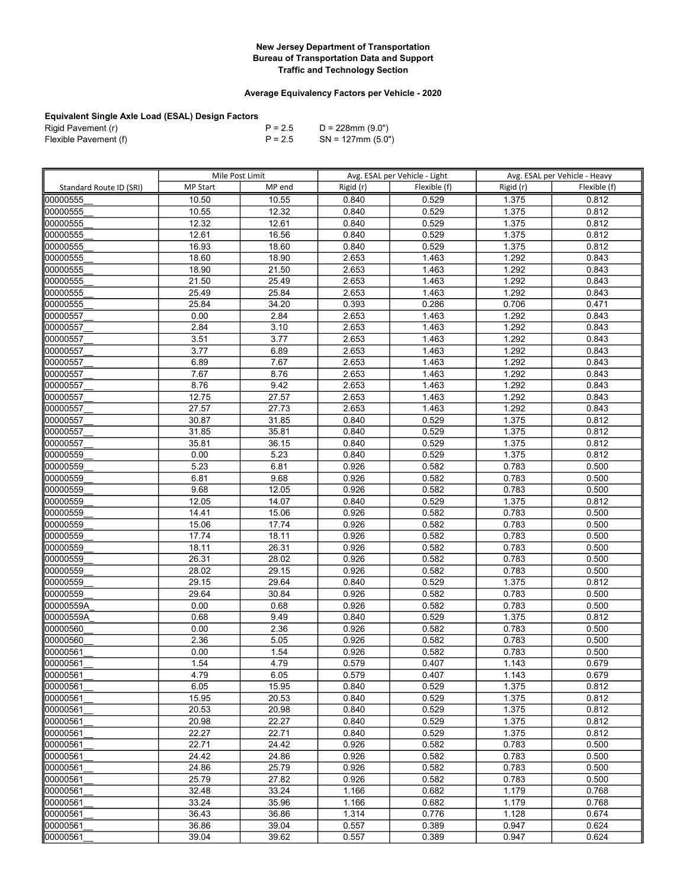## Average Equivalency Factors per Vehicle - 2020

| Rigid Pavement (r)    | $P = 2.5$ | D = 228mm (9.0")     |
|-----------------------|-----------|----------------------|
| Flexible Pavement (f) | $P = 2.5$ | $SN = 127$ mm (5.0") |

|                         | Mile Post Limit |        | Avg. ESAL per Vehicle - Light |              | Avg. ESAL per Vehicle - Heavy |              |
|-------------------------|-----------------|--------|-------------------------------|--------------|-------------------------------|--------------|
| Standard Route ID (SRI) | <b>MP Start</b> | MP end | Rigid (r)                     | Flexible (f) | Rigid (r)                     | Flexible (f) |
| 00000555                | 10.50           | 10.55  | 0.840                         | 0.529        | 1.375                         | 0.812        |
| 00000555                | 10.55           | 12.32  | 0.840                         | 0.529        | 1.375                         | 0.812        |
| 00000555                | 12.32           | 12.61  | 0.840                         | 0.529        | 1.375                         | 0.812        |
| 00000555                | 12.61           | 16.56  | 0.840                         | 0.529        | 1.375                         | 0.812        |
| 00000555                | 16.93           | 18.60  | 0.840                         | 0.529        | 1.375                         | 0.812        |
| 00000555                | 18.60           | 18.90  | 2.653                         | 1.463        | 1.292                         | 0.843        |
| 00000555                | 18.90           | 21.50  | 2.653                         | 1.463        | 1.292                         | 0.843        |
| 00000555                | 21.50           | 25.49  | 2.653                         | 1.463        | 1.292                         | 0.843        |
| 00000555                | 25.49           | 25.84  | 2.653                         | 1.463        | 1.292                         | 0.843        |
| 00000555                | 25.84           | 34.20  | 0.393                         | 0.286        | 0.706                         | 0.471        |
| 00000557                | 0.00            | 2.84   | 2.653                         | 1.463        | 1.292                         | 0.843        |
| 00000557                | 2.84            | 3.10   | 2.653                         | 1.463        | 1.292                         | 0.843        |
| 00000557                | 3.51            | 3.77   | 2.653                         | 1.463        | 1.292                         | 0.843        |
| 00000557                | 3.77            | 6.89   | 2.653                         | 1.463        | 1.292                         | 0.843        |
| 00000557                | 6.89            | 7.67   | 2.653                         | 1.463        | 1.292                         | 0.843        |
| 00000557                | 7.67            | 8.76   | 2.653                         | 1.463        | 1.292                         | 0.843        |
| 00000557                | 8.76            | 9.42   | 2.653                         | 1.463        | 1.292                         | 0.843        |
| 00000557                | 12.75           | 27.57  | 2.653                         | 1.463        | 1.292                         | 0.843        |
| 00000557                | 27.57           | 27.73  | 2.653                         | 1.463        | 1.292                         | 0.843        |
| 00000557                | 30.87           | 31.85  | 0.840                         | 0.529        | 1.375                         | 0.812        |
| 00000557                | 31.85           | 35.81  | 0.840                         | 0.529        | 1.375                         | 0.812        |
| 00000557                | 35.81           | 36.15  | 0.840                         | 0.529        | 1.375                         | 0.812        |
| 00000559                | 0.00            | 5.23   | 0.840                         | 0.529        | 1.375                         | 0.812        |
| 00000559                | 5.23            | 6.81   | 0.926                         | 0.582        | 0.783                         | 0.500        |
| 00000559                | 6.81            | 9.68   | 0.926                         | 0.582        | 0.783                         | 0.500        |
| 00000559                | 9.68            | 12.05  | 0.926                         | 0.582        | 0.783                         | 0.500        |
| 00000559                | 12.05           | 14.07  | 0.840                         | 0.529        | 1.375                         | 0.812        |
| 00000559                | 14.41           | 15.06  | 0.926                         | 0.582        | 0.783                         | 0.500        |
| 00000559                | 15.06           | 17.74  | 0.926                         | 0.582        | 0.783                         | 0.500        |
| 00000559                | 17.74           | 18.11  | 0.926                         | 0.582        | 0.783                         | 0.500        |
| 00000559                | 18.11           | 26.31  | 0.926                         | 0.582        | 0.783                         | 0.500        |
| 00000559                | 26.31           | 28.02  | 0.926                         | 0.582        | 0.783                         | 0.500        |
| 00000559                | 28.02           | 29.15  | 0.926                         | 0.582        | 0.783                         | 0.500        |
| 00000559                | 29.15           | 29.64  | 0.840                         | 0.529        | 1.375                         | 0.812        |
| 00000559                | 29.64           | 30.84  | 0.926                         | 0.582        | 0.783                         | 0.500        |
| 00000559A               | 0.00            | 0.68   | 0.926                         | 0.582        | 0.783                         | 0.500        |
| 00000559A               | 0.68            | 9.49   | 0.840                         | 0.529        | 1.375                         | 0.812        |
| 00000560                | 0.00            | 2.36   | 0.926                         | 0.582        | 0.783                         | 0.500        |
| 00000560                | 2.36            | 5.05   | 0.926                         | 0.582        | 0.783                         | 0.500        |
| 00000561                | 0.00            | 1.54   | 0.926                         | 0.582        | 0.783                         | 0.500        |
| 00000561                | 1.54            | 4.79   | 0.579                         | 0.407        | 1.143                         | 0.679        |
| 00000561                | 4.79            | 6.05   | 0.579                         | 0.407        | 1.143                         | 0.679        |
| 00000561                | 6.05            | 15.95  | 0.840                         | 0.529        | 1.375                         | 0.812        |
| 00000561                | 15.95           | 20.53  | 0.840                         | 0.529        | 1.375                         | 0.812        |
| 00000561                | 20.53           | 20.98  | 0.840                         | 0.529        | 1.375                         | 0.812        |
| 00000561                | 20.98           | 22.27  | 0.840                         | 0.529        | 1.375                         | 0.812        |
| 00000561                | 22.27           | 22.71  | 0.840                         | 0.529        | 1.375                         | 0.812        |
| 00000561                | 22.71           | 24.42  | 0.926                         | 0.582        | 0.783                         | 0.500        |
| 00000561                | 24.42           | 24.86  | 0.926                         | 0.582        | 0.783                         | 0.500        |
| 00000561                | 24.86           | 25.79  | 0.926                         | 0.582        | 0.783                         | 0.500        |
| 00000561                | 25.79           | 27.82  | 0.926                         | 0.582        | 0.783                         | 0.500        |
| 00000561                | 32.48           | 33.24  | 1.166                         | 0.682        | 1.179                         | 0.768        |
| 00000561                | 33.24           | 35.96  | 1.166                         | 0.682        | 1.179                         | 0.768        |
| 00000561                | 36.43           | 36.86  | 1.314                         | 0.776        | 1.128                         | 0.674        |
| 00000561                | 36.86           | 39.04  | 0.557                         | 0.389        | 0.947                         | 0.624        |
| 00000561                | 39.04           | 39.62  | 0.557                         | 0.389        | 0.947                         | 0.624        |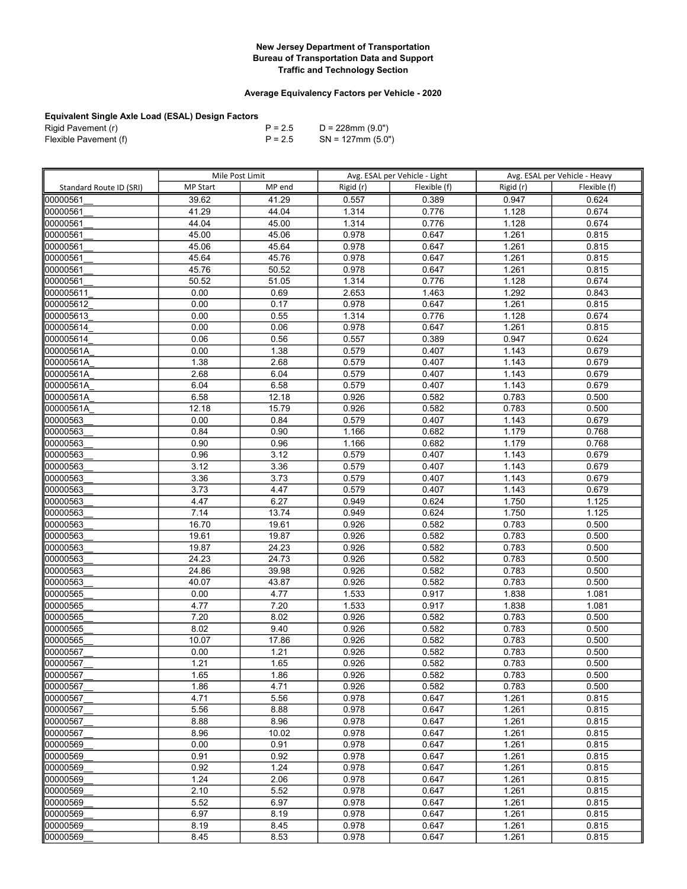## Average Equivalency Factors per Vehicle - 2020

| Rigid Pavement (r)    | $P = 2.5$ | D = 228mm (9.0")     |
|-----------------------|-----------|----------------------|
| Flexible Pavement (f) | $P = 2.5$ | $SN = 127$ mm (5.0") |

|                         | Mile Post Limit |        | Avg. ESAL per Vehicle - Light |              | Avg. ESAL per Vehicle - Heavy |              |
|-------------------------|-----------------|--------|-------------------------------|--------------|-------------------------------|--------------|
| Standard Route ID (SRI) | <b>MP Start</b> | MP end | Rigid (r)                     | Flexible (f) | Rigid (r)                     | Flexible (f) |
| 00000561                | 39.62           | 41.29  | 0.557                         | 0.389        | 0.947                         | 0.624        |
| 00000561                | 41.29           | 44.04  | 1.314                         | 0.776        | 1.128                         | 0.674        |
| 00000561                | 44.04           | 45.00  | 1.314                         | 0.776        | 1.128                         | 0.674        |
| 00000561                | 45.00           | 45.06  | 0.978                         | 0.647        | 1.261                         | 0.815        |
| 00000561                | 45.06           | 45.64  | 0.978                         | 0.647        | 1.261                         | 0.815        |
| 00000561                | 45.64           | 45.76  | 0.978                         | 0.647        | 1.261                         | 0.815        |
| 00000561                | 45.76           | 50.52  | 0.978                         | 0.647        | 1.261                         | 0.815        |
| 00000561                | 50.52           | 51.05  | 1.314                         | 0.776        | 1.128                         | 0.674        |
| 000005611               | 0.00            | 0.69   | 2.653                         | 1.463        | $\overline{1.292}$            | 0.843        |
| 000005612               | 0.00            | 0.17   | 0.978                         | 0.647        | 1.261                         | 0.815        |
| 000005613               | 0.00            | 0.55   | 1.314                         | 0.776        | 1.128                         | 0.674        |
| 000005614               | 0.00            | 0.06   | 0.978                         | 0.647        | 1.261                         | 0.815        |
| 000005614               | 0.06            | 0.56   | 0.557                         | 0.389        | 0.947                         | 0.624        |
| 00000561A               | 0.00            | 1.38   | 0.579                         | 0.407        | 1.143                         | 0.679        |
| 00000561A               | 1.38            | 2.68   | 0.579                         | 0.407        | 1.143                         | 0.679        |
| 00000561A               | 2.68            | 6.04   | 0.579                         | 0.407        | 1.143                         | 0.679        |
| 00000561A               | 6.04            | 6.58   | 0.579                         | 0.407        | 1.143                         | 0.679        |
| 00000561A               | 6.58            | 12.18  | 0.926                         | 0.582        | 0.783                         | 0.500        |
| 00000561A               | 12.18           | 15.79  | 0.926                         | 0.582        | 0.783                         | 0.500        |
| 00000563                | 0.00            | 0.84   | 0.579                         | 0.407        | 1.143                         | 0.679        |
| 00000563                | 0.84            | 0.90   | 1.166                         | 0.682        | 1.179                         | 0.768        |
| 00000563                | 0.90            | 0.96   | 1.166                         | 0.682        | 1.179                         | 0.768        |
| 00000563                | 0.96            | 3.12   | 0.579                         | 0.407        | 1.143                         | 0.679        |
| 00000563                | 3.12            | 3.36   | 0.579                         | 0.407        | 1.143                         | 0.679        |
| 00000563                | 3.36            | 3.73   | 0.579                         | 0.407        | 1.143                         | 0.679        |
| 00000563                | 3.73            | 4.47   | 0.579                         | 0.407        | 1.143                         | 0.679        |
| 00000563                | 4.47            | 6.27   | 0.949                         | 0.624        | 1.750                         | 1.125        |
| 00000563                | 7.14            | 13.74  | 0.949                         | 0.624        | 1.750                         | 1.125        |
| 00000563                | 16.70           | 19.61  | 0.926                         | 0.582        | 0.783                         | 0.500        |
| 00000563                | 19.61           | 19.87  | 0.926                         | 0.582        | 0.783                         | 0.500        |
| 00000563                | 19.87           | 24.23  | 0.926                         | 0.582        | 0.783                         | 0.500        |
| 00000563                | 24.23           | 24.73  | 0.926                         | 0.582        | 0.783                         | 0.500        |
| 00000563                | 24.86           | 39.98  | 0.926                         | 0.582        | 0.783                         | 0.500        |
| 00000563                | 40.07           | 43.87  | 0.926                         | 0.582        | 0.783                         | 0.500        |
| 00000565                | 0.00            | 4.77   | 1.533                         | 0.917        | 1.838                         | 1.081        |
| 00000565                | 4.77            | 7.20   | 1.533                         | 0.917        | 1.838                         | 1.081        |
| 00000565                | 7.20            | 8.02   | 0.926                         | 0.582        | 0.783                         | 0.500        |
| 00000565                | 8.02            | 9.40   | 0.926                         | 0.582        | 0.783                         | 0.500        |
| 00000565                | 10.07           | 17.86  | 0.926                         | 0.582        | 0.783                         | 0.500        |
| 00000567                | 0.00            | 1.21   | 0.926                         | 0.582        | 0.783                         | 0.500        |
| 00000567                | 1.21            | 1.65   | 0.926                         | 0.582        | 0.783                         | 0.500        |
| 00000567                | 1.65            | 1.86   | 0.926                         | 0.582        | 0.783                         | 0.500        |
| 00000567                | 1.86            | 4.71   | 0.926                         | 0.582        | 0.783                         | 0.500        |
| 00000567                | 4.71            | 5.56   | 0.978                         | 0.647        | 1.261                         | 0.815        |
| 00000567                | 5.56            | 8.88   | 0.978                         | 0.647        | 1.261                         | 0.815        |
| 00000567                | 8.88            | 8.96   | 0.978                         | 0.647        | 1.261                         | 0.815        |
| 00000567                | 8.96            | 10.02  | 0.978                         | 0.647        | 1.261                         | 0.815        |
| 00000569                | 0.00            | 0.91   | 0.978                         | 0.647        | 1.261                         | 0.815        |
| 00000569                | 0.91            | 0.92   | 0.978                         | 0.647        | 1.261                         | 0.815        |
| 00000569                | 0.92            | 1.24   | 0.978                         | 0.647        | 1.261                         | 0.815        |
| 00000569                | 1.24            | 2.06   | 0.978                         | 0.647        | 1.261                         | 0.815        |
| 00000569                | 2.10            | 5.52   | 0.978                         | 0.647        | 1.261                         | 0.815        |
| 00000569                | 5.52            | 6.97   | 0.978                         | 0.647        | 1.261                         | 0.815        |
| 00000569                | 6.97            | 8.19   | 0.978                         | 0.647        | 1.261                         | 0.815        |
| 00000569                | 8.19            | 8.45   | 0.978                         | 0.647        | 1.261                         | 0.815        |
| 00000569                | 8.45            | 8.53   | 0.978                         | 0.647        | 1.261                         | 0.815        |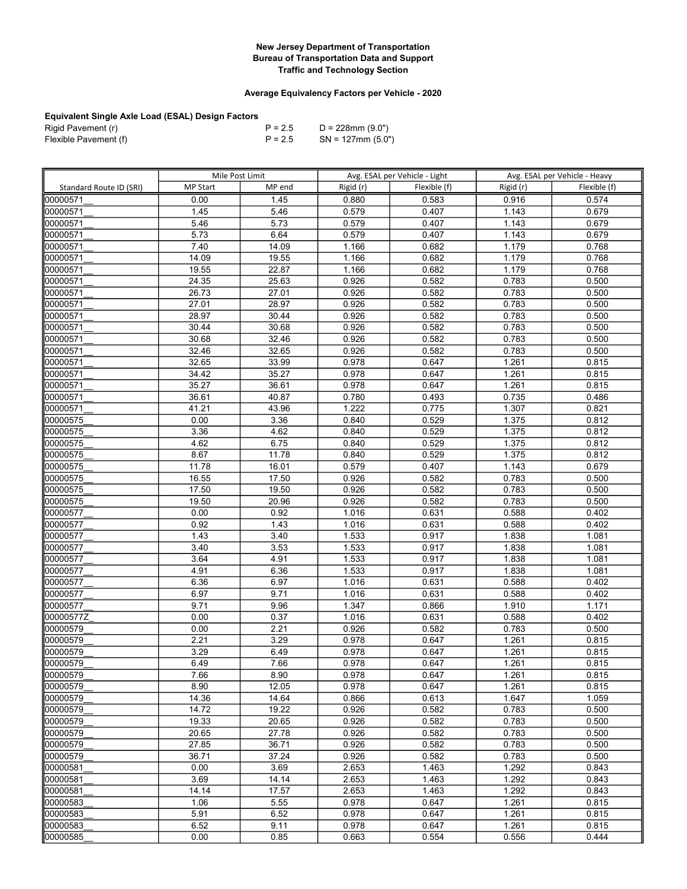## Average Equivalency Factors per Vehicle - 2020

| Rigid Pavement (r)    | $P = 2.5$ | D = 228mm (9.0")     |
|-----------------------|-----------|----------------------|
| Flexible Pavement (f) | $P = 2.5$ | $SN = 127$ mm (5.0") |

|                         | Mile Post Limit |              | Avg. ESAL per Vehicle - Light |                | Avg. ESAL per Vehicle - Heavy |                |
|-------------------------|-----------------|--------------|-------------------------------|----------------|-------------------------------|----------------|
| Standard Route ID (SRI) | <b>MP Start</b> | MP end       | Rigid (r)                     | Flexible (f)   | Rigid (r)                     | Flexible (f)   |
| 00000571                | 0.00            | 1.45         | 0.880                         | 0.583          | 0.916                         | 0.574          |
| 00000571                | 1.45            | 5.46         | 0.579                         | 0.407          | 1.143                         | 0.679          |
| 00000571                | 5.46            | 5.73         | 0.579                         | 0.407          | 1.143                         | 0.679          |
| 00000571                | 5.73            | 6.64         | 0.579                         | 0.407          | 1.143                         | 0.679          |
| 00000571                | 7.40            | 14.09        | 1.166                         | 0.682          | 1.179                         | 0.768          |
| 00000571                | 14.09           | 19.55        | 1.166                         | 0.682          | 1.179                         | 0.768          |
| 00000571                | 19.55           | 22.87        | 1.166                         | 0.682          | 1.179                         | 0.768          |
| 00000571                | 24.35           | 25.63        | 0.926                         | 0.582          | 0.783                         | 0.500          |
| 00000571                | 26.73           | 27.01        | 0.926                         | 0.582          | 0.783                         | 0.500          |
| 00000571                | 27.01           | 28.97        | 0.926                         | 0.582          | 0.783                         | 0.500          |
| 00000571                | 28.97           | 30.44        | 0.926                         | 0.582          | 0.783                         | 0.500          |
| 00000571                | 30.44           | 30.68        | 0.926                         | 0.582          | 0.783                         | 0.500          |
| 00000571                | 30.68           | 32.46        | 0.926                         | 0.582          | 0.783                         | 0.500          |
| 00000571                | 32.46           | 32.65        | 0.926                         | 0.582          | 0.783                         | 0.500          |
| 00000571                | 32.65           | 33.99        | 0.978                         | 0.647          | 1.261                         | 0.815          |
| 00000571                | 34.42           | 35.27        | 0.978                         | 0.647          | 1.261                         | 0.815          |
| 00000571                | 35.27           | 36.61        | 0.978                         | 0.647          | 1.261                         | 0.815          |
| 00000571                | 36.61           | 40.87        | 0.780                         | 0.493          | 0.735                         | 0.486          |
| 00000571                | 41.21           | 43.96        | 1.222                         | 0.775          | 1.307                         | 0.821          |
| 00000575                | 0.00            | 3.36         | 0.840                         | 0.529          | 1.375                         | 0.812          |
| 00000575                | 3.36            | 4.62         | 0.840                         | 0.529          | 1.375                         | 0.812          |
| 00000575                | 4.62            | 6.75         | 0.840                         | 0.529          | 1.375                         | 0.812          |
| 00000575                | 8.67            | 11.78        | 0.840                         | 0.529          | 1.375                         | 0.812          |
| 00000575                | 11.78           | 16.01        | 0.579                         | 0.407          | 1.143                         | 0.679          |
| 00000575                | 16.55           | 17.50        | 0.926                         | 0.582          | 0.783                         | 0.500          |
| 00000575                | 17.50           | 19.50        | 0.926                         | 0.582          | 0.783                         | 0.500          |
| 00000575                | 19.50           | 20.96        | 0.926                         | 0.582          | 0.783                         | 0.500          |
| 00000577                | 0.00            | 0.92         | 1.016                         | 0.631          | 0.588                         | 0.402          |
| 00000577                | 0.92            | 1.43         | 1.016                         | 0.631          | 0.588                         | 0.402          |
| 00000577                | 1.43            | 3.40         | 1.533                         | 0.917          | 1.838                         | 1.081          |
| 00000577                | 3.40            | 3.53         | 1.533                         | 0.917          | 1.838                         | 1.081          |
| 00000577                | 3.64            | 4.91         | 1.533                         | 0.917          | 1.838                         | 1.081          |
| 00000577                | 4.91            | 6.36         | 1.533                         | 0.917          | 1.838                         | 1.081          |
| 00000577                | 6.36            | 6.97         | 1.016                         | 0.631          | 0.588                         | 0.402          |
| 00000577                | 6.97            | 9.71         | 1.016                         | 0.631          | 0.588                         | 0.402          |
| 00000577                | 9.71            | 9.96         | 1.347                         | 0.866          | 1.910                         | 1.171          |
| 00000577Z               | 0.00            | 0.37         | 1.016                         | 0.631          | 0.588                         | 0.402          |
| 00000579                | 0.00            | 2.21         | 0.926                         | 0.582          | 0.783                         | 0.500          |
| 00000579                | 2.21            | 3.29         | 0.978                         | 0.647          | 1.261                         | 0.815          |
| 00000579                | 3.29            | 6.49         | 0.978                         | 0.647          | 1.261                         | 0.815          |
| 00000579                | 6.49            | 7.66         | 0.978                         | 0.647          | 1.261                         | 0.815          |
| 00000579                | 7.66            | 8.90         | 0.978                         | 0.647          | 1.261                         | 0.815          |
| 00000579                | 8.90            | 12.05        | 0.978                         | 0.647          | 1.261                         | 0.815          |
| 00000579                | 14.36           | 14.64        | 0.866                         | 0.613          | 1.647                         | 1.059          |
| 00000579                | 14.72           | 19.22        | 0.926                         | 0.582          | 0.783                         | 0.500          |
| 00000579                | 19.33<br>20.65  | 20.65        | 0.926                         | 0.582          | 0.783                         | 0.500          |
| 00000579                |                 | 27.78        | 0.926                         | 0.582          | 0.783                         | 0.500          |
| 00000579                | 27.85           | 36.71        | 0.926                         | 0.582          | 0.783                         | 0.500          |
| 00000579                | 36.71           | 37.24        | 0.926<br>2.653                | 0.582          | 0.783                         | 0.500          |
| 00000581                | 0.00            | 3.69         |                               | 1.463          | 1.292                         | 0.843          |
| 00000581                | 3.69            | 14.14        | 2.653                         | 1.463          | 1.292                         | 0.843          |
| 00000581                | 14.14           | 17.57        | 2.653                         | 1.463          | 1.292                         | 0.843          |
| 00000583                | 1.06<br>5.91    | 5.55<br>6.52 | 0.978                         | 0.647<br>0.647 | 1.261<br>1.261                | 0.815<br>0.815 |
| 00000583<br>00000583    |                 |              | 0.978                         |                |                               |                |
|                         | 6.52            | 9.11         | 0.978                         | 0.647          | 1.261                         | 0.815          |
| 00000585                | 0.00            | 0.85         | 0.663                         | 0.554          | 0.556                         | 0.444          |